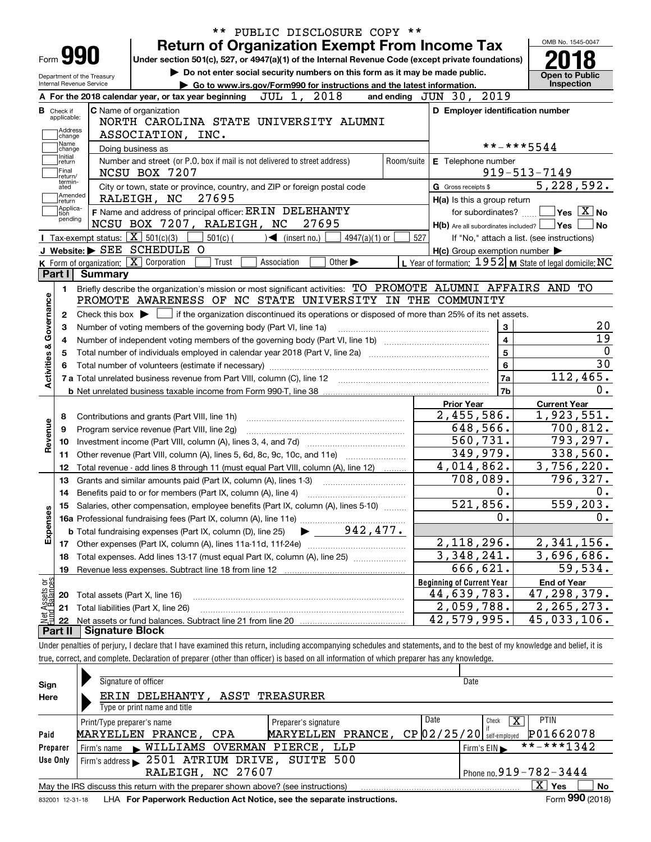| Form <b>990</b>                                                                        |                        | <b>Return of Organization Exempt From Income Tax</b>                                                                                                                       |                                                                |                              | OMB No. 1545-0047                                                                                                                                     |
|----------------------------------------------------------------------------------------|------------------------|----------------------------------------------------------------------------------------------------------------------------------------------------------------------------|----------------------------------------------------------------|------------------------------|-------------------------------------------------------------------------------------------------------------------------------------------------------|
|                                                                                        |                        | Under section 501(c), 527, or 4947(a)(1) of the Internal Revenue Code (except private foundations)                                                                         |                                                                |                              |                                                                                                                                                       |
| Department of the Treasury                                                             |                        | Do not enter social security numbers on this form as it may be made public.                                                                                                |                                                                |                              | <b>Open to Public</b>                                                                                                                                 |
| Internal Revenue Service                                                               |                        | Go to www.irs.gov/Form990 for instructions and the latest information.                                                                                                     |                                                                |                              | Inspection                                                                                                                                            |
|                                                                                        |                        | JUL 1, 2018<br>A For the 2018 calendar year, or tax year beginning                                                                                                         | and ending JUN 30, 2019                                        |                              |                                                                                                                                                       |
| <b>B</b> Check if<br>applicable:                                                       |                        | C Name of organization                                                                                                                                                     | D Employer identification number                               |                              |                                                                                                                                                       |
| Address                                                                                |                        | NORTH CAROLINA STATE UNIVERSITY ALUMNI                                                                                                                                     |                                                                |                              |                                                                                                                                                       |
| change<br>Name                                                                         |                        | ASSOCIATION, INC.                                                                                                                                                          |                                                                |                              |                                                                                                                                                       |
| change<br>Initial                                                                      |                        | Doing business as                                                                                                                                                          |                                                                | **-***5544                   |                                                                                                                                                       |
| return<br>Final                                                                        |                        | Number and street (or P.O. box if mail is not delivered to street address)<br>Room/suite                                                                                   | E Telephone number                                             |                              |                                                                                                                                                       |
| return/<br>termin-                                                                     |                        | NCSU BOX 7207                                                                                                                                                              |                                                                |                              | $919 - 513 - 7149$<br>5,228,592.                                                                                                                      |
| ated<br>Amended                                                                        |                        | City or town, state or province, country, and ZIP or foreign postal code<br>27695<br>RALEIGH, NC                                                                           | G Gross receipts \$                                            |                              |                                                                                                                                                       |
| return<br>Applica-                                                                     |                        | F Name and address of principal officer: ERIN DELEHANTY                                                                                                                    | H(a) Is this a group return                                    |                              | $\overline{\mathsf{Yes} \mathrel{\;\; X} \mathsf{No}}$                                                                                                |
| tion<br>pending                                                                        |                        | NCSU BOX 7207, RALEIGH, NC<br>27695                                                                                                                                        | for subordinates?                                              |                              | ∣No                                                                                                                                                   |
|                                                                                        |                        | Tax-exempt status: $\boxed{\mathbf{X}}$ 501(c)(3)<br>$501(c)$ (<br>$\blacktriangleleft$ (insert no.)<br>4947(a)(1) or                                                      | $H(b)$ Are all subordinates included? $\Box$ Yes $\Box$<br>527 |                              |                                                                                                                                                       |
|                                                                                        |                        | J Website: > SEE SCHEDULE O                                                                                                                                                | $H(c)$ Group exemption number $\blacktriangleright$            |                              | If "No," attach a list. (see instructions)                                                                                                            |
|                                                                                        |                        | K Form of organization: X Corporation<br>Trust<br>Other $\blacktriangleright$<br>Association                                                                               | L Year of formation: $1952$ M State of legal domicile: NC      |                              |                                                                                                                                                       |
| Part I                                                                                 | Summary                |                                                                                                                                                                            |                                                                |                              |                                                                                                                                                       |
| 1.                                                                                     |                        | Briefly describe the organization's mission or most significant activities: TO PROMOTE ALUMNI AFFAIRS AND TO                                                               |                                                                |                              |                                                                                                                                                       |
|                                                                                        |                        | PROMOTE AWARENESS OF NC STATE UNIVERSITY IN THE COMMUNITY                                                                                                                  |                                                                |                              |                                                                                                                                                       |
|                                                                                        |                        |                                                                                                                                                                            |                                                                |                              |                                                                                                                                                       |
| 2                                                                                      |                        | Check this box $\blacktriangleright$ $\Box$ if the organization discontinued its operations or disposed of more than 25% of its net assets.                                |                                                                |                              |                                                                                                                                                       |
| з                                                                                      |                        | Number of voting members of the governing body (Part VI, line 1a)                                                                                                          |                                                                | 3<br>$\overline{\mathbf{4}}$ |                                                                                                                                                       |
| 4                                                                                      |                        |                                                                                                                                                                            |                                                                | 5                            |                                                                                                                                                       |
| 5                                                                                      |                        |                                                                                                                                                                            |                                                                |                              |                                                                                                                                                       |
|                                                                                        |                        |                                                                                                                                                                            |                                                                |                              |                                                                                                                                                       |
|                                                                                        |                        |                                                                                                                                                                            |                                                                | 6                            |                                                                                                                                                       |
|                                                                                        |                        | 7 a Total unrelated business revenue from Part VIII, column (C), line 12 [11] [12] [11] [12] [11] [11] [12] [1                                                             |                                                                | 7a                           |                                                                                                                                                       |
|                                                                                        |                        |                                                                                                                                                                            |                                                                | 7b                           |                                                                                                                                                       |
|                                                                                        |                        |                                                                                                                                                                            | <b>Prior Year</b>                                              |                              | <b>Current Year</b>                                                                                                                                   |
| 8                                                                                      |                        | Contributions and grants (Part VIII, line 1h)                                                                                                                              | 2,455,586.                                                     |                              |                                                                                                                                                       |
| 9                                                                                      |                        | Program service revenue (Part VIII, line 2g)                                                                                                                               | 648,566.                                                       |                              |                                                                                                                                                       |
| 10                                                                                     |                        |                                                                                                                                                                            | 560, 731.                                                      |                              |                                                                                                                                                       |
| 11                                                                                     |                        | Other revenue (Part VIII, column (A), lines 5, 6d, 8c, 9c, 10c, and 11e)                                                                                                   | 349,979.                                                       |                              |                                                                                                                                                       |
| 12                                                                                     |                        | Total revenue - add lines 8 through 11 (must equal Part VIII, column (A), line 12)                                                                                         | 4,014,862.                                                     |                              |                                                                                                                                                       |
| 13                                                                                     |                        | Grants and similar amounts paid (Part IX, column (A), lines 1-3)                                                                                                           | 708,089.                                                       |                              |                                                                                                                                                       |
| 14                                                                                     |                        | Benefits paid to or for members (Part IX, column (A), line 4)                                                                                                              |                                                                | 0.                           |                                                                                                                                                       |
| 15                                                                                     |                        | Salaries, other compensation, employee benefits (Part IX, column (A), lines 5-10)                                                                                          | 521,856.                                                       |                              |                                                                                                                                                       |
|                                                                                        |                        | 16a Professional fundraising fees (Part IX, column (A), line 11e)                                                                                                          |                                                                | 0.                           |                                                                                                                                                       |
|                                                                                        |                        | 942,477.<br><b>b</b> Total fundraising expenses (Part IX, column (D), line 25)                                                                                             |                                                                |                              |                                                                                                                                                       |
| 17                                                                                     |                        |                                                                                                                                                                            | 2, 118, 296.                                                   |                              |                                                                                                                                                       |
| 18                                                                                     |                        | Total expenses. Add lines 13-17 (must equal Part IX, column (A), line 25)                                                                                                  | $\overline{3,348,241.}$                                        |                              |                                                                                                                                                       |
| 19                                                                                     |                        | Revenue less expenses. Subtract line 18 from line 12                                                                                                                       | 666,621.                                                       |                              | 112,465.<br>1,923,551.<br>700,812.<br>793,297.<br>338,560.<br>3,756,220.<br>796,327.<br>559,203.<br>2,341,156.<br>3,696,686.<br>$\overline{5}9, 534.$ |
|                                                                                        |                        |                                                                                                                                                                            | <b>Beginning of Current Year</b>                               |                              | <b>End of Year</b>                                                                                                                                    |
| 20                                                                                     |                        | Total assets (Part X, line 16)                                                                                                                                             | <u>44,639,783.</u>                                             |                              |                                                                                                                                                       |
| 21                                                                                     |                        | Total liabilities (Part X, line 26)                                                                                                                                        | $2,059,788$ .                                                  |                              | 47, 298, 379.<br>2,265,273.                                                                                                                           |
| Activities & Governance<br>Revenue<br>Expenses<br>Net Assets or<br>Fund Balances<br>22 |                        |                                                                                                                                                                            | 42,579,995.                                                    |                              | 45,033,106.                                                                                                                                           |
| Part II                                                                                | <b>Signature Block</b> | Under penalties of perjury, I declare that I have examined this return, including accompanying schedules and statements, and to the best of my knowledge and belief, it is |                                                                |                              |                                                                                                                                                       |

| Sign                                   | Signature of officer                                                              | Date                                           |  |  |  |  |  |  |  |  |
|----------------------------------------|-----------------------------------------------------------------------------------|------------------------------------------------|--|--|--|--|--|--|--|--|
| ERIN DELEHANTY, ASST TREASURER<br>Here |                                                                                   |                                                |  |  |  |  |  |  |  |  |
|                                        | Type or print name and title                                                      |                                                |  |  |  |  |  |  |  |  |
|                                        | Print/Type preparer's name<br>Preparer's signature                                | Date<br><b>PTIN</b><br>  X<br>Check            |  |  |  |  |  |  |  |  |
| Paid                                   | MARYELLEN PRANCE,<br>MARYELLEN PRANCE, CPA                                        | P01662078<br>$CP$ $02/25/20$ self-employed     |  |  |  |  |  |  |  |  |
| Preparer                               | Firm's name WILLIAMS OVERMAN PIERCE, LLP                                          | **-***1342<br>Firm's $EIN \blacktriangleright$ |  |  |  |  |  |  |  |  |
| Use Only                               | Firm's address > 2501 ATRIUM DRIVE, SUITE 500                                     |                                                |  |  |  |  |  |  |  |  |
|                                        | Phone no. $919 - 782 - 3444$<br>RALEIGH, NC 27607                                 |                                                |  |  |  |  |  |  |  |  |
|                                        | May the IRS discuss this return with the preparer shown above? (see instructions) | $\mathbf{X}$<br>Yes<br><b>No</b>               |  |  |  |  |  |  |  |  |
|                                        |                                                                                   | nnn.                                           |  |  |  |  |  |  |  |  |

832001\_12-31-18 LHA **For Paperwork Reduction Act Notice, see the separate instructions.** Form 990 (2018)

**990**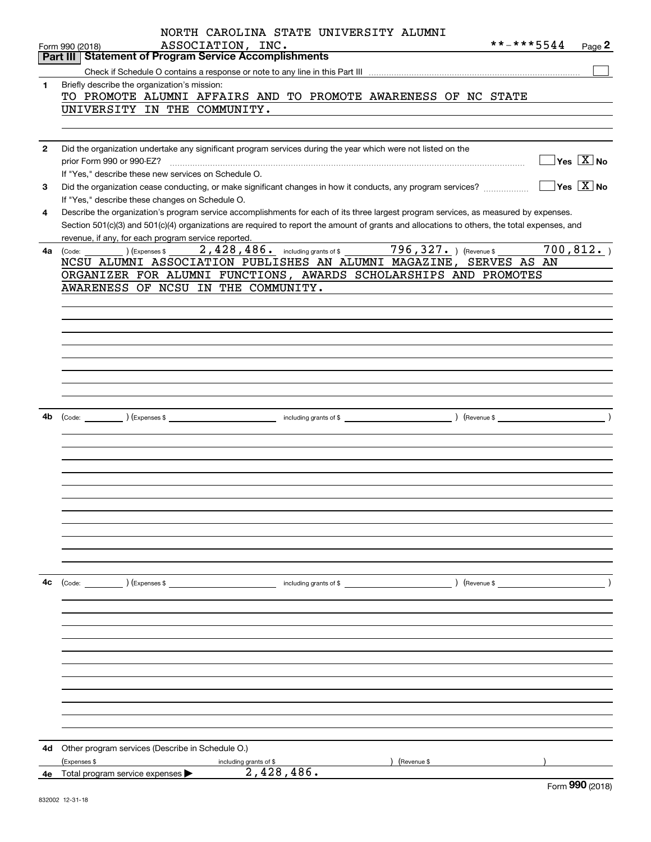|              | NORTH CAROLINA STATE UNIVERSITY ALUMNI<br>**-***5544<br>ASSOCIATION, INC.<br>Page 2<br>Form 990 (2018)                                                                                                                                                                               |
|--------------|--------------------------------------------------------------------------------------------------------------------------------------------------------------------------------------------------------------------------------------------------------------------------------------|
|              | <b>Part III Statement of Program Service Accomplishments</b>                                                                                                                                                                                                                         |
|              |                                                                                                                                                                                                                                                                                      |
| 1            | Briefly describe the organization's mission:                                                                                                                                                                                                                                         |
|              | TO PROMOTE ALUMNI AFFAIRS AND TO PROMOTE AWARENESS OF NC STATE                                                                                                                                                                                                                       |
|              | UNIVERSITY IN THE COMMUNITY.                                                                                                                                                                                                                                                         |
|              |                                                                                                                                                                                                                                                                                      |
|              |                                                                                                                                                                                                                                                                                      |
| $\mathbf{2}$ | Did the organization undertake any significant program services during the year which were not listed on the<br>$\sqrt{}$ Yes $\sqrt{}$ X $\sqrt{}$ No                                                                                                                               |
|              | prior Form 990 or 990-EZ?<br>If "Yes," describe these new services on Schedule O.                                                                                                                                                                                                    |
|              | $\sqrt{}$ Yes $\sqrt{}$ X $\sqrt{}$ No                                                                                                                                                                                                                                               |
| 3            | Did the organization cease conducting, or make significant changes in how it conducts, any program services?                                                                                                                                                                         |
| 4            | If "Yes," describe these changes on Schedule O.                                                                                                                                                                                                                                      |
|              | Describe the organization's program service accomplishments for each of its three largest program services, as measured by expenses.<br>Section 501(c)(3) and 501(c)(4) organizations are required to report the amount of grants and allocations to others, the total expenses, and |
|              |                                                                                                                                                                                                                                                                                      |
|              | revenue, if any, for each program service reported.<br>2,428,486. including grants of \$27. 1 (Revenue \$1,127. )<br>700, 812.<br>4a (Code:<br>(Expenses \$                                                                                                                          |
|              | NCSU ALUMNI ASSOCIATION PUBLISHES AN ALUMNI MAGAZINE, SERVES AS AN                                                                                                                                                                                                                   |
|              | ORGANIZER FOR ALUMNI FUNCTIONS, AWARDS SCHOLARSHIPS AND PROMOTES                                                                                                                                                                                                                     |
|              | AWARENESS OF NCSU IN THE COMMUNITY.                                                                                                                                                                                                                                                  |
|              |                                                                                                                                                                                                                                                                                      |
|              |                                                                                                                                                                                                                                                                                      |
|              |                                                                                                                                                                                                                                                                                      |
|              |                                                                                                                                                                                                                                                                                      |
|              |                                                                                                                                                                                                                                                                                      |
|              |                                                                                                                                                                                                                                                                                      |
|              |                                                                                                                                                                                                                                                                                      |
|              |                                                                                                                                                                                                                                                                                      |
|              |                                                                                                                                                                                                                                                                                      |
| 4b           |                                                                                                                                                                                                                                                                                      |
|              |                                                                                                                                                                                                                                                                                      |
|              |                                                                                                                                                                                                                                                                                      |
|              |                                                                                                                                                                                                                                                                                      |
|              |                                                                                                                                                                                                                                                                                      |
|              |                                                                                                                                                                                                                                                                                      |
|              |                                                                                                                                                                                                                                                                                      |
|              |                                                                                                                                                                                                                                                                                      |
|              |                                                                                                                                                                                                                                                                                      |
|              |                                                                                                                                                                                                                                                                                      |
|              |                                                                                                                                                                                                                                                                                      |
|              |                                                                                                                                                                                                                                                                                      |
|              |                                                                                                                                                                                                                                                                                      |
| 4с           |                                                                                                                                                                                                                                                                                      |
|              |                                                                                                                                                                                                                                                                                      |
|              |                                                                                                                                                                                                                                                                                      |
|              |                                                                                                                                                                                                                                                                                      |
|              |                                                                                                                                                                                                                                                                                      |
|              |                                                                                                                                                                                                                                                                                      |
|              |                                                                                                                                                                                                                                                                                      |
|              |                                                                                                                                                                                                                                                                                      |
|              |                                                                                                                                                                                                                                                                                      |
|              |                                                                                                                                                                                                                                                                                      |
|              |                                                                                                                                                                                                                                                                                      |
|              |                                                                                                                                                                                                                                                                                      |
|              |                                                                                                                                                                                                                                                                                      |
| 4d           | Other program services (Describe in Schedule O.)                                                                                                                                                                                                                                     |
|              | (Expenses \$<br>(Revenue \$<br>including grants of \$                                                                                                                                                                                                                                |
| 4е           | 2,428,486.<br>Total program service expenses                                                                                                                                                                                                                                         |
|              | nnn                                                                                                                                                                                                                                                                                  |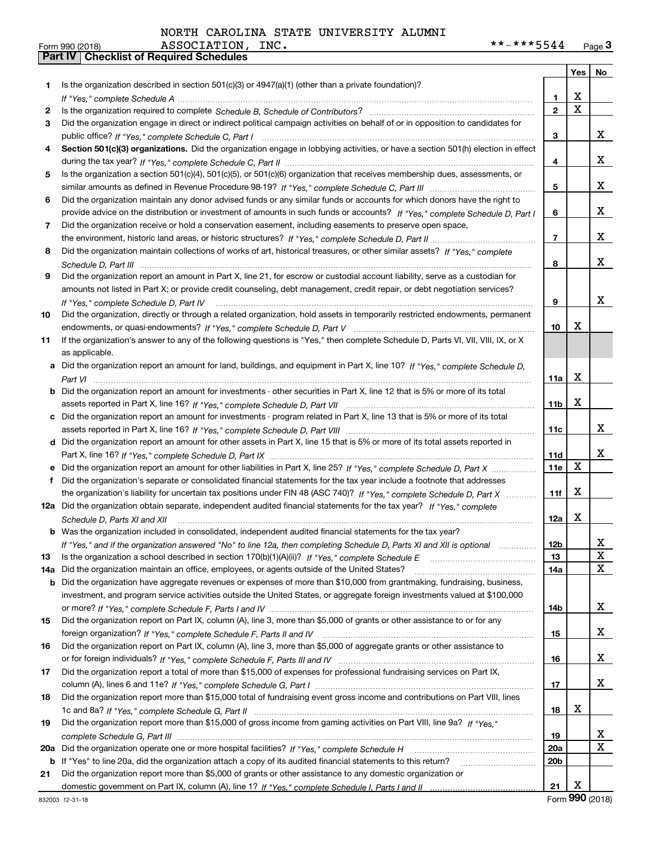|          |                                                                                                                                                                                                                                |                  | Yes         | No          |
|----------|--------------------------------------------------------------------------------------------------------------------------------------------------------------------------------------------------------------------------------|------------------|-------------|-------------|
| 1.       | Is the organization described in section $501(c)(3)$ or $4947(a)(1)$ (other than a private foundation)?                                                                                                                        |                  |             |             |
|          | If "Yes," complete Schedule A (1) respectively contained a series of the Schedule A (1) respectively and the Schedule A (1) respectively and the Schedule A (1) respectively and the Schedule A (1) respectively and the Sched | 1.               | X           |             |
| 2        |                                                                                                                                                                                                                                | $\overline{2}$   | $\mathbf x$ |             |
| 3        | Did the organization engage in direct or indirect political campaign activities on behalf of or in opposition to candidates for                                                                                                |                  |             |             |
|          |                                                                                                                                                                                                                                | 3                |             | х           |
| 4        | Section 501(c)(3) organizations. Did the organization engage in lobbying activities, or have a section 501(h) election in effect                                                                                               |                  |             |             |
|          |                                                                                                                                                                                                                                | 4                |             | х           |
| 5.       | Is the organization a section 501(c)(4), 501(c)(5), or 501(c)(6) organization that receives membership dues, assessments, or                                                                                                   |                  |             |             |
|          |                                                                                                                                                                                                                                | 5                |             | х           |
| 6        | Did the organization maintain any donor advised funds or any similar funds or accounts for which donors have the right to                                                                                                      |                  |             |             |
|          | provide advice on the distribution or investment of amounts in such funds or accounts? If "Yes," complete Schedule D, Part I                                                                                                   | 6                |             | х           |
| 7        | Did the organization receive or hold a conservation easement, including easements to preserve open space,                                                                                                                      |                  |             |             |
|          |                                                                                                                                                                                                                                | $\overline{7}$   |             | х           |
| 8        | Did the organization maintain collections of works of art, historical treasures, or other similar assets? If "Yes," complete                                                                                                   |                  |             |             |
|          |                                                                                                                                                                                                                                | 8                |             | х           |
| 9        | Did the organization report an amount in Part X, line 21, for escrow or custodial account liability, serve as a custodian for                                                                                                  |                  |             |             |
|          | amounts not listed in Part X; or provide credit counseling, debt management, credit repair, or debt negotiation services?                                                                                                      |                  |             |             |
|          | If "Yes," complete Schedule D, Part IV                                                                                                                                                                                         | 9                |             | X           |
| 10       | Did the organization, directly or through a related organization, hold assets in temporarily restricted endowments, permanent                                                                                                  |                  | х           |             |
|          |                                                                                                                                                                                                                                | 10               |             |             |
| 11       | If the organization's answer to any of the following questions is "Yes," then complete Schedule D, Parts VI, VIII, VIII, IX, or X                                                                                              |                  |             |             |
|          | as applicable.                                                                                                                                                                                                                 |                  |             |             |
| a        | Did the organization report an amount for land, buildings, and equipment in Part X, line 10? If "Yes," complete Schedule D,                                                                                                    |                  | X           |             |
|          | Did the organization report an amount for investments - other securities in Part X, line 12 that is 5% or more of its total                                                                                                    | 11a              |             |             |
| b        |                                                                                                                                                                                                                                | 11 <sub>b</sub>  | X           |             |
| c        | Did the organization report an amount for investments - program related in Part X, line 13 that is 5% or more of its total                                                                                                     |                  |             |             |
|          |                                                                                                                                                                                                                                | 11c              |             | x           |
|          | d Did the organization report an amount for other assets in Part X, line 15 that is 5% or more of its total assets reported in                                                                                                 |                  |             |             |
|          |                                                                                                                                                                                                                                | 11d              |             | x           |
|          |                                                                                                                                                                                                                                | 11e              | X           |             |
| f        | Did the organization's separate or consolidated financial statements for the tax year include a footnote that addresses                                                                                                        |                  |             |             |
|          | the organization's liability for uncertain tax positions under FIN 48 (ASC 740)? If "Yes," complete Schedule D, Part X                                                                                                         | 11f              | X           |             |
|          | 12a Did the organization obtain separate, independent audited financial statements for the tax year? If "Yes," complete                                                                                                        |                  |             |             |
|          | Schedule D, Parts XI and XII                                                                                                                                                                                                   | 12a              | X           |             |
|          | <b>b</b> Was the organization included in consolidated, independent audited financial statements for the tax year?                                                                                                             |                  |             |             |
|          | If "Yes," and if the organization answered "No" to line 12a, then completing Schedule D, Parts XI and XII is optional                                                                                                          | 12D              |             | ᅀ           |
| 13       | Is the organization a school described in section $170(b)(1)(A)(ii)?$ If "Yes," complete Schedule E                                                                                                                            | 13               |             | X           |
| 14a      | Did the organization maintain an office, employees, or agents outside of the United States?                                                                                                                                    | 14a              |             | X           |
| b        | Did the organization have aggregate revenues or expenses of more than \$10,000 from grantmaking, fundraising, business,                                                                                                        |                  |             |             |
|          | investment, and program service activities outside the United States, or aggregate foreign investments valued at \$100,000                                                                                                     |                  |             |             |
|          |                                                                                                                                                                                                                                | 14b              |             | x           |
| 15       | Did the organization report on Part IX, column (A), line 3, more than \$5,000 of grants or other assistance to or for any                                                                                                      |                  |             |             |
|          |                                                                                                                                                                                                                                | 15               |             | x           |
| 16       | Did the organization report on Part IX, column (A), line 3, more than \$5,000 of aggregate grants or other assistance to                                                                                                       |                  |             |             |
|          |                                                                                                                                                                                                                                | 16               |             | x           |
| 17       | Did the organization report a total of more than \$15,000 of expenses for professional fundraising services on Part IX,                                                                                                        |                  |             |             |
|          |                                                                                                                                                                                                                                | 17               |             | x           |
| 18       | Did the organization report more than \$15,000 total of fundraising event gross income and contributions on Part VIII, lines                                                                                                   |                  | х           |             |
|          |                                                                                                                                                                                                                                | 18               |             |             |
| 19       | Did the organization report more than \$15,000 of gross income from gaming activities on Part VIII, line 9a? If "Yes."                                                                                                         |                  |             | x           |
|          |                                                                                                                                                                                                                                | 19<br><b>20a</b> |             | $\mathbf X$ |
| 20a<br>b | If "Yes" to line 20a, did the organization attach a copy of its audited financial statements to this return?                                                                                                                   | 20 <sub>b</sub>  |             |             |
| 21       | Did the organization report more than \$5,000 of grants or other assistance to any domestic organization or                                                                                                                    |                  |             |             |
|          |                                                                                                                                                                                                                                | 21               | х           |             |
|          |                                                                                                                                                                                                                                |                  |             |             |

832003 12-31-18

Form (2018) **990**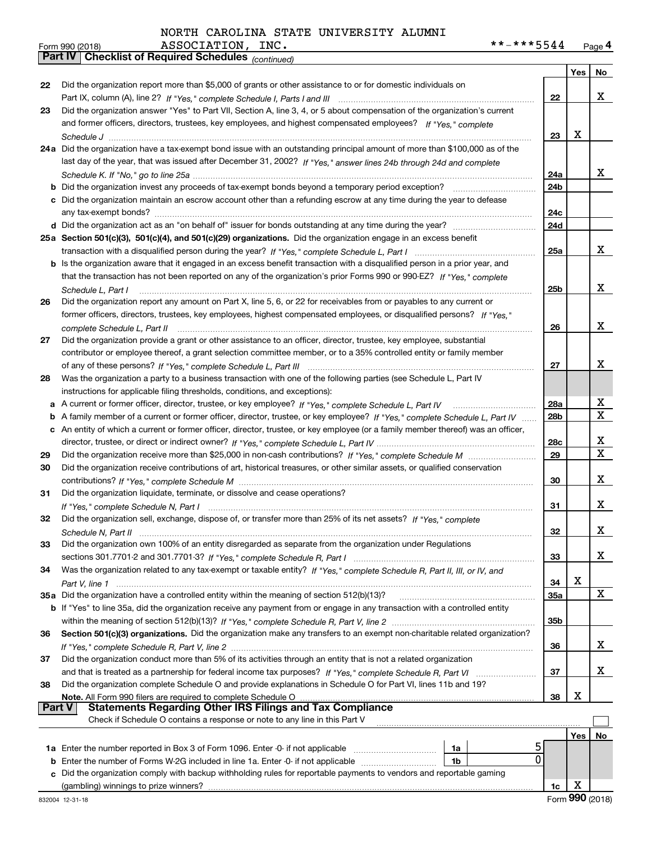| Form 990 (2018) | ASSOCIATION,<br>INC.                                  | **-***5544 | Page 4 |
|-----------------|-------------------------------------------------------|------------|--------|
|                 | Part IV   Checklist of Required Schedules (continued) |            |        |

|        | Pall IV  <br>Crieckist of Required Scriedules (continued)                                                                          |                 |     |        |
|--------|------------------------------------------------------------------------------------------------------------------------------------|-----------------|-----|--------|
|        |                                                                                                                                    |                 | Yes | No     |
| 22     | Did the organization report more than \$5,000 of grants or other assistance to or for domestic individuals on                      |                 |     |        |
|        |                                                                                                                                    | 22              |     | x      |
| 23     | Did the organization answer "Yes" to Part VII, Section A, line 3, 4, or 5 about compensation of the organization's current         |                 |     |        |
|        | and former officers, directors, trustees, key employees, and highest compensated employees? If "Yes," complete                     |                 |     |        |
|        |                                                                                                                                    | 23              | x   |        |
|        | 24a Did the organization have a tax-exempt bond issue with an outstanding principal amount of more than \$100,000 as of the        |                 |     |        |
|        | last day of the year, that was issued after December 31, 2002? If "Yes," answer lines 24b through 24d and complete                 | 24a             |     | X.     |
|        | <b>b</b> Did the organization invest any proceeds of tax-exempt bonds beyond a temporary period exception?                         | 24b             |     |        |
|        | c Did the organization maintain an escrow account other than a refunding escrow at any time during the year to defease             |                 |     |        |
|        |                                                                                                                                    | 24c             |     |        |
|        |                                                                                                                                    | 24d             |     |        |
|        | 25a Section 501(c)(3), 501(c)(4), and 501(c)(29) organizations. Did the organization engage in an excess benefit                   |                 |     |        |
|        |                                                                                                                                    | 25a             |     | x      |
|        | b Is the organization aware that it engaged in an excess benefit transaction with a disqualified person in a prior year, and       |                 |     |        |
|        | that the transaction has not been reported on any of the organization's prior Forms 990 or 990-EZ? If "Yes," complete              |                 |     |        |
|        | Schedule L, Part I                                                                                                                 | 25b             |     | x      |
| 26     | Did the organization report any amount on Part X, line 5, 6, or 22 for receivables from or payables to any current or              |                 |     |        |
|        | former officers, directors, trustees, key employees, highest compensated employees, or disqualified persons? If "Yes."             |                 |     |        |
|        |                                                                                                                                    | 26              |     | x      |
| 27     | Did the organization provide a grant or other assistance to an officer, director, trustee, key employee, substantial               |                 |     |        |
|        | contributor or employee thereof, a grant selection committee member, or to a 35% controlled entity or family member                |                 |     |        |
|        |                                                                                                                                    | 27              |     | x      |
| 28     | Was the organization a party to a business transaction with one of the following parties (see Schedule L, Part IV                  |                 |     |        |
|        | instructions for applicable filing thresholds, conditions, and exceptions):                                                        |                 |     |        |
|        |                                                                                                                                    | 28a             |     | x      |
|        | b A family member of a current or former officer, director, trustee, or key employee? If "Yes," complete Schedule L, Part IV       | 28 <sub>b</sub> |     | X      |
|        | c An entity of which a current or former officer, director, trustee, or key employee (or a family member thereof) was an officer,  |                 |     |        |
|        |                                                                                                                                    | 28c             |     | х<br>X |
| 29     |                                                                                                                                    | 29              |     |        |
| 30     | Did the organization receive contributions of art, historical treasures, or other similar assets, or qualified conservation        |                 |     | x      |
| 31     | Did the organization liquidate, terminate, or dissolve and cease operations?                                                       | 30              |     |        |
|        |                                                                                                                                    | 31              |     | x      |
| 32     | Did the organization sell, exchange, dispose of, or transfer more than 25% of its net assets? If "Yes," complete                   |                 |     |        |
|        | Schedule N. Part II                                                                                                                | 32              |     | х      |
| 33     | Did the organization own 100% of an entity disregarded as separate from the organization under Regulations                         |                 |     |        |
|        |                                                                                                                                    | 33              |     | x      |
| 34     | Was the organization related to any tax-exempt or taxable entity? If "Yes," complete Schedule R, Part II, III, or IV, and          |                 |     |        |
|        |                                                                                                                                    | 34              | х   |        |
|        | 35a Did the organization have a controlled entity within the meaning of section 512(b)(13)?                                        | 35a             |     | X      |
|        | <b>b</b> If "Yes" to line 35a, did the organization receive any payment from or engage in any transaction with a controlled entity |                 |     |        |
|        |                                                                                                                                    | 35b             |     |        |
| 36     | Section 501(c)(3) organizations. Did the organization make any transfers to an exempt non-charitable related organization?         |                 |     |        |
|        |                                                                                                                                    | 36              |     | x      |
| 37     | Did the organization conduct more than 5% of its activities through an entity that is not a related organization                   |                 |     |        |
|        | and that is treated as a partnership for federal income tax purposes? If "Yes," complete Schedule R, Part VI                       | 37              |     | x      |
| 38     | Did the organization complete Schedule O and provide explanations in Schedule O for Part VI, lines 11b and 19?                     |                 |     |        |
| Part V | Note. All Form 990 filers are required to complete Schedule O<br><b>Statements Regarding Other IRS Filings and Tax Compliance</b>  | 38              | X   |        |
|        | Check if Schedule O contains a response or note to any line in this Part V                                                         |                 |     |        |
|        |                                                                                                                                    |                 |     |        |
|        |                                                                                                                                    |                 | Yes | No     |
|        | 1a<br>0<br><b>b</b> Enter the number of Forms W-2G included in line 1a. Enter -0- if not applicable<br>1b                          |                 |     |        |
| c      | Did the organization comply with backup withholding rules for reportable payments to vendors and reportable gaming                 |                 |     |        |
|        | (gambling) winnings to prize winners?                                                                                              | 1c              | х   |        |
|        |                                                                                                                                    |                 |     |        |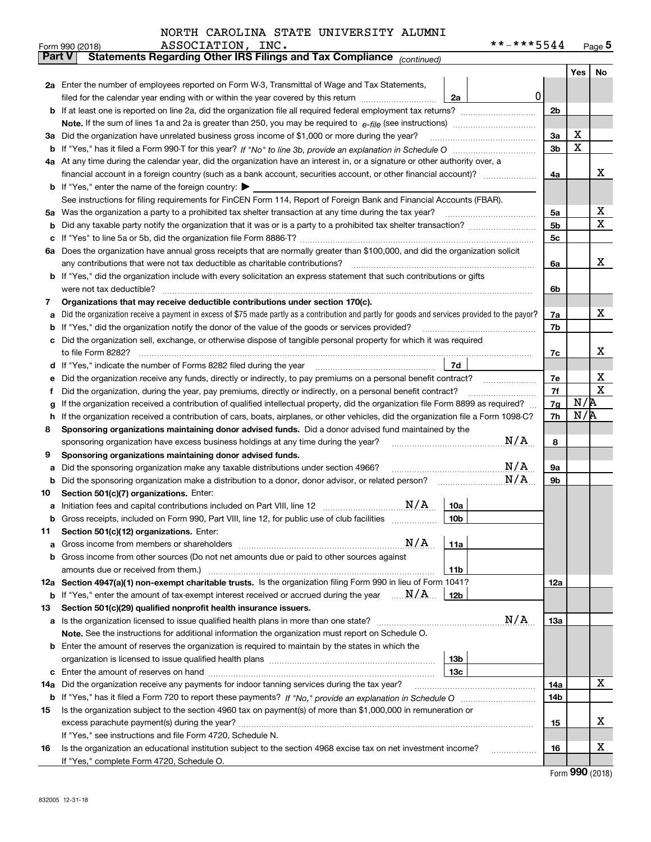| NORTH CAROLINA STATE UNIVERSITY ALUMNI |
|----------------------------------------|
|----------------------------------------|

|               | **-***5544<br>ASSOCIATION, INC.<br>Form 990 (2018)                                                                                                                                                                                         |            |     | Page $5$    |  |  |  |  |  |  |
|---------------|--------------------------------------------------------------------------------------------------------------------------------------------------------------------------------------------------------------------------------------------|------------|-----|-------------|--|--|--|--|--|--|
| <b>Part V</b> | Statements Regarding Other IRS Filings and Tax Compliance (continued)                                                                                                                                                                      |            |     |             |  |  |  |  |  |  |
|               |                                                                                                                                                                                                                                            |            | Yes | No          |  |  |  |  |  |  |
|               | 2a Enter the number of employees reported on Form W-3, Transmittal of Wage and Tax Statements,                                                                                                                                             |            |     |             |  |  |  |  |  |  |
|               | $\mathbf 0$<br>filed for the calendar year ending with or within the year covered by this return<br>2a                                                                                                                                     |            |     |             |  |  |  |  |  |  |
|               |                                                                                                                                                                                                                                            |            |     |             |  |  |  |  |  |  |
|               |                                                                                                                                                                                                                                            | 3a         | x   |             |  |  |  |  |  |  |
| За            | Did the organization have unrelated business gross income of \$1,000 or more during the year?                                                                                                                                              |            |     |             |  |  |  |  |  |  |
| b             |                                                                                                                                                                                                                                            |            |     |             |  |  |  |  |  |  |
|               | 4a At any time during the calendar year, did the organization have an interest in, or a signature or other authority over, a                                                                                                               |            |     |             |  |  |  |  |  |  |
|               |                                                                                                                                                                                                                                            | 4a         |     | х           |  |  |  |  |  |  |
|               | <b>b</b> If "Yes," enter the name of the foreign country: $\blacktriangleright$                                                                                                                                                            |            |     |             |  |  |  |  |  |  |
|               | See instructions for filing requirements for FinCEN Form 114, Report of Foreign Bank and Financial Accounts (FBAR).                                                                                                                        |            |     |             |  |  |  |  |  |  |
| 5a            | Was the organization a party to a prohibited tax shelter transaction at any time during the tax year?                                                                                                                                      | 5a         |     | х           |  |  |  |  |  |  |
| b             |                                                                                                                                                                                                                                            | 5b         |     | X           |  |  |  |  |  |  |
| с             |                                                                                                                                                                                                                                            | 5c         |     |             |  |  |  |  |  |  |
|               | 6a Does the organization have annual gross receipts that are normally greater than \$100,000, and did the organization solicit                                                                                                             |            |     |             |  |  |  |  |  |  |
|               | any contributions that were not tax deductible as charitable contributions?                                                                                                                                                                | 6a         |     | x           |  |  |  |  |  |  |
|               | <b>b</b> If "Yes," did the organization include with every solicitation an express statement that such contributions or gifts                                                                                                              |            |     |             |  |  |  |  |  |  |
|               | were not tax deductible?                                                                                                                                                                                                                   | 6b         |     |             |  |  |  |  |  |  |
| 7             | Organizations that may receive deductible contributions under section 170(c).                                                                                                                                                              |            |     |             |  |  |  |  |  |  |
| а             | Did the organization receive a payment in excess of \$75 made partly as a contribution and partly for goods and services provided to the payor?                                                                                            | 7a         |     | x           |  |  |  |  |  |  |
| b             | If "Yes," did the organization notify the donor of the value of the goods or services provided?                                                                                                                                            | 7b         |     |             |  |  |  |  |  |  |
|               | Did the organization sell, exchange, or otherwise dispose of tangible personal property for which it was required                                                                                                                          |            |     |             |  |  |  |  |  |  |
|               |                                                                                                                                                                                                                                            | 7c         |     | x           |  |  |  |  |  |  |
| d             | 7d<br>If "Yes," indicate the number of Forms 8282 filed during the year [11] [11] Wes," indicate the number of Forms 8282 filed during the year                                                                                            |            |     | х           |  |  |  |  |  |  |
| е             | Did the organization receive any funds, directly or indirectly, to pay premiums on a personal benefit contract?                                                                                                                            | 7e         |     | $\mathbf X$ |  |  |  |  |  |  |
| f             | Did the organization, during the year, pay premiums, directly or indirectly, on a personal benefit contract?                                                                                                                               | 7f<br>7g   | N/R |             |  |  |  |  |  |  |
|               | If the organization received a contribution of qualified intellectual property, did the organization file Form 8899 as required?<br>g                                                                                                      |            |     |             |  |  |  |  |  |  |
| h<br>8        | If the organization received a contribution of cars, boats, airplanes, or other vehicles, did the organization file a Form 1098-C?<br>Sponsoring organizations maintaining donor advised funds. Did a donor advised fund maintained by the | 7h         | N/R |             |  |  |  |  |  |  |
|               | N/A<br>sponsoring organization have excess business holdings at any time during the year?                                                                                                                                                  | 8          |     |             |  |  |  |  |  |  |
| 9             | Sponsoring organizations maintaining donor advised funds.                                                                                                                                                                                  |            |     |             |  |  |  |  |  |  |
| а             | N/A<br>Did the sponsoring organization make any taxable distributions under section 4966?                                                                                                                                                  | 9а         |     |             |  |  |  |  |  |  |
| b             | N/A<br>Did the sponsoring organization make a distribution to a donor, donor advisor, or related person?                                                                                                                                   | 9b         |     |             |  |  |  |  |  |  |
| 10            | Section 501(c)(7) organizations. Enter:                                                                                                                                                                                                    |            |     |             |  |  |  |  |  |  |
| а             | N/A<br>10a<br>Initiation fees and capital contributions included on Part VIII, line 12 [111] [11] [12] [11] [12] [11] [12] [                                                                                                               |            |     |             |  |  |  |  |  |  |
|               | 10 <sub>b</sub><br>Gross receipts, included on Form 990, Part VIII, line 12, for public use of club facilities                                                                                                                             |            |     |             |  |  |  |  |  |  |
| 11            | Section 501(c)(12) organizations. Enter:                                                                                                                                                                                                   |            |     |             |  |  |  |  |  |  |
| а             | N/A<br>11a<br>Gross income from members or shareholders                                                                                                                                                                                    |            |     |             |  |  |  |  |  |  |
| b             | Gross income from other sources (Do not net amounts due or paid to other sources against                                                                                                                                                   |            |     |             |  |  |  |  |  |  |
|               | 11 <sub>b</sub><br>amounts due or received from them.)                                                                                                                                                                                     |            |     |             |  |  |  |  |  |  |
|               | 12a Section 4947(a)(1) non-exempt charitable trusts. Is the organization filing Form 990 in lieu of Form 1041?                                                                                                                             | 12a        |     |             |  |  |  |  |  |  |
|               | <b>b</b> If "Yes," enter the amount of tax-exempt interest received or accrued during the year $\ldots \mathbf{N}/\mathbf{A}$<br>12b                                                                                                       |            |     |             |  |  |  |  |  |  |
| 13            | Section 501(c)(29) qualified nonprofit health insurance issuers.                                                                                                                                                                           |            |     |             |  |  |  |  |  |  |
| a             | N/A<br>Is the organization licensed to issue qualified health plans in more than one state?                                                                                                                                                | <b>13a</b> |     |             |  |  |  |  |  |  |
|               | Note. See the instructions for additional information the organization must report on Schedule O.                                                                                                                                          |            |     |             |  |  |  |  |  |  |
| b             | Enter the amount of reserves the organization is required to maintain by the states in which the                                                                                                                                           |            |     |             |  |  |  |  |  |  |
|               | 13 <sub>b</sub>                                                                                                                                                                                                                            |            |     |             |  |  |  |  |  |  |
| с             | 13 <sub>c</sub>                                                                                                                                                                                                                            |            |     |             |  |  |  |  |  |  |
| 14a           | Did the organization receive any payments for indoor tanning services during the tax year?                                                                                                                                                 | 14a        |     | X           |  |  |  |  |  |  |
|               |                                                                                                                                                                                                                                            | 14b        |     |             |  |  |  |  |  |  |
| 15            | Is the organization subject to the section 4960 tax on payment(s) of more than \$1,000,000 in remuneration or                                                                                                                              |            |     |             |  |  |  |  |  |  |
|               |                                                                                                                                                                                                                                            | 15         |     | х           |  |  |  |  |  |  |
|               | If "Yes," see instructions and file Form 4720, Schedule N.                                                                                                                                                                                 |            |     |             |  |  |  |  |  |  |
| 16            | Is the organization an educational institution subject to the section 4968 excise tax on net investment income?                                                                                                                            | 16         |     | х           |  |  |  |  |  |  |
|               | If "Yes," complete Form 4720, Schedule O.                                                                                                                                                                                                  |            |     |             |  |  |  |  |  |  |

Form (2018) **990**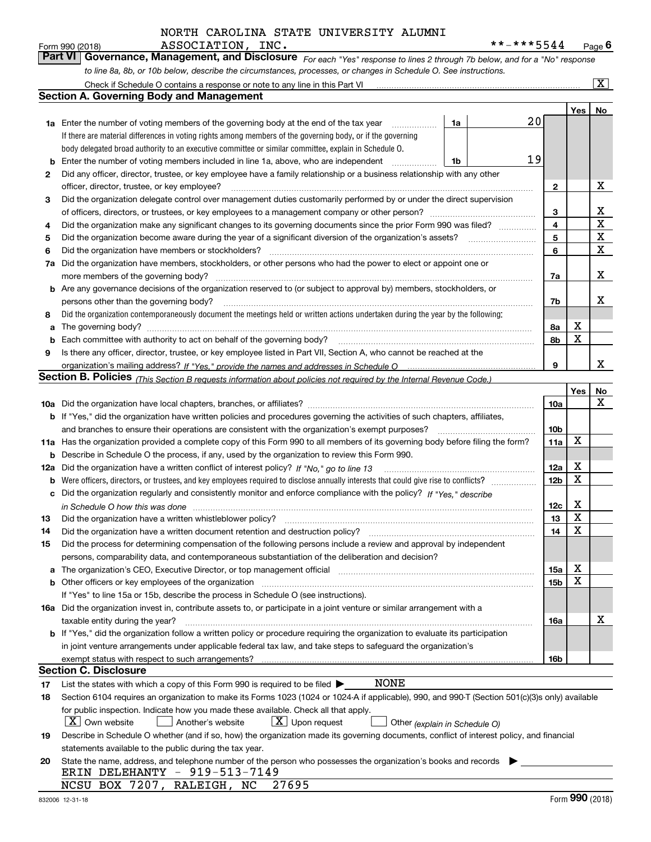*For each "Yes" response to lines 2 through 7b below, and for a "No" response to line 8a, 8b, or 10b below, describe the circumstances, processes, or changes in Schedule O. See instructions.* Form 990 (2018) **ASSOCIATION**, INC.<br>**Part VI Governance, Management, and Disclosure** For each "Yes" response to lines 2 through 7b below, and for a "No" response

|    | Check if Schedule O contains a response or note to any line in this Part VI                                                                                                                                                    |                 |         | $\boxed{\text{X}}$ |
|----|--------------------------------------------------------------------------------------------------------------------------------------------------------------------------------------------------------------------------------|-----------------|---------|--------------------|
|    | Section A. Governing Body and Management                                                                                                                                                                                       |                 |         |                    |
|    |                                                                                                                                                                                                                                |                 | Yes $ $ | No                 |
|    | 20<br>1a<br><b>1a</b> Enter the number of voting members of the governing body at the end of the tax year <i>manumum</i>                                                                                                       |                 |         |                    |
|    | If there are material differences in voting rights among members of the governing body, or if the governing                                                                                                                    |                 |         |                    |
|    | body delegated broad authority to an executive committee or similar committee, explain in Schedule O.                                                                                                                          |                 |         |                    |
| b  | 19<br>Enter the number of voting members included in line 1a, above, who are independent<br>1b                                                                                                                                 |                 |         |                    |
| 2  | Did any officer, director, trustee, or key employee have a family relationship or a business relationship with any other                                                                                                       |                 |         |                    |
|    | officer, director, trustee, or key employee?                                                                                                                                                                                   | 2               |         | х                  |
| 3  | Did the organization delegate control over management duties customarily performed by or under the direct supervision                                                                                                          |                 |         |                    |
|    |                                                                                                                                                                                                                                | 3               |         | х                  |
| 4  | Did the organization make any significant changes to its governing documents since the prior Form 990 was filed?                                                                                                               | 4               |         | X                  |
| 5  | Did the organization become aware during the year of a significant diversion of the organization's assets?                                                                                                                     | 5               |         | X                  |
| 6  | Did the organization have members or stockholders?                                                                                                                                                                             | 6               |         | х                  |
| 7a | Did the organization have members, stockholders, or other persons who had the power to elect or appoint one or                                                                                                                 |                 |         |                    |
|    | more members of the governing body?                                                                                                                                                                                            | 7a              |         | х                  |
|    | <b>b</b> Are any governance decisions of the organization reserved to (or subject to approval by) members, stockholders, or                                                                                                    |                 |         |                    |
|    | persons other than the governing body?                                                                                                                                                                                         | 7b              |         | x                  |
| 8  | Did the organization contemporaneously document the meetings held or written actions undertaken during the year by the following:                                                                                              |                 |         |                    |
|    |                                                                                                                                                                                                                                | 8a              | х       |                    |
| b  | Each committee with authority to act on behalf of the governing body?                                                                                                                                                          | 8b              | X       |                    |
| 9  | Is there any officer, director, trustee, or key employee listed in Part VII, Section A, who cannot be reached at the                                                                                                           |                 |         |                    |
|    |                                                                                                                                                                                                                                | 9               |         | x                  |
|    | Section B. Policies <sub>(This Section B requests information about policies not required by the Internal Revenue Code.)</sub>                                                                                                 |                 |         |                    |
|    |                                                                                                                                                                                                                                |                 | Yes     | No                 |
|    |                                                                                                                                                                                                                                | 10a             |         | x                  |
|    | b If "Yes," did the organization have written policies and procedures governing the activities of such chapters, affiliates,                                                                                                   |                 |         |                    |
|    | and branches to ensure their operations are consistent with the organization's exempt purposes?                                                                                                                                | 10 <sub>b</sub> |         |                    |
|    | 11a Has the organization provided a complete copy of this Form 990 to all members of its governing body before filing the form?                                                                                                | 11a             | X       |                    |
|    | <b>b</b> Describe in Schedule O the process, if any, used by the organization to review this Form 990.                                                                                                                         |                 |         |                    |
|    | 12a Did the organization have a written conflict of interest policy? If "No," go to line 13                                                                                                                                    | 12a             | х       |                    |
|    |                                                                                                                                                                                                                                | 12 <sub>b</sub> | х       |                    |
|    | c Did the organization regularly and consistently monitor and enforce compliance with the policy? If "Yes," describe                                                                                                           |                 |         |                    |
|    |                                                                                                                                                                                                                                | 12c             | х       |                    |
| 13 | Did the organization have a written whistleblower policy?                                                                                                                                                                      | 13              | х       |                    |
| 14 | Did the organization have a written document retention and destruction policy?                                                                                                                                                 | 14              | X       |                    |
| 15 | Did the process for determining compensation of the following persons include a review and approval by independent                                                                                                             |                 |         |                    |
|    | persons, comparability data, and contemporaneous substantiation of the deliberation and decision?                                                                                                                              |                 |         |                    |
|    | a The organization's CEO, Executive Director, or top management official manufactured content content of the organization's CEO, Executive Director, or top management official manufactured content of the state of the state | 15a             | х       |                    |
|    | b Other officers or key employees of the organization manufactured content to the organization manufactured by Other officers or key employees of the organization                                                             | 15b             | x       |                    |
|    | If "Yes" to line 15a or 15b, describe the process in Schedule O (see instructions).                                                                                                                                            |                 |         |                    |
|    | 16a Did the organization invest in, contribute assets to, or participate in a joint venture or similar arrangement with a                                                                                                      |                 |         |                    |
|    | taxable entity during the year?                                                                                                                                                                                                | 16a             |         | х                  |
|    | b If "Yes," did the organization follow a written policy or procedure requiring the organization to evaluate its participation                                                                                                 |                 |         |                    |
|    | in joint venture arrangements under applicable federal tax law, and take steps to safeguard the organization's                                                                                                                 |                 |         |                    |
|    |                                                                                                                                                                                                                                | 16b             |         |                    |
|    | Section C. Disclosure                                                                                                                                                                                                          |                 |         |                    |
| 17 | <b>NONE</b><br>List the states with which a copy of this Form 990 is required to be filed $\blacktriangleright$                                                                                                                |                 |         |                    |
| 18 | Section 6104 requires an organization to make its Forms 1023 (1024 or 1024 A if applicable), 990, and 990 T (Section 501(c)(3)s only) available                                                                                |                 |         |                    |
|    | for public inspection. Indicate how you made these available. Check all that apply.                                                                                                                                            |                 |         |                    |
|    | X   Own website<br>$ \mathbf{X} $ Upon request<br>Another's website<br>Other (explain in Schedule O)                                                                                                                           |                 |         |                    |
| 19 | Describe in Schedule O whether (and if so, how) the organization made its governing documents, conflict of interest policy, and financial                                                                                      |                 |         |                    |
|    | statements available to the public during the tax year.                                                                                                                                                                        |                 |         |                    |
| 20 | State the name, address, and telephone number of the person who possesses the organization's books and records                                                                                                                 |                 |         |                    |
|    | ERIN DELEHANTY - 919-513-7149                                                                                                                                                                                                  |                 |         |                    |
|    | NCSU BOX 7207, RALEIGH, NC<br>27695                                                                                                                                                                                            |                 |         |                    |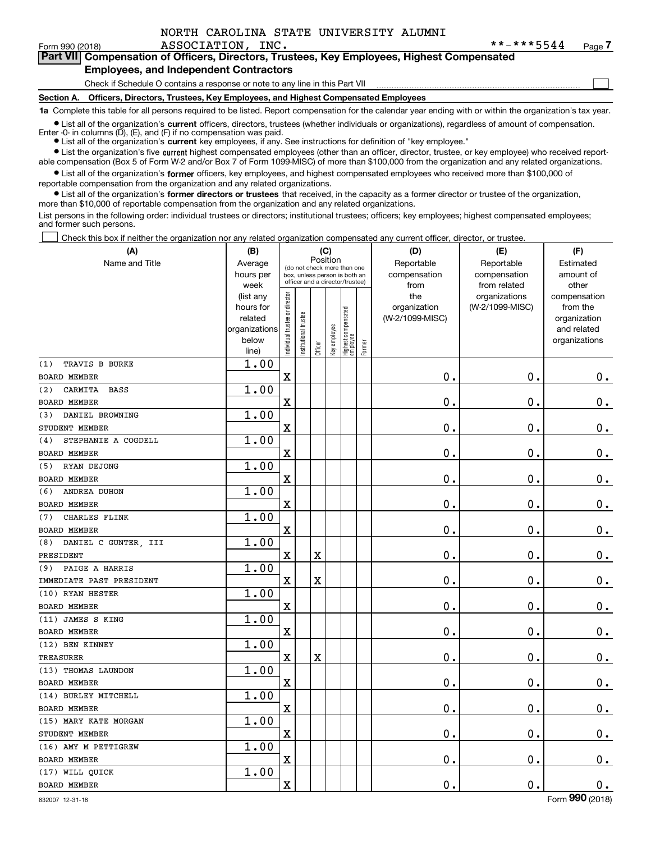$\mathcal{L}^{\text{max}}$ 

# Form 990 (2018) ASSOCIATION, INC . \* \*-\* \* \* 5544 Page

# **7Part VII Compensation of Officers, Directors, Trustees, Key Employees, Highest Compensated Employees, and Independent Contractors**

#### Check if Schedule O contains a response or note to any line in this Part VII

**Section A. Officers, Directors, Trustees, Key Employees, and Highest Compensated Employees**

**1a**  Complete this table for all persons required to be listed. Report compensation for the calendar year ending with or within the organization's tax year.

**•** List all of the organization's current officers, directors, trustees (whether individuals or organizations), regardless of amount of compensation.

● List all of the organization's **current** key employees, if any. See instructions for definition of "key employee." Enter -0- in columns  $(D)$ ,  $(E)$ , and  $(F)$  if no compensation was paid.

**•** List the organization's five current highest compensated employees (other than an officer, director, trustee, or key employee) who received report-

 $\bullet$  List all of the organization's **former** officers, key employees, and highest compensated employees who received more than \$100,000 of able compensation (Box 5 of Form W-2 and/or Box 7 of Form 1099-MISC) of more than \$100,000 from the organization and any related organizations.

reportable compensation from the organization and any related organizations.

**•** List all of the organization's former directors or trustees that received, in the capacity as a former director or trustee of the organization, more than \$10,000 of reportable compensation from the organization and any related organizations.

List persons in the following order: individual trustees or directors; institutional trustees; officers; key employees; highest compensated employees; and former such persons.

Check this box if neither the organization nor any related organization compensated any current officer, director, or trustee.  $\mathcal{L}^{\text{max}}$ 

| (A)                           | (B)                                                                          |                                                                                                             |                      | (C)                     |              |                                 |                            | (D)                                            | (E)                                              | (F)                                                                               |
|-------------------------------|------------------------------------------------------------------------------|-------------------------------------------------------------------------------------------------------------|----------------------|-------------------------|--------------|---------------------------------|----------------------------|------------------------------------------------|--------------------------------------------------|-----------------------------------------------------------------------------------|
| Name and Title                | Average<br>hours per                                                         | Position<br>(do not check more than one<br>box, unless person is both an<br>officer and a director/trustee) |                      |                         |              |                                 | Reportable<br>compensation | Reportable<br>compensation                     | Estimated<br>amount of                           |                                                                                   |
|                               | week<br>(list any<br>hours for<br>related<br>organizations<br>below<br>line) | ndividual trustee or director                                                                               | nstitutional trustee | Officer                 | Key employee | Highest compensated<br>employee | Former                     | from<br>the<br>organization<br>(W-2/1099-MISC) | from related<br>organizations<br>(W-2/1099-MISC) | other<br>compensation<br>from the<br>organization<br>and related<br>organizations |
| TRAVIS B BURKE<br>(1)         | 1.00                                                                         |                                                                                                             |                      |                         |              |                                 |                            |                                                |                                                  |                                                                                   |
| <b>BOARD MEMBER</b>           |                                                                              | $\overline{\textbf{X}}$                                                                                     |                      |                         |              |                                 |                            | 0.                                             | $\mathbf 0$ .                                    | $0_{.}$                                                                           |
| CARMITA<br><b>BASS</b><br>(2) | 1.00                                                                         |                                                                                                             |                      |                         |              |                                 |                            |                                                |                                                  |                                                                                   |
| <b>BOARD MEMBER</b>           |                                                                              | X                                                                                                           |                      |                         |              |                                 |                            | $\mathbf 0$ .                                  | $\mathbf 0$ .                                    | $\mathbf 0$ .                                                                     |
| DANIEL BROWNING<br>(3)        | 1.00                                                                         |                                                                                                             |                      |                         |              |                                 |                            |                                                |                                                  |                                                                                   |
| STUDENT MEMBER                |                                                                              | X                                                                                                           |                      |                         |              |                                 |                            | $\mathbf 0$ .                                  | $\mathbf 0$ .                                    | $\mathbf 0$ .                                                                     |
| STEPHANIE A COGDELL<br>(4)    | 1.00                                                                         |                                                                                                             |                      |                         |              |                                 |                            |                                                |                                                  |                                                                                   |
| <b>BOARD MEMBER</b>           |                                                                              | $\overline{\mathbf{X}}$                                                                                     |                      |                         |              |                                 |                            | 0.                                             | $\mathbf 0$ .                                    | $\mathbf 0$ .                                                                     |
| RYAN DEJONG<br>(5)            | 1.00                                                                         |                                                                                                             |                      |                         |              |                                 |                            |                                                |                                                  |                                                                                   |
| <b>BOARD MEMBER</b>           |                                                                              | $\overline{\mathbf{X}}$                                                                                     |                      |                         |              |                                 |                            | 0.                                             | $\mathbf 0$ .                                    | $0_{.}$                                                                           |
| ANDREA DUHON<br>(6)           | 1.00                                                                         |                                                                                                             |                      |                         |              |                                 |                            |                                                |                                                  |                                                                                   |
| <b>BOARD MEMBER</b>           |                                                                              | $\overline{\mathbf{X}}$                                                                                     |                      |                         |              |                                 |                            | $\mathbf 0$ .                                  | $\mathbf 0$ .                                    | $0$ .                                                                             |
| CHARLES FLINK<br>(7)          | 1.00                                                                         |                                                                                                             |                      |                         |              |                                 |                            |                                                |                                                  |                                                                                   |
| <b>BOARD MEMBER</b>           |                                                                              | $\mathbf X$                                                                                                 |                      |                         |              |                                 |                            | $\mathbf 0$ .                                  | $\mathbf 0$ .                                    | $0_{.}$                                                                           |
| DANIEL C GUNTER, III<br>(8)   | 1.00                                                                         |                                                                                                             |                      |                         |              |                                 |                            |                                                |                                                  |                                                                                   |
| PRESIDENT                     |                                                                              | $\mathbf X$                                                                                                 |                      | X                       |              |                                 |                            | 0.                                             | $\mathbf 0$ .                                    | $\mathbf 0$ .                                                                     |
| PAIGE A HARRIS<br>(9)         | 1.00                                                                         |                                                                                                             |                      |                         |              |                                 |                            |                                                |                                                  |                                                                                   |
| IMMEDIATE PAST PRESIDENT      |                                                                              | $\mathbf X$                                                                                                 |                      | $\overline{\textbf{X}}$ |              |                                 |                            | 0.                                             | $\mathbf 0$ .                                    | $\mathbf 0$ .                                                                     |
| (10) RYAN HESTER              | 1.00                                                                         |                                                                                                             |                      |                         |              |                                 |                            |                                                |                                                  |                                                                                   |
| <b>BOARD MEMBER</b>           |                                                                              | $\overline{\mathbf{X}}$                                                                                     |                      |                         |              |                                 |                            | $\mathbf 0$ .                                  | $\mathbf 0$ .                                    | $0$ .                                                                             |
| (11) JAMES S KING             | 1.00                                                                         |                                                                                                             |                      |                         |              |                                 |                            |                                                |                                                  |                                                                                   |
| <b>BOARD MEMBER</b>           |                                                                              | $\mathbf X$                                                                                                 |                      |                         |              |                                 |                            | $\mathbf 0$ .                                  | $\mathbf 0$ .                                    | $\mathbf 0$ .                                                                     |
| (12) BEN KINNEY               | 1.00                                                                         |                                                                                                             |                      |                         |              |                                 |                            |                                                |                                                  |                                                                                   |
| <b>TREASURER</b>              |                                                                              | $\mathbf X$                                                                                                 |                      | X                       |              |                                 |                            | 0.                                             | $\mathbf 0$ .                                    | $\mathbf 0$ .                                                                     |
| (13) THOMAS LAUNDON           | 1.00                                                                         |                                                                                                             |                      |                         |              |                                 |                            |                                                |                                                  |                                                                                   |
| <b>BOARD MEMBER</b>           |                                                                              | $\mathbf X$                                                                                                 |                      |                         |              |                                 |                            | 0.                                             | $\mathbf 0$ .                                    | $\mathbf 0$ .                                                                     |
| (14) BURLEY MITCHELL          | 1.00                                                                         |                                                                                                             |                      |                         |              |                                 |                            |                                                |                                                  |                                                                                   |
| <b>BOARD MEMBER</b>           |                                                                              | $\overline{\mathbf{X}}$                                                                                     |                      |                         |              |                                 |                            | 0.                                             | $\mathbf 0$ .                                    | $\mathbf 0$ .                                                                     |
| (15) MARY KATE MORGAN         | 1.00                                                                         |                                                                                                             |                      |                         |              |                                 |                            |                                                |                                                  |                                                                                   |
| STUDENT MEMBER                |                                                                              | $\mathbf X$                                                                                                 |                      |                         |              |                                 |                            | 0.                                             | $\mathbf 0$ .                                    | 0.                                                                                |
| (16) AMY M PETTIGREW          | 1.00                                                                         |                                                                                                             |                      |                         |              |                                 |                            |                                                |                                                  |                                                                                   |
| BOARD MEMBER                  |                                                                              | $\mathbf X$                                                                                                 |                      |                         |              |                                 |                            | 0.                                             | $\mathbf 0$ .                                    | $\mathbf 0$ .                                                                     |
| (17) WILL QUICK               | 1.00                                                                         |                                                                                                             |                      |                         |              |                                 |                            |                                                |                                                  |                                                                                   |
| <b>BOARD MEMBER</b>           |                                                                              | $\overline{\textbf{X}}$                                                                                     |                      |                         |              |                                 |                            | 0.                                             | $\mathbf 0$ .                                    | $\mathbf 0$ .                                                                     |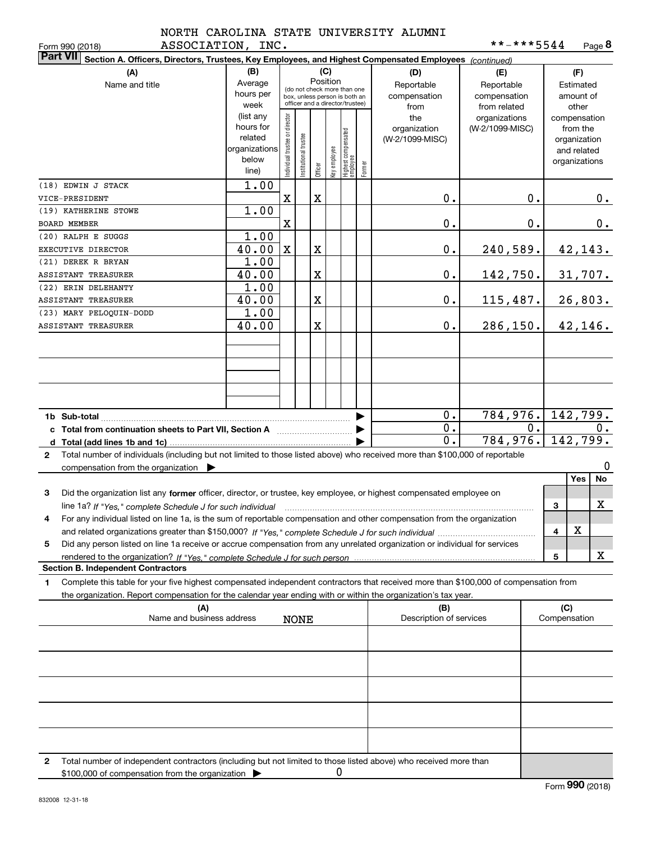|                   | NORTH CAROLINA STATE UNIVERSITY ALUMNI |  |
|-------------------|----------------------------------------|--|
| ASSOCIATION. INC. |                                        |  |

|                       | ASSOCIATION, INC.<br>Form 990 (2018)                                                                                                                                                                                                                                    |                                                                      |                                                                                                                    |                      |         |              |                                 |        |                                           | **-***5544                                        |    |                                        | Page 8                                                                   |  |
|-----------------------|-------------------------------------------------------------------------------------------------------------------------------------------------------------------------------------------------------------------------------------------------------------------------|----------------------------------------------------------------------|--------------------------------------------------------------------------------------------------------------------|----------------------|---------|--------------|---------------------------------|--------|-------------------------------------------|---------------------------------------------------|----|----------------------------------------|--------------------------------------------------------------------------|--|
|                       | <b>Part VII</b><br>Section A. Officers, Directors, Trustees, Key Employees, and Highest Compensated Employees (continued)                                                                                                                                               |                                                                      |                                                                                                                    |                      |         |              |                                 |        |                                           |                                                   |    |                                        |                                                                          |  |
| (A)<br>Name and title |                                                                                                                                                                                                                                                                         | (B)<br>Average<br>hours per<br>week                                  | (C)<br>Position<br>(do not check more than one<br>box, unless person is both an<br>officer and a director/trustee) |                      |         |              |                                 |        | (D)<br>Reportable<br>compensation<br>from | (E)<br>Reportable<br>compensation<br>from related |    | (F)<br>Estimated<br>amount of<br>other |                                                                          |  |
|                       |                                                                                                                                                                                                                                                                         | (list any<br>hours for<br>related<br>organizations<br>below<br>line) | ndividual trustee or director                                                                                      | nstitutional trustee | Officer | Key employee | Highest compensated<br>employee | Former | the<br>organization<br>(W-2/1099-MISC)    | organizations<br>(W-2/1099-MISC)                  |    |                                        | compensation<br>from the<br>organization<br>and related<br>organizations |  |
|                       | (18) EDWIN J STACK<br>VICE-PRESIDENT                                                                                                                                                                                                                                    | 1.00                                                                 | X                                                                                                                  |                      | X       |              |                                 |        | 0.                                        |                                                   | 0. |                                        | 0.                                                                       |  |
|                       | (19) KATHERINE STOWE<br><b>BOARD MEMBER</b>                                                                                                                                                                                                                             | 1.00                                                                 | X                                                                                                                  |                      |         |              |                                 |        | 0.                                        |                                                   | 0. |                                        | 0.                                                                       |  |
|                       | (20) RALPH E SUGGS<br>EXECUTIVE DIRECTOR                                                                                                                                                                                                                                | 1.00<br>40.00                                                        |                                                                                                                    |                      | X       |              |                                 |        |                                           |                                                   |    |                                        |                                                                          |  |
|                       | (21) DEREK R BRYAN                                                                                                                                                                                                                                                      | 1.00                                                                 | X                                                                                                                  |                      |         |              |                                 |        | $\mathbf 0$ .                             | 240,589.                                          |    |                                        | 42, 143.                                                                 |  |
|                       | ASSISTANT TREASURER<br>(22) ERIN DELEHANTY                                                                                                                                                                                                                              | 40.00<br>1.00                                                        |                                                                                                                    |                      | X       |              |                                 |        | $\mathbf 0$ .                             | 142,750.                                          |    |                                        | 31,707.                                                                  |  |
|                       | ASSISTANT TREASURER<br>(23) MARY PELOQUIN-DODD                                                                                                                                                                                                                          | 40.00<br>1.00                                                        |                                                                                                                    |                      | X       |              |                                 |        | $\mathbf 0$ .                             | 115,487.                                          |    |                                        | 26,803.                                                                  |  |
|                       | ASSISTANT TREASURER                                                                                                                                                                                                                                                     | 40.00                                                                |                                                                                                                    |                      | X       |              |                                 |        | $\mathbf 0$ .                             | 286, 150.                                         |    |                                        | 42, 146.                                                                 |  |
|                       |                                                                                                                                                                                                                                                                         |                                                                      |                                                                                                                    |                      |         |              |                                 |        |                                           |                                                   |    |                                        |                                                                          |  |
|                       |                                                                                                                                                                                                                                                                         |                                                                      |                                                                                                                    |                      |         |              |                                 |        |                                           |                                                   |    |                                        |                                                                          |  |
|                       | 1b Sub-total<br>c Total from continuation sheets to Part VII, Section A manuscription of the Section A                                                                                                                                                                  |                                                                      |                                                                                                                    |                      |         |              |                                 |        | 0.<br>$\overline{0}$ .                    | 784,976.                                          | 0. |                                        | 142,799.<br>0.                                                           |  |
|                       | Total number of individuals (including but not limited to those listed above) who received more than \$100,000 of reportable                                                                                                                                            |                                                                      |                                                                                                                    |                      |         |              |                                 |        | 0.                                        | 784,976.                                          |    |                                        | 142,799.                                                                 |  |
| $\mathbf{2}$          | compensation from the organization $\blacktriangleright$                                                                                                                                                                                                                |                                                                      |                                                                                                                    |                      |         |              |                                 |        |                                           |                                                   |    |                                        | 0<br>Yes<br>No                                                           |  |
| 3                     | Did the organization list any former officer, director, or trustee, key employee, or highest compensated employee on<br>line 1a? If "Yes," complete Schedule J for such individual manufactured contained and the 1a? If "Yes," complete Schedule J for such individual |                                                                      |                                                                                                                    |                      |         |              |                                 |        |                                           |                                                   |    | 3                                      | X                                                                        |  |
|                       | For any individual listed on line 1a, is the sum of reportable compensation and other compensation from the organization                                                                                                                                                |                                                                      |                                                                                                                    |                      |         |              |                                 |        |                                           |                                                   |    | 4                                      | X                                                                        |  |
| 5                     | Did any person listed on line 1a receive or accrue compensation from any unrelated organization or individual for services                                                                                                                                              |                                                                      |                                                                                                                    |                      |         |              |                                 |        |                                           |                                                   |    |                                        |                                                                          |  |
|                       | <b>Section B. Independent Contractors</b>                                                                                                                                                                                                                               |                                                                      |                                                                                                                    |                      |         |              |                                 |        |                                           |                                                   |    | 5                                      | х                                                                        |  |
| 1                     | Complete this table for your five highest compensated independent contractors that received more than \$100,000 of compensation from                                                                                                                                    |                                                                      |                                                                                                                    |                      |         |              |                                 |        |                                           |                                                   |    |                                        |                                                                          |  |
|                       | the organization. Report compensation for the calendar year ending with or within the organization's tax year.<br>(A)                                                                                                                                                   |                                                                      |                                                                                                                    |                      |         |              |                                 |        | (B)                                       |                                                   |    | (C)                                    |                                                                          |  |
|                       | Name and business address                                                                                                                                                                                                                                               |                                                                      |                                                                                                                    | <b>NONE</b>          |         |              |                                 |        | Description of services                   |                                                   |    | Compensation                           |                                                                          |  |
|                       |                                                                                                                                                                                                                                                                         |                                                                      |                                                                                                                    |                      |         |              |                                 |        |                                           |                                                   |    |                                        |                                                                          |  |
|                       |                                                                                                                                                                                                                                                                         |                                                                      |                                                                                                                    |                      |         |              |                                 |        |                                           |                                                   |    |                                        |                                                                          |  |
|                       |                                                                                                                                                                                                                                                                         |                                                                      |                                                                                                                    |                      |         |              |                                 |        |                                           |                                                   |    |                                        |                                                                          |  |
|                       |                                                                                                                                                                                                                                                                         |                                                                      |                                                                                                                    |                      |         |              |                                 |        |                                           |                                                   |    |                                        |                                                                          |  |
| 2                     | Total number of independent contractors (including but not limited to those listed above) who received more than<br>\$100,000 of compensation from the organization                                                                                                     |                                                                      |                                                                                                                    |                      |         | 0            |                                 |        |                                           |                                                   |    |                                        |                                                                          |  |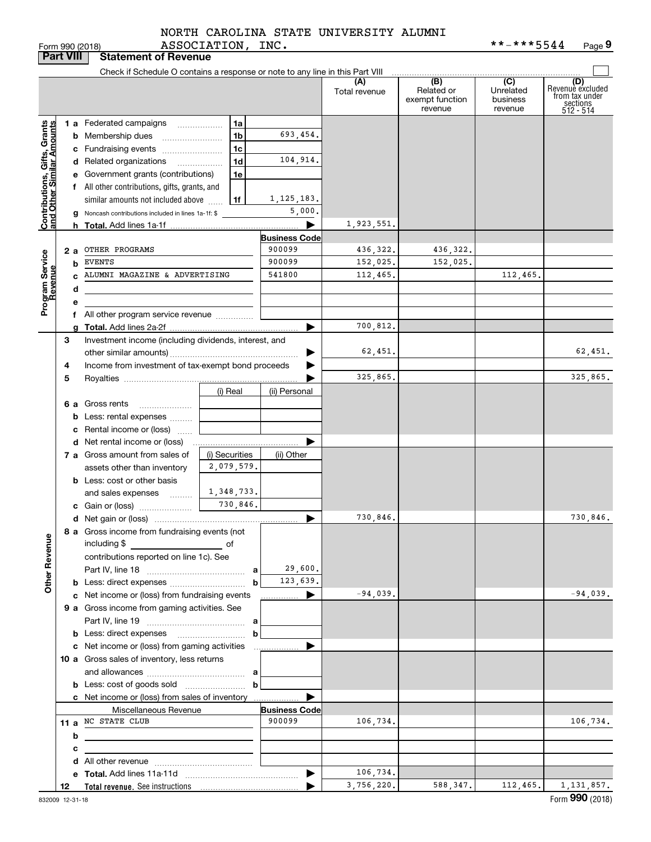# ASSOCIATION, INC. NORTH CAROLINA STATE UNIVERSITY ALUMNI

Form 990 (2018) ASSOCIATION, INC. \* \*-\* \* \* 5 5 4 4 Page **9** \*\*-\*\*\*5544

|                                                           | <b>Part VIII</b> | <b>Statement of Revenue</b>                                                   |                                            |                      |                        |                                                 |                                         |                                                                    |
|-----------------------------------------------------------|------------------|-------------------------------------------------------------------------------|--------------------------------------------|----------------------|------------------------|-------------------------------------------------|-----------------------------------------|--------------------------------------------------------------------|
|                                                           |                  | Check if Schedule O contains a response or note to any line in this Part VIII |                                            |                      |                        |                                                 |                                         |                                                                    |
|                                                           |                  |                                                                               |                                            |                      | (A)<br>Total revenue   | (B)<br>Related or<br>exempt function<br>revenue | (C)<br>Unrelated<br>business<br>revenue | (D)<br>Revenuè excluded<br>from tax under<br>sections<br>512 - 514 |
|                                                           |                  | 1 a Federated campaigns                                                       | 1a                                         |                      |                        |                                                 |                                         |                                                                    |
|                                                           |                  | <b>b</b> Membership dues                                                      | 1 <sub>b</sub>                             | 693,454.             |                        |                                                 |                                         |                                                                    |
|                                                           |                  | c Fundraising events                                                          | 1c                                         |                      |                        |                                                 |                                         |                                                                    |
|                                                           |                  | d Related organizations                                                       | 1 <sub>d</sub><br>$\overline{\phantom{a}}$ | 104,914.             |                        |                                                 |                                         |                                                                    |
|                                                           |                  | e Government grants (contributions)                                           | 1e                                         |                      |                        |                                                 |                                         |                                                                    |
|                                                           |                  | f All other contributions, gifts, grants, and                                 |                                            |                      |                        |                                                 |                                         |                                                                    |
|                                                           |                  | similar amounts not included above                                            | 1f                                         | 1, 125, 183.         |                        |                                                 |                                         |                                                                    |
|                                                           |                  | <b>g</b> Noncash contributions included in lines 1a-1f: \$                    |                                            | 5,000.               |                        |                                                 |                                         |                                                                    |
| Contributions, Gifts, Grants<br>and Other Similar Amounts |                  |                                                                               |                                            | ▶                    | 1,923,551.             |                                                 |                                         |                                                                    |
|                                                           |                  |                                                                               |                                            | <b>Business Code</b> |                        |                                                 |                                         |                                                                    |
|                                                           | 2a               | OTHER PROGRAMS                                                                |                                            | 900099               | 436,322.               | 436,322.                                        |                                         |                                                                    |
|                                                           | b                | EVENTS                                                                        |                                            | 900099               | 152,025.               | 152,025.                                        |                                         |                                                                    |
|                                                           |                  | ALUMNI MAGAZINE & ADVERTISING                                                 |                                            | 541800               | 112,465.               |                                                 | 112,465.                                |                                                                    |
| Program Service<br>Revenue                                | d                |                                                                               |                                            |                      |                        |                                                 |                                         |                                                                    |
|                                                           | e                |                                                                               |                                            |                      |                        |                                                 |                                         |                                                                    |
|                                                           |                  | f All other program service revenue                                           |                                            |                      |                        |                                                 |                                         |                                                                    |
|                                                           | a                |                                                                               |                                            | ▶                    | 700,812.               |                                                 |                                         |                                                                    |
|                                                           | 3                | Investment income (including dividends, interest, and                         |                                            |                      |                        |                                                 |                                         |                                                                    |
|                                                           |                  |                                                                               |                                            |                      | 62,451.                |                                                 |                                         | 62,451.                                                            |
|                                                           | 4                | Income from investment of tax-exempt bond proceeds                            |                                            |                      | 325,865.               |                                                 |                                         | 325,865.                                                           |
|                                                           | 5                |                                                                               | (i) Real                                   | (ii) Personal        |                        |                                                 |                                         |                                                                    |
|                                                           |                  | 6 a Gross rents                                                               |                                            |                      |                        |                                                 |                                         |                                                                    |
|                                                           |                  | <b>b</b> Less: rental expenses                                                |                                            |                      |                        |                                                 |                                         |                                                                    |
|                                                           |                  | c Rental income or (loss)                                                     |                                            |                      |                        |                                                 |                                         |                                                                    |
|                                                           |                  |                                                                               |                                            |                      |                        |                                                 |                                         |                                                                    |
|                                                           |                  | 7 a Gross amount from sales of                                                | (i) Securities                             | (ii) Other           |                        |                                                 |                                         |                                                                    |
|                                                           |                  | assets other than inventory                                                   | 2,079,579.                                 |                      |                        |                                                 |                                         |                                                                    |
|                                                           |                  | <b>b</b> Less: cost or other basis                                            |                                            |                      |                        |                                                 |                                         |                                                                    |
|                                                           |                  | and sales expenses                                                            | 1,348,733.                                 |                      |                        |                                                 |                                         |                                                                    |
|                                                           |                  |                                                                               | 730,846.                                   |                      |                        |                                                 |                                         |                                                                    |
|                                                           |                  |                                                                               |                                            | ▶                    | 730,846.               |                                                 |                                         | 730,846.                                                           |
|                                                           |                  | 8 a Gross income from fundraising events (not<br>including \$                 |                                            |                      |                        |                                                 |                                         |                                                                    |
|                                                           |                  | contributions reported on line 1c). See                                       |                                            |                      |                        |                                                 |                                         |                                                                    |
|                                                           |                  |                                                                               | a                                          | 29,600.              |                        |                                                 |                                         |                                                                    |
| <b>Other Revenue</b>                                      |                  |                                                                               | b                                          | 123,639.             |                        |                                                 |                                         |                                                                    |
|                                                           |                  | c Net income or (loss) from fundraising events                                |                                            | ▶<br>.               | $-94,039.$             |                                                 |                                         | $-94,039.$                                                         |
|                                                           |                  | 9 a Gross income from gaming activities. See                                  |                                            |                      |                        |                                                 |                                         |                                                                    |
|                                                           |                  |                                                                               |                                            |                      |                        |                                                 |                                         |                                                                    |
|                                                           |                  |                                                                               | b                                          |                      |                        |                                                 |                                         |                                                                    |
|                                                           |                  | c Net income or (loss) from gaming activities                                 |                                            | .                    |                        |                                                 |                                         |                                                                    |
|                                                           |                  | 10 a Gross sales of inventory, less returns                                   |                                            |                      |                        |                                                 |                                         |                                                                    |
|                                                           |                  |                                                                               |                                            |                      |                        |                                                 |                                         |                                                                    |
|                                                           |                  |                                                                               | b                                          |                      |                        |                                                 |                                         |                                                                    |
|                                                           |                  | c Net income or (loss) from sales of inventory                                |                                            |                      |                        |                                                 |                                         |                                                                    |
|                                                           |                  | Miscellaneous Revenue                                                         |                                            | <b>Business Code</b> |                        |                                                 |                                         |                                                                    |
|                                                           |                  | 11 a NC STATE CLUB                                                            |                                            | 900099               | 106,734.               |                                                 |                                         | 106,734.                                                           |
|                                                           | b                | the control of the control of the control of the control of the control of    |                                            |                      |                        |                                                 |                                         |                                                                    |
|                                                           | c                |                                                                               |                                            |                      |                        |                                                 |                                         |                                                                    |
|                                                           |                  |                                                                               |                                            |                      |                        |                                                 |                                         |                                                                    |
|                                                           |                  |                                                                               |                                            | ▶                    | 106,734.<br>3,756,220. | 588,347.                                        | 112, 465.                               | 1, 131, 857.                                                       |
|                                                           | 12               |                                                                               |                                            |                      |                        |                                                 |                                         |                                                                    |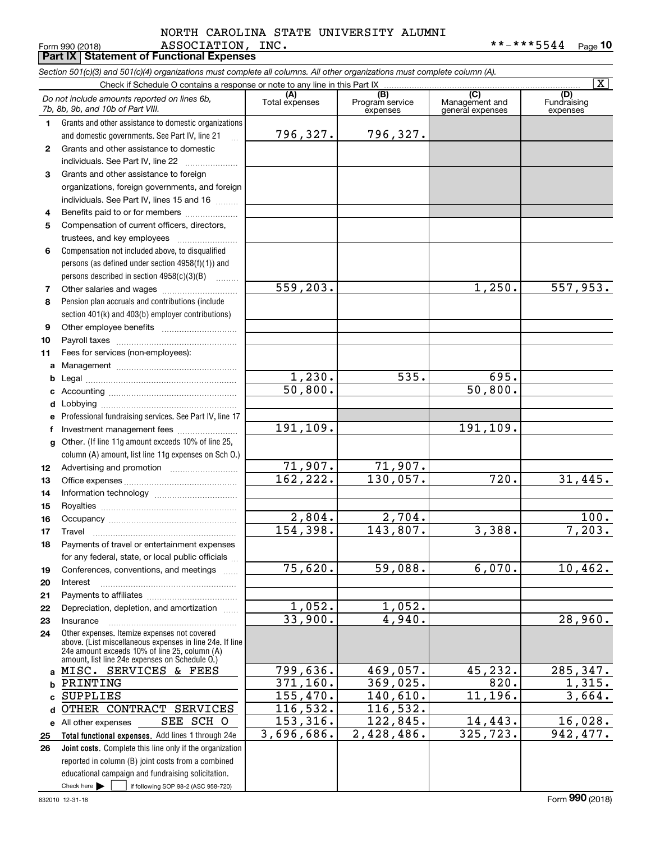#### Form 990 (2018) ASSOCIATION, INC**.** \*\*-\*\*\*5544 <sub>Page</sub> 10 **Part IX Statement of Functional Expenses** ASSOCIATION, INC. NORTH CAROLINA STATE UNIVERSITY ALUMNI

|              | Section 501(c)(3) and 501(c)(4) organizations must complete all columns. All other organizations must complete column (A).                                                                                  |                                 |                                    |                                           |                                |  |  |  |
|--------------|-------------------------------------------------------------------------------------------------------------------------------------------------------------------------------------------------------------|---------------------------------|------------------------------------|-------------------------------------------|--------------------------------|--|--|--|
|              | Check if Schedule O contains a response or note to any line in this Part IX                                                                                                                                 |                                 |                                    |                                           | $\overline{\mathtt{x}}$        |  |  |  |
|              | Do not include amounts reported on lines 6b,<br>7b, 8b, 9b, and 10b of Part VIII.                                                                                                                           | (A)<br>Total expenses           | (B)<br>Program service<br>expenses | (C)<br>Management and<br>general expenses | (D)<br>Fundraising<br>expenses |  |  |  |
| 1.           | Grants and other assistance to domestic organizations                                                                                                                                                       |                                 |                                    |                                           |                                |  |  |  |
|              | and domestic governments. See Part IV, line 21                                                                                                                                                              | 796,327.                        | 796,327.                           |                                           |                                |  |  |  |
| $\mathbf{2}$ | Grants and other assistance to domestic                                                                                                                                                                     |                                 |                                    |                                           |                                |  |  |  |
|              | individuals. See Part IV, line 22                                                                                                                                                                           |                                 |                                    |                                           |                                |  |  |  |
| 3            | Grants and other assistance to foreign                                                                                                                                                                      |                                 |                                    |                                           |                                |  |  |  |
|              | organizations, foreign governments, and foreign                                                                                                                                                             |                                 |                                    |                                           |                                |  |  |  |
|              | individuals. See Part IV, lines 15 and 16                                                                                                                                                                   |                                 |                                    |                                           |                                |  |  |  |
| 4            | Benefits paid to or for members                                                                                                                                                                             |                                 |                                    |                                           |                                |  |  |  |
| 5            | Compensation of current officers, directors,                                                                                                                                                                |                                 |                                    |                                           |                                |  |  |  |
|              | trustees, and key employees                                                                                                                                                                                 |                                 |                                    |                                           |                                |  |  |  |
| 6            | Compensation not included above, to disqualified                                                                                                                                                            |                                 |                                    |                                           |                                |  |  |  |
|              | persons (as defined under section $4958(f)(1)$ ) and                                                                                                                                                        |                                 |                                    |                                           |                                |  |  |  |
|              | persons described in section $4958(c)(3)(B)$                                                                                                                                                                |                                 |                                    |                                           |                                |  |  |  |
| 7            |                                                                                                                                                                                                             | 559,203.                        |                                    | 1,250.                                    | 557,953.                       |  |  |  |
| 8            | Pension plan accruals and contributions (include                                                                                                                                                            |                                 |                                    |                                           |                                |  |  |  |
|              | section 401(k) and 403(b) employer contributions)                                                                                                                                                           |                                 |                                    |                                           |                                |  |  |  |
| 9            |                                                                                                                                                                                                             |                                 |                                    |                                           |                                |  |  |  |
| 10           |                                                                                                                                                                                                             |                                 |                                    |                                           |                                |  |  |  |
| 11           | Fees for services (non-employees):                                                                                                                                                                          |                                 |                                    |                                           |                                |  |  |  |
| a            |                                                                                                                                                                                                             |                                 | $\overline{535}$ .                 | 695.                                      |                                |  |  |  |
| b            |                                                                                                                                                                                                             | 1,230.<br>$\overline{50,800}$ . |                                    | 50,800.                                   |                                |  |  |  |
| c            |                                                                                                                                                                                                             |                                 |                                    |                                           |                                |  |  |  |
| d            |                                                                                                                                                                                                             |                                 |                                    |                                           |                                |  |  |  |
|              | Professional fundraising services. See Part IV, line 17                                                                                                                                                     | 191,109.                        |                                    | 191,109.                                  |                                |  |  |  |
| f            | Investment management fees                                                                                                                                                                                  |                                 |                                    |                                           |                                |  |  |  |
| g            | Other. (If line 11g amount exceeds 10% of line 25,<br>column (A) amount, list line 11g expenses on Sch O.)                                                                                                  |                                 |                                    |                                           |                                |  |  |  |
| 12           |                                                                                                                                                                                                             | 71,907.                         | 71,907.                            |                                           |                                |  |  |  |
| 13           |                                                                                                                                                                                                             | 162, 222.                       | 130,057.                           | 720.                                      | 31,445.                        |  |  |  |
| 14           |                                                                                                                                                                                                             |                                 |                                    |                                           |                                |  |  |  |
| 15           |                                                                                                                                                                                                             |                                 |                                    |                                           |                                |  |  |  |
| 16           |                                                                                                                                                                                                             | 2,804.                          | 2,704.                             |                                           | 100.                           |  |  |  |
| 17           |                                                                                                                                                                                                             | 154,398.                        | 143,807.                           | 3,388.                                    | 7,203.                         |  |  |  |
| 18           | Payments of travel or entertainment expenses                                                                                                                                                                |                                 |                                    |                                           |                                |  |  |  |
|              | for any federal, state, or local public officials                                                                                                                                                           |                                 |                                    |                                           |                                |  |  |  |
| 19           | Conferences, conventions, and meetings                                                                                                                                                                      | 75,620.                         | 59,088.                            | 6,070.                                    | 10,462.                        |  |  |  |
| 20           | Interest                                                                                                                                                                                                    |                                 |                                    |                                           |                                |  |  |  |
| 21           |                                                                                                                                                                                                             |                                 |                                    |                                           |                                |  |  |  |
| 22           | Depreciation, depletion, and amortization                                                                                                                                                                   | 1,052.                          | 1,052.                             |                                           |                                |  |  |  |
| 23           | Insurance                                                                                                                                                                                                   | 33,900.                         | 4,940.                             |                                           | 28,960.                        |  |  |  |
| 24           | Other expenses. Itemize expenses not covered<br>above. (List miscellaneous expenses in line 24e. If line<br>24e amount exceeds 10% of line 25, column (A)<br>amount, list line 24e expenses on Schedule O.) |                                 |                                    |                                           |                                |  |  |  |
| a            | MISC. SERVICES & FEES                                                                                                                                                                                       | 799,636.                        | 469,057.                           | 45,232.                                   | $\overline{285,347}$ .         |  |  |  |
| b            | PRINTING                                                                                                                                                                                                    | 371, 160.                       | 369,025.                           | 820.                                      | 1,315.                         |  |  |  |
| C            | <b>SUPPLIES</b>                                                                                                                                                                                             | 155,470.                        | 140,610.                           | 11,196.                                   | 3,664.                         |  |  |  |
| d            | OTHER CONTRACT SERVICES                                                                                                                                                                                     | 116,532.                        | 116,532.                           |                                           |                                |  |  |  |
|              | SEE SCH O<br>e All other expenses                                                                                                                                                                           | 153, 316.                       | 122,845.                           | 14,443.                                   | 16,028.                        |  |  |  |
| 25           | Total functional expenses. Add lines 1 through 24e                                                                                                                                                          | 3,696,686.                      | 2,428,486.                         | 325,723.                                  | 942,477.                       |  |  |  |
| 26           | Joint costs. Complete this line only if the organization                                                                                                                                                    |                                 |                                    |                                           |                                |  |  |  |
|              | reported in column (B) joint costs from a combined                                                                                                                                                          |                                 |                                    |                                           |                                |  |  |  |
|              | educational campaign and fundraising solicitation.                                                                                                                                                          |                                 |                                    |                                           |                                |  |  |  |
|              | Check here $\blacktriangleright$<br>if following SOP 98-2 (ASC 958-720)                                                                                                                                     |                                 |                                    |                                           |                                |  |  |  |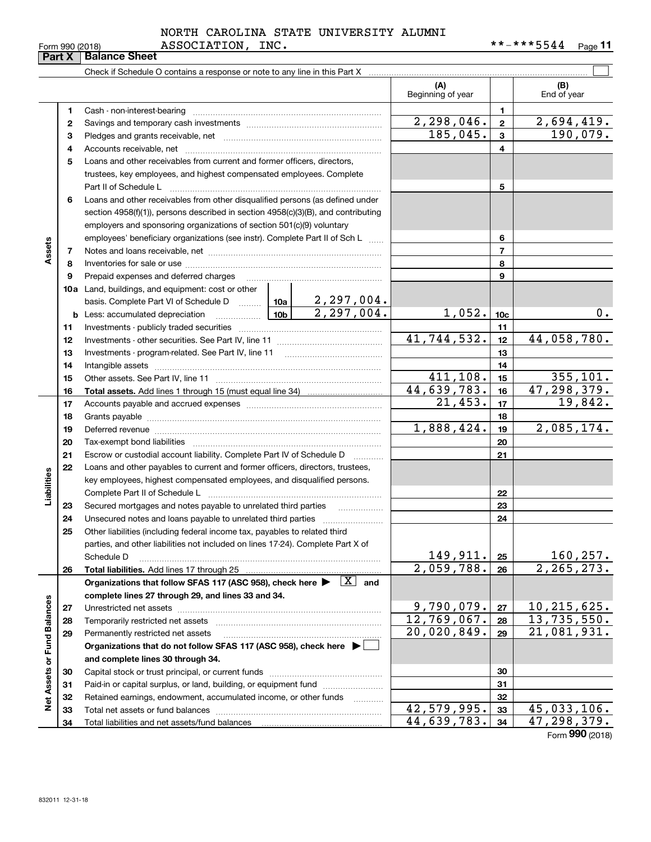# Form 990 (2018) ASSOCIATION, INC. \* \* - \* \* \* 5544 <sub>Page</sub> NORTH CAROLINA STATE UNIVERSITY ALUMNI

**11**

|                             | Part X   | <b>Balance Sheet</b>                                                                                                                                                                                                           |                           |                 |                           |
|-----------------------------|----------|--------------------------------------------------------------------------------------------------------------------------------------------------------------------------------------------------------------------------------|---------------------------|-----------------|---------------------------|
|                             |          |                                                                                                                                                                                                                                |                           |                 |                           |
|                             |          |                                                                                                                                                                                                                                | (A)<br>Beginning of year  |                 | (B)<br>End of year        |
|                             | 1        | Cash - non-interest-bearing                                                                                                                                                                                                    |                           | 1               |                           |
|                             | 2        |                                                                                                                                                                                                                                | 2,298,046.                | $\overline{2}$  | $\overline{2,694,419}$ .  |
|                             | 3        |                                                                                                                                                                                                                                | 185,045.                  | 3               | 190,079.                  |
|                             | 4        |                                                                                                                                                                                                                                |                           | 4               |                           |
|                             | 5        | Loans and other receivables from current and former officers, directors,                                                                                                                                                       |                           |                 |                           |
|                             |          | trustees, key employees, and highest compensated employees. Complete                                                                                                                                                           |                           |                 |                           |
|                             |          | Part II of Schedule L                                                                                                                                                                                                          |                           | 5               |                           |
|                             | 6        | Loans and other receivables from other disqualified persons (as defined under                                                                                                                                                  |                           |                 |                           |
| Assets                      |          | section 4958(f)(1)), persons described in section 4958(c)(3)(B), and contributing                                                                                                                                              |                           |                 |                           |
|                             |          | employers and sponsoring organizations of section 501(c)(9) voluntary                                                                                                                                                          |                           |                 |                           |
|                             |          | employees' beneficiary organizations (see instr). Complete Part II of Sch L                                                                                                                                                    |                           | 6               |                           |
|                             | 7        |                                                                                                                                                                                                                                |                           | 7               |                           |
|                             | 8        |                                                                                                                                                                                                                                |                           | 8               |                           |
|                             | 9        | Prepaid expenses and deferred charges                                                                                                                                                                                          |                           | 9               |                           |
|                             |          | 10a Land, buildings, and equipment: cost or other                                                                                                                                                                              |                           |                 |                           |
|                             |          | basis. Complete Part VI of Schedule D    10a   2, 297, 004.                                                                                                                                                                    |                           |                 |                           |
|                             |          | $\boxed{2,297,004}$ .<br>$\begin{bmatrix} 10b \end{bmatrix}$<br><b>b</b> Less: accumulated depreciation                                                                                                                        | 1,052.                    | 10 <sub>c</sub> | $0$ .                     |
|                             | 11       |                                                                                                                                                                                                                                |                           | 11              |                           |
|                             | 12       |                                                                                                                                                                                                                                | 41, 744, 532.             | 12              | 44,058,780.               |
|                             | 13       |                                                                                                                                                                                                                                |                           | 13              |                           |
|                             | 14       |                                                                                                                                                                                                                                |                           | 14              |                           |
|                             | 15       |                                                                                                                                                                                                                                | 411,108.                  | 15              | 355, 101.                 |
|                             | 16       |                                                                                                                                                                                                                                | 44,639,783.<br>21,453.    | 16              | 47,298,379.<br>19,842.    |
|                             | 17       |                                                                                                                                                                                                                                |                           | 17              |                           |
|                             | 18       |                                                                                                                                                                                                                                | $\overline{1,888}$ , 424. | 18<br>19        | 2,085,174.                |
|                             | 19<br>20 | Deferred revenue information and contact the contract of the contract of the contract of the contract of the contract of the contract of the contract of the contract of the contract of the contract of the contract of the c |                           |                 |                           |
|                             | 21       |                                                                                                                                                                                                                                |                           | 20<br>21        |                           |
|                             | 22       | Escrow or custodial account liability. Complete Part IV of Schedule D<br>Loans and other payables to current and former officers, directors, trustees,                                                                         |                           |                 |                           |
| Liabilities                 |          | key employees, highest compensated employees, and disqualified persons.                                                                                                                                                        |                           |                 |                           |
|                             |          |                                                                                                                                                                                                                                |                           | 22              |                           |
|                             | 23       | Secured mortgages and notes payable to unrelated third parties<br>.                                                                                                                                                            |                           | 23              |                           |
|                             | 24       |                                                                                                                                                                                                                                |                           | 24              |                           |
|                             | 25       | Other liabilities (including federal income tax, payables to related third                                                                                                                                                     |                           |                 |                           |
|                             |          | parties, and other liabilities not included on lines 17-24). Complete Part X of                                                                                                                                                |                           |                 |                           |
|                             |          | Schedule D                                                                                                                                                                                                                     | 149,911.                  | 25              | 160, 257.                 |
|                             | 26       |                                                                                                                                                                                                                                | 2,059,788.                | 26              | 2, 265, 273.              |
|                             |          | $\boxed{\text{X}}$ and<br>Organizations that follow SFAS 117 (ASC 958), check here >                                                                                                                                           |                           |                 |                           |
|                             |          | complete lines 27 through 29, and lines 33 and 34.                                                                                                                                                                             |                           |                 |                           |
|                             | 27       |                                                                                                                                                                                                                                | 9,790,079.                | 27              | 10, 215, 625.             |
|                             | 28       |                                                                                                                                                                                                                                | 12,769,067.               | 28              | 13,735,550.               |
|                             | 29       | Permanently restricted net assets                                                                                                                                                                                              | 20,020,849.               | 29              | $\overline{21,081,931}$ . |
|                             |          | Organizations that do not follow SFAS 117 (ASC 958), check here $\blacktriangleright$                                                                                                                                          |                           |                 |                           |
|                             |          | and complete lines 30 through 34.                                                                                                                                                                                              |                           |                 |                           |
|                             | 30       |                                                                                                                                                                                                                                |                           | 30              |                           |
|                             | 31       | Paid-in or capital surplus, or land, building, or equipment fund                                                                                                                                                               |                           | 31              |                           |
| Net Assets or Fund Balances | 32       | Retained earnings, endowment, accumulated income, or other funds<br>1.1.1.1.1.1.1.1.1.1                                                                                                                                        |                           | 32              |                           |
|                             | 33       |                                                                                                                                                                                                                                | 42,579,995.               | 33              | 45,033,106.               |
|                             | 34       |                                                                                                                                                                                                                                | 44,639,783.               | 34              | 47,298,379.               |

Form (2018) **990**

| orm 990 (2018) |  |
|----------------|--|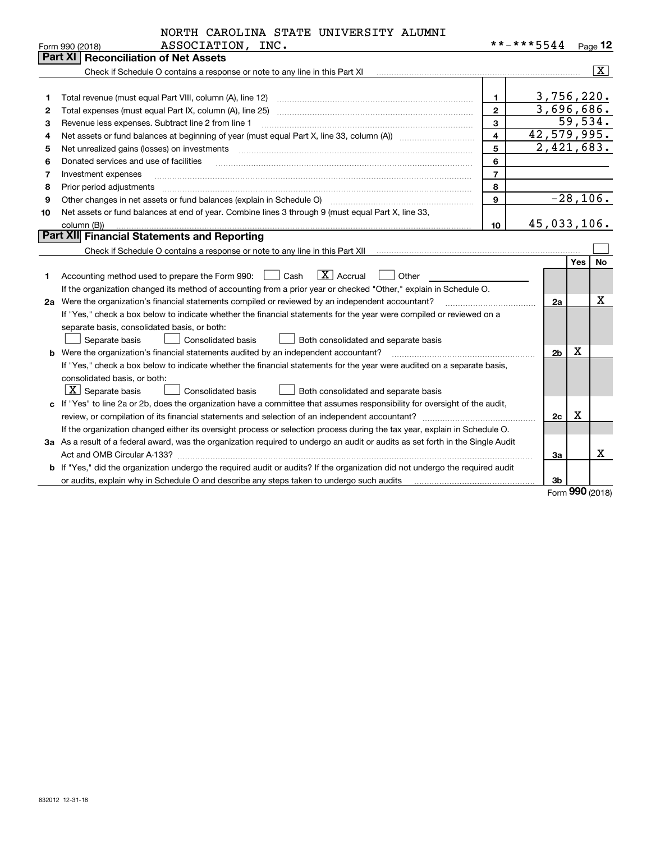|                  | NORTH CAROLINA STATE UNIVERSITY ALUMNI |  |
|------------------|----------------------------------------|--|
| ASSOCIATION INC. |                                        |  |

|    | Form 990 (2018)<br>ASSOCIATION,<br>TMC.                                                                                         |                         | * * - * * * 5544 |            | Page 12                   |
|----|---------------------------------------------------------------------------------------------------------------------------------|-------------------------|------------------|------------|---------------------------|
|    | <b>Part XI   Reconciliation of Net Assets</b>                                                                                   |                         |                  |            |                           |
|    | Check if Schedule O contains a response or note to any line in this Part XI                                                     |                         |                  |            | $\overline{\mathtt{x}}$ ) |
|    |                                                                                                                                 |                         |                  |            |                           |
| 1  | Total revenue (must equal Part VIII, column (A), line 12)                                                                       | 1.                      | 3,756,220.       |            |                           |
| 2  | Total expenses (must equal Part IX, column (A), line 25)                                                                        | $\mathbf{2}$            | 3,696,686.       |            |                           |
| з  | Revenue less expenses. Subtract line 2 from line 1                                                                              | $\overline{3}$          |                  | 59,534.    |                           |
| 4  |                                                                                                                                 | $\overline{\mathbf{4}}$ | 42,579,995.      |            |                           |
| 5  | Net unrealized gains (losses) on investments                                                                                    | 5                       | 2,421,683.       |            |                           |
| 6  | Donated services and use of facilities                                                                                          | 6                       |                  |            |                           |
| 7  | Investment expenses                                                                                                             | $\overline{7}$          |                  |            |                           |
| 8  | Prior period adjustments                                                                                                        | 8                       |                  |            |                           |
| 9  | Other changes in net assets or fund balances (explain in Schedule O)                                                            | 9                       | $-28,106.$       |            |                           |
| 10 | Net assets or fund balances at end of year. Combine lines 3 through 9 (must equal Part X, line 33,                              |                         |                  |            |                           |
|    | column (B))                                                                                                                     | 10                      | 45,033,106.      |            |                           |
|    | Part XII Financial Statements and Reporting                                                                                     |                         |                  |            |                           |
|    |                                                                                                                                 |                         |                  |            |                           |
|    |                                                                                                                                 |                         |                  | <b>Yes</b> | No                        |
| 1  | $\boxed{\mathbf{X}}$ Accrual<br>Accounting method used to prepare the Form 990: <u>June</u> Cash<br>Other                       |                         |                  |            |                           |
|    | If the organization changed its method of accounting from a prior year or checked "Other," explain in Schedule O.               |                         |                  |            |                           |
|    | 2a Were the organization's financial statements compiled or reviewed by an independent accountant?                              |                         | 2a               |            | х                         |
|    | If "Yes," check a box below to indicate whether the financial statements for the year were compiled or reviewed on a            |                         |                  |            |                           |
|    | separate basis, consolidated basis, or both:                                                                                    |                         |                  |            |                           |
|    | Separate basis<br>Consolidated basis<br>Both consolidated and separate basis                                                    |                         |                  |            |                           |
|    | <b>b</b> Were the organization's financial statements audited by an independent accountant?                                     |                         | 2 <sub>b</sub>   | х          |                           |
|    | If "Yes," check a box below to indicate whether the financial statements for the year were audited on a separate basis,         |                         |                  |            |                           |
|    | consolidated basis, or both:                                                                                                    |                         |                  |            |                           |
|    | $\boxed{\textbf{X}}$ Separate basis<br><b>Consolidated basis</b><br>Both consolidated and separate basis                        |                         |                  |            |                           |
|    | c If "Yes" to line 2a or 2b, does the organization have a committee that assumes responsibility for oversight of the audit,     |                         |                  |            |                           |
|    | review, or compilation of its financial statements and selection of an independent accountant?                                  |                         | 2c               | х          |                           |
|    | If the organization changed either its oversight process or selection process during the tax year, explain in Schedule O.       |                         |                  |            |                           |
|    | 3a As a result of a federal award, was the organization required to undergo an audit or audits as set forth in the Single Audit |                         |                  |            |                           |
|    |                                                                                                                                 |                         | За               |            | x                         |
|    | b If "Yes," did the organization undergo the required audit or audits? If the organization did not undergo the required audit   |                         |                  |            |                           |
|    | or audits, explain why in Schedule O and describe any steps taken to undergo such audits                                        |                         | 3b               |            |                           |

Form (2018) **990**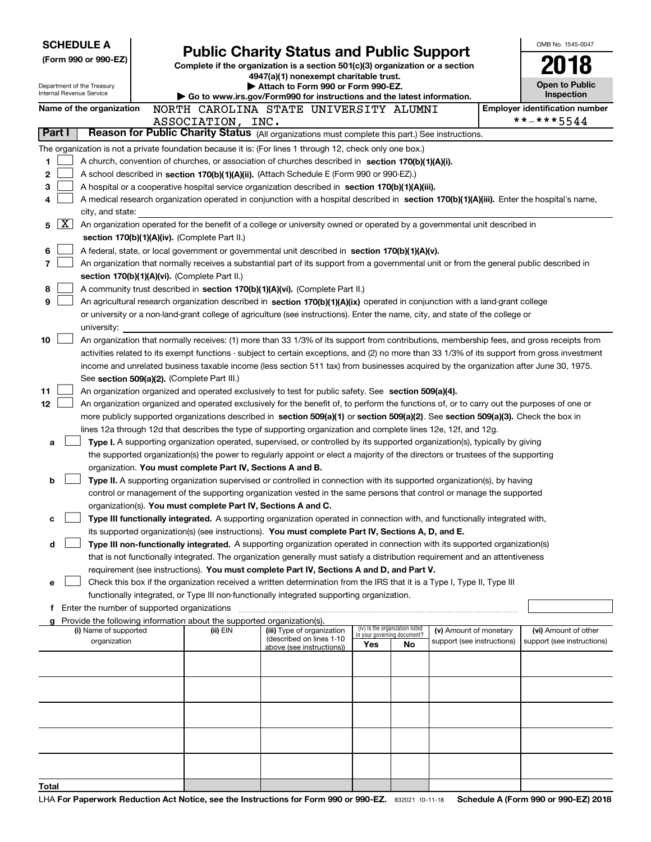| <b>SCHEDULE A</b>                                      |                                             |  |                                                                                    | <b>Public Charity Status and Public Support</b>                                                                                                                                                                                                                                        |                                                                |    |                            | OMB No. 1545-0047                     |
|--------------------------------------------------------|---------------------------------------------|--|------------------------------------------------------------------------------------|----------------------------------------------------------------------------------------------------------------------------------------------------------------------------------------------------------------------------------------------------------------------------------------|----------------------------------------------------------------|----|----------------------------|---------------------------------------|
|                                                        | (Form 990 or 990-EZ)                        |  |                                                                                    |                                                                                                                                                                                                                                                                                        |                                                                |    |                            |                                       |
|                                                        |                                             |  |                                                                                    | Complete if the organization is a section 501(c)(3) organization or a section<br>4947(a)(1) nonexempt charitable trust.                                                                                                                                                                |                                                                |    |                            |                                       |
| Department of the Treasury<br>Internal Revenue Service |                                             |  |                                                                                    | Attach to Form 990 or Form 990-EZ.                                                                                                                                                                                                                                                     |                                                                |    |                            | <b>Open to Public</b><br>Inspection   |
|                                                        | Name of the organization                    |  |                                                                                    | Go to www.irs.gov/Form990 for instructions and the latest information.<br>NORTH CAROLINA STATE UNIVERSITY ALUMNI                                                                                                                                                                       |                                                                |    |                            | <b>Employer identification number</b> |
|                                                        |                                             |  | ASSOCIATION, INC.                                                                  |                                                                                                                                                                                                                                                                                        |                                                                |    |                            | **-***5544                            |
| Part I                                                 |                                             |  |                                                                                    | Reason for Public Charity Status (All organizations must complete this part.) See instructions.                                                                                                                                                                                        |                                                                |    |                            |                                       |
|                                                        |                                             |  |                                                                                    | The organization is not a private foundation because it is: (For lines 1 through 12, check only one box.)                                                                                                                                                                              |                                                                |    |                            |                                       |
| 1                                                      |                                             |  |                                                                                    | A church, convention of churches, or association of churches described in section 170(b)(1)(A)(i).                                                                                                                                                                                     |                                                                |    |                            |                                       |
| 2                                                      |                                             |  |                                                                                    | A school described in section 170(b)(1)(A)(ii). (Attach Schedule E (Form 990 or 990-EZ).)                                                                                                                                                                                              |                                                                |    |                            |                                       |
| З                                                      |                                             |  |                                                                                    | A hospital or a cooperative hospital service organization described in section 170(b)(1)(A)(iii).                                                                                                                                                                                      |                                                                |    |                            |                                       |
| 4                                                      |                                             |  |                                                                                    | A medical research organization operated in conjunction with a hospital described in section 170(b)(1)(A)(iii). Enter the hospital's name,                                                                                                                                             |                                                                |    |                            |                                       |
|                                                        | city, and state:                            |  |                                                                                    |                                                                                                                                                                                                                                                                                        |                                                                |    |                            |                                       |
| X<br>5                                                 |                                             |  |                                                                                    | An organization operated for the benefit of a college or university owned or operated by a governmental unit described in                                                                                                                                                              |                                                                |    |                            |                                       |
| 6                                                      |                                             |  | section 170(b)(1)(A)(iv). (Complete Part II.)                                      | A federal, state, or local government or governmental unit described in section 170(b)(1)(A)(v).                                                                                                                                                                                       |                                                                |    |                            |                                       |
| 7                                                      |                                             |  |                                                                                    | An organization that normally receives a substantial part of its support from a governmental unit or from the general public described in                                                                                                                                              |                                                                |    |                            |                                       |
|                                                        |                                             |  | section 170(b)(1)(A)(vi). (Complete Part II.)                                      |                                                                                                                                                                                                                                                                                        |                                                                |    |                            |                                       |
| 8                                                      |                                             |  |                                                                                    | A community trust described in section 170(b)(1)(A)(vi). (Complete Part II.)                                                                                                                                                                                                           |                                                                |    |                            |                                       |
| 9                                                      |                                             |  |                                                                                    | An agricultural research organization described in section 170(b)(1)(A)(ix) operated in conjunction with a land-grant college                                                                                                                                                          |                                                                |    |                            |                                       |
|                                                        |                                             |  |                                                                                    | or university or a non-land-grant college of agriculture (see instructions). Enter the name, city, and state of the college or                                                                                                                                                         |                                                                |    |                            |                                       |
|                                                        | university:                                 |  |                                                                                    |                                                                                                                                                                                                                                                                                        |                                                                |    |                            |                                       |
| 10                                                     |                                             |  |                                                                                    | An organization that normally receives: (1) more than 33 1/3% of its support from contributions, membership fees, and gross receipts from                                                                                                                                              |                                                                |    |                            |                                       |
|                                                        |                                             |  |                                                                                    | activities related to its exempt functions - subject to certain exceptions, and (2) no more than 33 1/3% of its support from gross investment<br>income and unrelated business taxable income (less section 511 tax) from businesses acquired by the organization after June 30, 1975. |                                                                |    |                            |                                       |
|                                                        |                                             |  | See section 509(a)(2). (Complete Part III.)                                        |                                                                                                                                                                                                                                                                                        |                                                                |    |                            |                                       |
| 11                                                     |                                             |  |                                                                                    | An organization organized and operated exclusively to test for public safety. See section 509(a)(4).                                                                                                                                                                                   |                                                                |    |                            |                                       |
| 12                                                     |                                             |  |                                                                                    | An organization organized and operated exclusively for the benefit of, to perform the functions of, or to carry out the purposes of one or                                                                                                                                             |                                                                |    |                            |                                       |
|                                                        |                                             |  |                                                                                    | more publicly supported organizations described in section 509(a)(1) or section 509(a)(2). See section 509(a)(3). Check the box in                                                                                                                                                     |                                                                |    |                            |                                       |
|                                                        |                                             |  |                                                                                    | lines 12a through 12d that describes the type of supporting organization and complete lines 12e, 12f, and 12g.                                                                                                                                                                         |                                                                |    |                            |                                       |
| а                                                      |                                             |  |                                                                                    | Type I. A supporting organization operated, supervised, or controlled by its supported organization(s), typically by giving                                                                                                                                                            |                                                                |    |                            |                                       |
|                                                        |                                             |  |                                                                                    | the supported organization(s) the power to regularly appoint or elect a majority of the directors or trustees of the supporting                                                                                                                                                        |                                                                |    |                            |                                       |
|                                                        |                                             |  | organization. You must complete Part IV, Sections A and B.                         |                                                                                                                                                                                                                                                                                        |                                                                |    |                            |                                       |
| b                                                      |                                             |  |                                                                                    | Type II. A supporting organization supervised or controlled in connection with its supported organization(s), by having                                                                                                                                                                |                                                                |    |                            |                                       |
|                                                        |                                             |  | organization(s). You must complete Part IV, Sections A and C.                      | control or management of the supporting organization vested in the same persons that control or manage the supported                                                                                                                                                                   |                                                                |    |                            |                                       |
| с                                                      |                                             |  |                                                                                    | Type III functionally integrated. A supporting organization operated in connection with, and functionally integrated with,                                                                                                                                                             |                                                                |    |                            |                                       |
|                                                        |                                             |  |                                                                                    | its supported organization(s) (see instructions). You must complete Part IV, Sections A, D, and E.                                                                                                                                                                                     |                                                                |    |                            |                                       |
| d                                                      |                                             |  |                                                                                    | Type III non-functionally integrated. A supporting organization operated in connection with its supported organization(s)                                                                                                                                                              |                                                                |    |                            |                                       |
|                                                        |                                             |  |                                                                                    | that is not functionally integrated. The organization generally must satisfy a distribution requirement and an attentiveness                                                                                                                                                           |                                                                |    |                            |                                       |
|                                                        |                                             |  |                                                                                    | requirement (see instructions). You must complete Part IV, Sections A and D, and Part V.                                                                                                                                                                                               |                                                                |    |                            |                                       |
| е                                                      |                                             |  |                                                                                    | Check this box if the organization received a written determination from the IRS that it is a Type I, Type II, Type III                                                                                                                                                                |                                                                |    |                            |                                       |
|                                                        |                                             |  |                                                                                    | functionally integrated, or Type III non-functionally integrated supporting organization.                                                                                                                                                                                              |                                                                |    |                            |                                       |
|                                                        | Enter the number of supported organizations |  |                                                                                    |                                                                                                                                                                                                                                                                                        |                                                                |    |                            |                                       |
|                                                        | (i) Name of supported                       |  | Provide the following information about the supported organization(s).<br>(ii) EIN | (iii) Type of organization                                                                                                                                                                                                                                                             | (iv) Is the organization listed<br>in your governing document? |    | (v) Amount of monetary     | (vi) Amount of other                  |
|                                                        | organization                                |  |                                                                                    | (described on lines 1-10<br>above (see instructions))                                                                                                                                                                                                                                  | Yes                                                            | No | support (see instructions) | support (see instructions)            |
|                                                        |                                             |  |                                                                                    |                                                                                                                                                                                                                                                                                        |                                                                |    |                            |                                       |
|                                                        |                                             |  |                                                                                    |                                                                                                                                                                                                                                                                                        |                                                                |    |                            |                                       |
|                                                        |                                             |  |                                                                                    |                                                                                                                                                                                                                                                                                        |                                                                |    |                            |                                       |
|                                                        |                                             |  |                                                                                    |                                                                                                                                                                                                                                                                                        |                                                                |    |                            |                                       |
|                                                        |                                             |  |                                                                                    |                                                                                                                                                                                                                                                                                        |                                                                |    |                            |                                       |
|                                                        |                                             |  |                                                                                    |                                                                                                                                                                                                                                                                                        |                                                                |    |                            |                                       |
|                                                        |                                             |  |                                                                                    |                                                                                                                                                                                                                                                                                        |                                                                |    |                            |                                       |
|                                                        |                                             |  |                                                                                    |                                                                                                                                                                                                                                                                                        |                                                                |    |                            |                                       |
|                                                        |                                             |  |                                                                                    |                                                                                                                                                                                                                                                                                        |                                                                |    |                            |                                       |
| Total                                                  |                                             |  |                                                                                    |                                                                                                                                                                                                                                                                                        |                                                                |    |                            |                                       |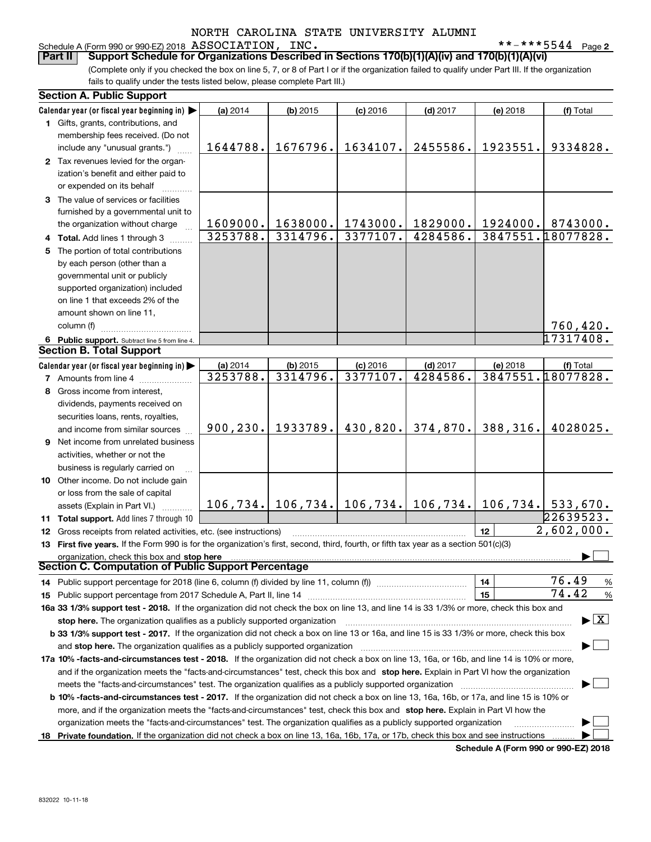### Schedule A (Form 990 or 990-EZ) 2018 Page ASSOCIATION, INC. \*\*-\*\*\*5544

**2**

(Complete only if you checked the box on line 5, 7, or 8 of Part I or if the organization failed to qualify under Part III. If the organization fails to qualify under the tests listed below, please complete Part III.) **Part II Support Schedule for Organizations Described in Sections 170(b)(1)(A)(iv) and 170(b)(1)(A)(vi)**

| <b>Section A. Public Support</b>                                                                                                                                                                                       |           |                                           |            |            |                 |                                          |  |
|------------------------------------------------------------------------------------------------------------------------------------------------------------------------------------------------------------------------|-----------|-------------------------------------------|------------|------------|-----------------|------------------------------------------|--|
| Calendar year (or fiscal year beginning in) $\blacktriangleright$                                                                                                                                                      | (a) 2014  | $(b)$ 2015                                | $(c)$ 2016 | $(d)$ 2017 | (e) 2018        | (f) Total                                |  |
| 1 Gifts, grants, contributions, and                                                                                                                                                                                    |           |                                           |            |            |                 |                                          |  |
| membership fees received. (Do not                                                                                                                                                                                      |           |                                           |            |            |                 |                                          |  |
| include any "unusual grants.")                                                                                                                                                                                         | 1644788.  | 1676796.                                  | 1634107.   | 2455586.   | 1923551.        | 9334828.                                 |  |
| 2 Tax revenues levied for the organ-                                                                                                                                                                                   |           |                                           |            |            |                 |                                          |  |
| ization's benefit and either paid to                                                                                                                                                                                   |           |                                           |            |            |                 |                                          |  |
| or expended on its behalf                                                                                                                                                                                              |           |                                           |            |            |                 |                                          |  |
| 3 The value of services or facilities                                                                                                                                                                                  |           |                                           |            |            |                 |                                          |  |
| furnished by a governmental unit to                                                                                                                                                                                    |           |                                           |            |            |                 |                                          |  |
| the organization without charge                                                                                                                                                                                        | 1609000.  | 1638000.                                  | 1743000.   | 1829000.   | 1924000.        | 8743000.                                 |  |
| 4 Total. Add lines 1 through 3                                                                                                                                                                                         | 3253788.  | 3314796.                                  | 3377107.   | 4284586.   |                 | 3847551.18077828.                        |  |
| 5 The portion of total contributions                                                                                                                                                                                   |           |                                           |            |            |                 |                                          |  |
| by each person (other than a                                                                                                                                                                                           |           |                                           |            |            |                 |                                          |  |
| governmental unit or publicly                                                                                                                                                                                          |           |                                           |            |            |                 |                                          |  |
| supported organization) included                                                                                                                                                                                       |           |                                           |            |            |                 |                                          |  |
| on line 1 that exceeds 2% of the                                                                                                                                                                                       |           |                                           |            |            |                 |                                          |  |
| amount shown on line 11,                                                                                                                                                                                               |           |                                           |            |            |                 |                                          |  |
| column (f)                                                                                                                                                                                                             |           |                                           |            |            |                 | 760, 420.                                |  |
| 6 Public support. Subtract line 5 from line 4.                                                                                                                                                                         |           |                                           |            |            |                 | 17317408.                                |  |
| <b>Section B. Total Support</b>                                                                                                                                                                                        |           |                                           |            |            |                 |                                          |  |
| Calendar year (or fiscal year beginning in)                                                                                                                                                                            | (a) 2014  | $(b)$ 2015                                | $(c)$ 2016 | $(d)$ 2017 | (e) 2018        | (f) Total                                |  |
| <b>7</b> Amounts from line 4                                                                                                                                                                                           | 3253788.  | 3314796.                                  | 3377107.   | 4284586.   |                 | 3847551.18077828.                        |  |
| 8 Gross income from interest,                                                                                                                                                                                          |           |                                           |            |            |                 |                                          |  |
| dividends, payments received on                                                                                                                                                                                        |           |                                           |            |            |                 |                                          |  |
| securities loans, rents, royalties,                                                                                                                                                                                    |           |                                           |            |            |                 |                                          |  |
| and income from similar sources                                                                                                                                                                                        | 900, 230. | 1933789.                                  | 430,820.   | 374,870.   | 388,316.        | 4028025.                                 |  |
| 9 Net income from unrelated business                                                                                                                                                                                   |           |                                           |            |            |                 |                                          |  |
| activities, whether or not the                                                                                                                                                                                         |           |                                           |            |            |                 |                                          |  |
| business is regularly carried on                                                                                                                                                                                       |           |                                           |            |            |                 |                                          |  |
| 10 Other income. Do not include gain                                                                                                                                                                                   |           |                                           |            |            |                 |                                          |  |
| or loss from the sale of capital                                                                                                                                                                                       |           |                                           |            |            |                 |                                          |  |
|                                                                                                                                                                                                                        |           | $106, 734.$ 106, 734. 106, 734. 106, 734. |            |            |                 | $106, 734.$ 533,670.                     |  |
| assets (Explain in Part VI.)<br>11 Total support. Add lines 7 through 10                                                                                                                                               |           |                                           |            |            |                 | 22639523.                                |  |
|                                                                                                                                                                                                                        |           |                                           |            |            | 12 <sup>2</sup> | $\overline{2,602}$ ,000.                 |  |
| 12 Gross receipts from related activities, etc. (see instructions)                                                                                                                                                     |           |                                           |            |            |                 |                                          |  |
| 13 First five years. If the Form 990 is for the organization's first, second, third, fourth, or fifth tax year as a section 501(c)(3)                                                                                  |           |                                           |            |            |                 |                                          |  |
| organization, check this box and stop here<br>Section C. Computation of Public Support Percentage                                                                                                                      |           |                                           |            |            |                 |                                          |  |
| 14 Public support percentage for 2018 (line 6, column (f) divided by line 11, column (f) <i>manumumumum</i>                                                                                                            |           |                                           |            |            | 14              | 76.49<br>$\%$                            |  |
|                                                                                                                                                                                                                        |           |                                           |            |            | 15              | 74.42<br>%                               |  |
| 16a 33 1/3% support test - 2018. If the organization did not check the box on line 13, and line 14 is 33 1/3% or more, check this box and                                                                              |           |                                           |            |            |                 |                                          |  |
|                                                                                                                                                                                                                        |           |                                           |            |            |                 | $\blacktriangleright$ $\boxed{\text{X}}$ |  |
| stop here. The organization qualifies as a publicly supported organization<br>b 33 1/3% support test - 2017. If the organization did not check a box on line 13 or 16a, and line 15 is 33 1/3% or more, check this box |           |                                           |            |            |                 |                                          |  |
|                                                                                                                                                                                                                        |           |                                           |            |            |                 |                                          |  |
| and stop here. The organization qualifies as a publicly supported organization                                                                                                                                         |           |                                           |            |            |                 |                                          |  |
| 17a 10% -facts-and-circumstances test - 2018. If the organization did not check a box on line 13, 16a, or 16b, and line 14 is 10% or more,                                                                             |           |                                           |            |            |                 |                                          |  |
| and if the organization meets the "facts-and-circumstances" test, check this box and stop here. Explain in Part VI how the organization                                                                                |           |                                           |            |            |                 |                                          |  |
| meets the "facts-and-circumstances" test. The organization qualifies as a publicly supported organization                                                                                                              |           |                                           |            |            |                 |                                          |  |
| <b>b 10% -facts-and-circumstances test - 2017.</b> If the organization did not check a box on line 13, 16a, 16b, or 17a, and line 15 is 10% or                                                                         |           |                                           |            |            |                 |                                          |  |
| more, and if the organization meets the "facts-and-circumstances" test, check this box and stop here. Explain in Part VI how the                                                                                       |           |                                           |            |            |                 |                                          |  |
| organization meets the "facts-and-circumstances" test. The organization qualifies as a publicly supported organization                                                                                                 |           |                                           |            |            |                 |                                          |  |
| 18 Private foundation. If the organization did not check a box on line 13, 16a, 16b, 17a, or 17b, check this box and see instructions                                                                                  |           |                                           |            |            |                 |                                          |  |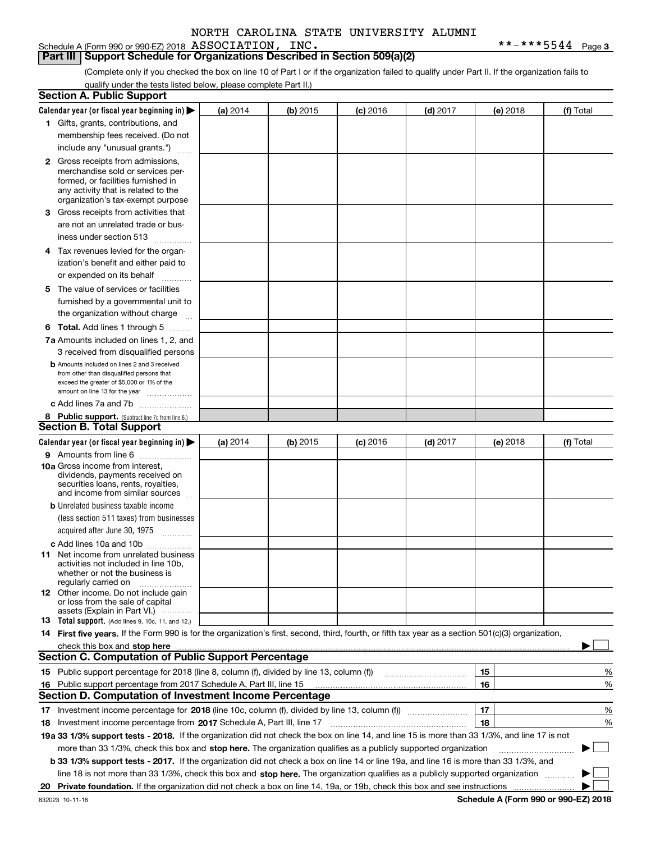Schedule A (Form 990 or 990-EZ) 2018 Page ASSOCIATION, INC. \*\*-\*\*\*5544

**Part III Support Schedule for Organizations Described in Section 509(a)(2)** 

(Complete only if you checked the box on line 10 of Part I or if the organization failed to qualify under Part II. If the organization fails to qualify under the tests listed below, please complete Part II.)

|    | <b>Section A. Public Support</b>                                                                                                                                                                                                                                                             |          |          |            |            |          |                          |
|----|----------------------------------------------------------------------------------------------------------------------------------------------------------------------------------------------------------------------------------------------------------------------------------------------|----------|----------|------------|------------|----------|--------------------------|
|    | Calendar year (or fiscal year beginning in) $\blacktriangleright$                                                                                                                                                                                                                            | (a) 2014 | (b) 2015 | $(c)$ 2016 | $(d)$ 2017 | (e) 2018 | (f) Total                |
|    | 1 Gifts, grants, contributions, and                                                                                                                                                                                                                                                          |          |          |            |            |          |                          |
|    | membership fees received. (Do not                                                                                                                                                                                                                                                            |          |          |            |            |          |                          |
|    | include any "unusual grants.")                                                                                                                                                                                                                                                               |          |          |            |            |          |                          |
|    | <b>2</b> Gross receipts from admissions,                                                                                                                                                                                                                                                     |          |          |            |            |          |                          |
|    | merchandise sold or services per-                                                                                                                                                                                                                                                            |          |          |            |            |          |                          |
|    | formed, or facilities furnished in                                                                                                                                                                                                                                                           |          |          |            |            |          |                          |
|    | any activity that is related to the<br>organization's tax-exempt purpose                                                                                                                                                                                                                     |          |          |            |            |          |                          |
|    | 3 Gross receipts from activities that                                                                                                                                                                                                                                                        |          |          |            |            |          |                          |
|    | are not an unrelated trade or bus-                                                                                                                                                                                                                                                           |          |          |            |            |          |                          |
|    | iness under section 513                                                                                                                                                                                                                                                                      |          |          |            |            |          |                          |
|    |                                                                                                                                                                                                                                                                                              |          |          |            |            |          |                          |
|    | 4 Tax revenues levied for the organ-                                                                                                                                                                                                                                                         |          |          |            |            |          |                          |
|    | ization's benefit and either paid to                                                                                                                                                                                                                                                         |          |          |            |            |          |                          |
|    | or expended on its behalf<br>.                                                                                                                                                                                                                                                               |          |          |            |            |          |                          |
|    | 5 The value of services or facilities                                                                                                                                                                                                                                                        |          |          |            |            |          |                          |
|    | furnished by a governmental unit to                                                                                                                                                                                                                                                          |          |          |            |            |          |                          |
|    | the organization without charge                                                                                                                                                                                                                                                              |          |          |            |            |          |                          |
|    | <b>6 Total.</b> Add lines 1 through 5                                                                                                                                                                                                                                                        |          |          |            |            |          |                          |
|    | 7a Amounts included on lines 1, 2, and                                                                                                                                                                                                                                                       |          |          |            |            |          |                          |
|    | 3 received from disqualified persons                                                                                                                                                                                                                                                         |          |          |            |            |          |                          |
|    | <b>b</b> Amounts included on lines 2 and 3 received                                                                                                                                                                                                                                          |          |          |            |            |          |                          |
|    | from other than disqualified persons that<br>exceed the greater of \$5,000 or 1% of the                                                                                                                                                                                                      |          |          |            |            |          |                          |
|    | amount on line 13 for the year                                                                                                                                                                                                                                                               |          |          |            |            |          |                          |
|    | c Add lines 7a and 7b                                                                                                                                                                                                                                                                        |          |          |            |            |          |                          |
|    | 8 Public support. (Subtract line 7c from line 6.)                                                                                                                                                                                                                                            |          |          |            |            |          |                          |
|    | <b>Section B. Total Support</b>                                                                                                                                                                                                                                                              |          |          |            |            |          |                          |
|    | Calendar year (or fiscal year beginning in)                                                                                                                                                                                                                                                  | (a) 2014 | (b) 2015 | $(c)$ 2016 | $(d)$ 2017 | (e) 2018 | (f) Total                |
|    | 9 Amounts from line 6                                                                                                                                                                                                                                                                        |          |          |            |            |          |                          |
|    | 10a Gross income from interest,                                                                                                                                                                                                                                                              |          |          |            |            |          |                          |
|    | dividends, payments received on<br>securities loans, rents, royalties,                                                                                                                                                                                                                       |          |          |            |            |          |                          |
|    | and income from similar sources                                                                                                                                                                                                                                                              |          |          |            |            |          |                          |
|    | <b>b</b> Unrelated business taxable income                                                                                                                                                                                                                                                   |          |          |            |            |          |                          |
|    | (less section 511 taxes) from businesses                                                                                                                                                                                                                                                     |          |          |            |            |          |                          |
|    | acquired after June 30, 1975                                                                                                                                                                                                                                                                 |          |          |            |            |          |                          |
|    | c Add lines 10a and 10b                                                                                                                                                                                                                                                                      |          |          |            |            |          |                          |
|    | 11 Net income from unrelated business                                                                                                                                                                                                                                                        |          |          |            |            |          |                          |
|    | activities not included in line 10b,                                                                                                                                                                                                                                                         |          |          |            |            |          |                          |
|    | whether or not the business is<br>regularly carried on                                                                                                                                                                                                                                       |          |          |            |            |          |                          |
|    | <b>12</b> Other income. Do not include gain                                                                                                                                                                                                                                                  |          |          |            |            |          |                          |
|    | or loss from the sale of capital                                                                                                                                                                                                                                                             |          |          |            |            |          |                          |
|    | assets (Explain in Part VI.)                                                                                                                                                                                                                                                                 |          |          |            |            |          |                          |
|    | 13 Total support. (Add lines 9, 10c, 11, and 12.)                                                                                                                                                                                                                                            |          |          |            |            |          |                          |
|    | 14 First five years. If the Form 990 is for the organization's first, second, third, fourth, or fifth tax year as a section 501(c)(3) organization,                                                                                                                                          |          |          |            |            |          |                          |
|    | check this box and stop here measurements and contain the state of the state of the state of the state of the state of the state of the state of the state of the state of the state of the state of the state of the state of<br><b>Section C. Computation of Public Support Percentage</b> |          |          |            |            |          |                          |
|    |                                                                                                                                                                                                                                                                                              |          |          |            |            |          |                          |
|    | 15 Public support percentage for 2018 (line 8, column (f), divided by line 13, column (f))                                                                                                                                                                                                   |          |          |            |            | 15       | %                        |
|    | 16 Public support percentage from 2017 Schedule A, Part III, line 15<br><b>Section D. Computation of Investment Income Percentage</b>                                                                                                                                                        |          |          |            |            | 16       | %                        |
|    |                                                                                                                                                                                                                                                                                              |          |          |            |            |          |                          |
|    | 17 Investment income percentage for 2018 (line 10c, column (f), divided by line 13, column (f))                                                                                                                                                                                              |          |          |            |            | 17       | %                        |
|    | <b>18</b> Investment income percentage from <b>2017</b> Schedule A, Part III, line 17                                                                                                                                                                                                        |          |          |            |            | 18       | %                        |
|    | 19a 33 1/3% support tests - 2018. If the organization did not check the box on line 14, and line 15 is more than 33 1/3%, and line 17 is not                                                                                                                                                 |          |          |            |            |          |                          |
|    | more than 33 1/3%, check this box and stop here. The organization qualifies as a publicly supported organization                                                                                                                                                                             |          |          |            |            |          | $\overline{\phantom{a}}$ |
|    | b 33 1/3% support tests - 2017. If the organization did not check a box on line 14 or line 19a, and line 16 is more than 33 1/3%, and                                                                                                                                                        |          |          |            |            |          |                          |
|    | line 18 is not more than 33 1/3%, check this box and stop here. The organization qualifies as a publicly supported organization                                                                                                                                                              |          |          |            |            |          |                          |
| 20 |                                                                                                                                                                                                                                                                                              |          |          |            |            |          |                          |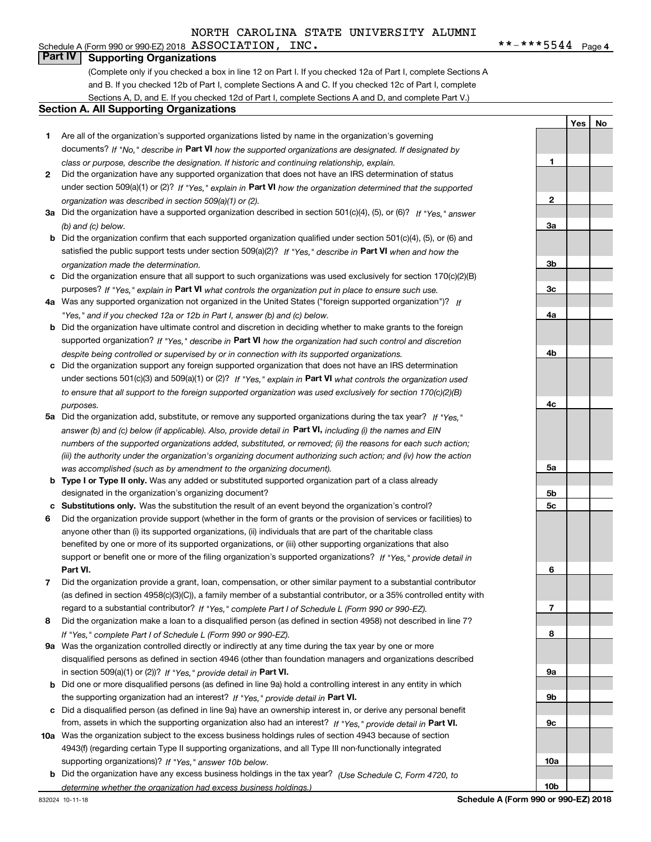# **Part IV Supporting Organizations**

(Complete only if you checked a box in line 12 on Part I. If you checked 12a of Part I, complete Sections A and B. If you checked 12b of Part I, complete Sections A and C. If you checked 12c of Part I, complete Sections A, D, and E. If you checked 12d of Part I, complete Sections A and D, and complete Part V.)

### **Section A. All Supporting Organizations**

- **1** Are all of the organization's supported organizations listed by name in the organization's governing documents? If "No," describe in **Part VI** how the supported organizations are designated. If designated by *class or purpose, describe the designation. If historic and continuing relationship, explain.*
- **2** Did the organization have any supported organization that does not have an IRS determination of status under section 509(a)(1) or (2)? If "Yes," explain in Part VI how the organization determined that the supported *organization was described in section 509(a)(1) or (2).*
- **3a** Did the organization have a supported organization described in section 501(c)(4), (5), or (6)? If "Yes," answer *(b) and (c) below.*
- **b** Did the organization confirm that each supported organization qualified under section 501(c)(4), (5), or (6) and satisfied the public support tests under section 509(a)(2)? If "Yes," describe in **Part VI** when and how the *organization made the determination.*
- **c**Did the organization ensure that all support to such organizations was used exclusively for section 170(c)(2)(B) purposes? If "Yes," explain in **Part VI** what controls the organization put in place to ensure such use.
- **4a***If* Was any supported organization not organized in the United States ("foreign supported organization")? *"Yes," and if you checked 12a or 12b in Part I, answer (b) and (c) below.*
- **b** Did the organization have ultimate control and discretion in deciding whether to make grants to the foreign supported organization? If "Yes," describe in **Part VI** how the organization had such control and discretion *despite being controlled or supervised by or in connection with its supported organizations.*
- **c** Did the organization support any foreign supported organization that does not have an IRS determination under sections 501(c)(3) and 509(a)(1) or (2)? If "Yes," explain in **Part VI** what controls the organization used *to ensure that all support to the foreign supported organization was used exclusively for section 170(c)(2)(B) purposes.*
- **5a***If "Yes,"* Did the organization add, substitute, or remove any supported organizations during the tax year? answer (b) and (c) below (if applicable). Also, provide detail in **Part VI,** including (i) the names and EIN *numbers of the supported organizations added, substituted, or removed; (ii) the reasons for each such action; (iii) the authority under the organization's organizing document authorizing such action; and (iv) how the action was accomplished (such as by amendment to the organizing document).*
- **b** Type I or Type II only. Was any added or substituted supported organization part of a class already designated in the organization's organizing document?
- **cSubstitutions only.**  Was the substitution the result of an event beyond the organization's control?
- **6** Did the organization provide support (whether in the form of grants or the provision of services or facilities) to **Part VI.** *If "Yes," provide detail in* support or benefit one or more of the filing organization's supported organizations? anyone other than (i) its supported organizations, (ii) individuals that are part of the charitable class benefited by one or more of its supported organizations, or (iii) other supporting organizations that also
- **7**Did the organization provide a grant, loan, compensation, or other similar payment to a substantial contributor *If "Yes," complete Part I of Schedule L (Form 990 or 990-EZ).* regard to a substantial contributor? (as defined in section 4958(c)(3)(C)), a family member of a substantial contributor, or a 35% controlled entity with
- **8** Did the organization make a loan to a disqualified person (as defined in section 4958) not described in line 7? *If "Yes," complete Part I of Schedule L (Form 990 or 990-EZ).*
- **9a** Was the organization controlled directly or indirectly at any time during the tax year by one or more in section 509(a)(1) or (2))? If "Yes," *provide detail in* <code>Part VI.</code> disqualified persons as defined in section 4946 (other than foundation managers and organizations described
- **b** Did one or more disqualified persons (as defined in line 9a) hold a controlling interest in any entity in which the supporting organization had an interest? If "Yes," provide detail in P**art VI**.
- **c**Did a disqualified person (as defined in line 9a) have an ownership interest in, or derive any personal benefit from, assets in which the supporting organization also had an interest? If "Yes," provide detail in P**art VI.**
- **10a** Was the organization subject to the excess business holdings rules of section 4943 because of section supporting organizations)? If "Yes," answer 10b below. 4943(f) (regarding certain Type II supporting organizations, and all Type III non-functionally integrated
- **b** Did the organization have any excess business holdings in the tax year? (Use Schedule C, Form 4720, to *determine whether the organization had excess business holdings.)*

832024 10-11-18

**Schedule A (Form 990 or 990-EZ) 2018**

**1**

**2**

**3a**

**3b**

**3c**

**4a**

**4b**

**4c**

**5a**

**5b5c**

**6**

**7**

**8**

**9a**

**9b**

**9c**

**10a**

**10b**

**YesNo**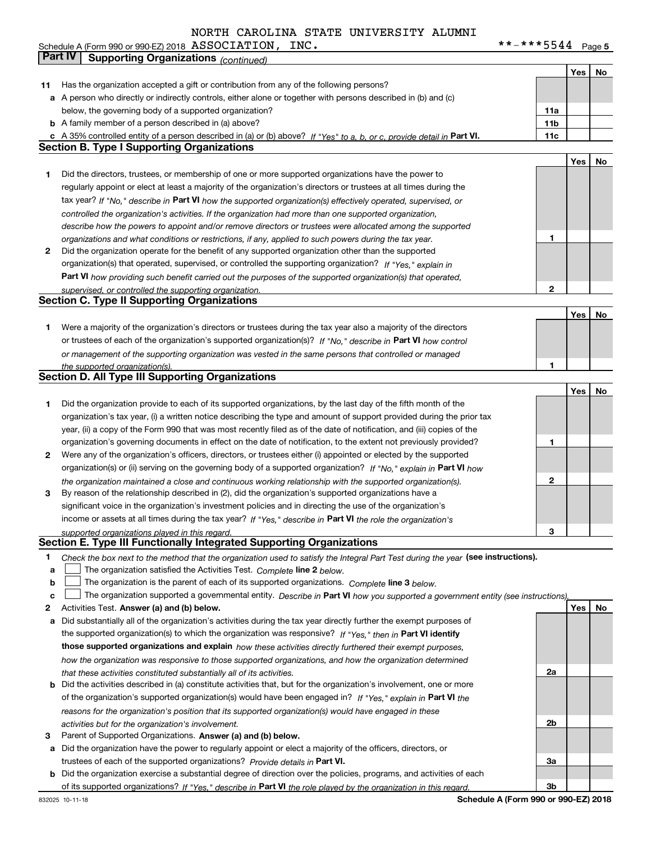**5** Schedule A (Form 990 or 990-EZ) 2018  ${\sf ASSUCLATLON}$  ,  ${\sf\_INC}$  ,  ${\sf\_INC}$  ,  ${\sf ''C}$  ,  ${\sf ''C}$  ,  ${\sf ''C}$  ,  ${\sf ''C}$  ,  ${\sf ''C}$  ,  ${\sf ''C}$  ,  ${\sf ''C}$  ,  ${\sf ''C}$  ,  ${\sf ''C}$  ,  ${\sf ''C}$  ,  ${\sf ''C}$  ,  ${\sf ''C}$  ,  ${\sf ''C}$  ,  ${\sf ''C}$  ,  ${\sf ''C}$  , ASSOCIATION, INC. \*\*-\*\*\*5544

|        | Part IV<br><b>Supporting Organizations (continued)</b>                                                                                                                                                      |              |     |    |
|--------|-------------------------------------------------------------------------------------------------------------------------------------------------------------------------------------------------------------|--------------|-----|----|
|        |                                                                                                                                                                                                             |              | Yes | No |
| 11     | Has the organization accepted a gift or contribution from any of the following persons?                                                                                                                     |              |     |    |
|        | a A person who directly or indirectly controls, either alone or together with persons described in (b) and (c)                                                                                              |              |     |    |
|        | below, the governing body of a supported organization?                                                                                                                                                      | 11a          |     |    |
|        | <b>b</b> A family member of a person described in (a) above?                                                                                                                                                | 11b          |     |    |
|        | c A 35% controlled entity of a person described in (a) or (b) above? If "Yes" to a, b, or c, provide detail in Part VI.                                                                                     | 11c          |     |    |
|        | <b>Section B. Type I Supporting Organizations</b>                                                                                                                                                           |              |     |    |
|        |                                                                                                                                                                                                             |              | Yes | No |
| 1      | Did the directors, trustees, or membership of one or more supported organizations have the power to                                                                                                         |              |     |    |
|        | regularly appoint or elect at least a majority of the organization's directors or trustees at all times during the                                                                                          |              |     |    |
|        | tax year? If "No," describe in Part VI how the supported organization(s) effectively operated, supervised, or                                                                                               |              |     |    |
|        | controlled the organization's activities. If the organization had more than one supported organization,                                                                                                     |              |     |    |
|        | describe how the powers to appoint and/or remove directors or trustees were allocated among the supported                                                                                                   |              |     |    |
|        | organizations and what conditions or restrictions, if any, applied to such powers during the tax year.                                                                                                      | 1            |     |    |
| 2      | Did the organization operate for the benefit of any supported organization other than the supported                                                                                                         |              |     |    |
|        | organization(s) that operated, supervised, or controlled the supporting organization? If "Yes," explain in                                                                                                  |              |     |    |
|        | Part VI how providing such benefit carried out the purposes of the supported organization(s) that operated,                                                                                                 |              |     |    |
|        | supervised, or controlled the supporting organization.                                                                                                                                                      | 2            |     |    |
|        | <b>Section C. Type II Supporting Organizations</b>                                                                                                                                                          |              |     |    |
|        |                                                                                                                                                                                                             |              | Yes | No |
| 1      | Were a majority of the organization's directors or trustees during the tax year also a majority of the directors                                                                                            |              |     |    |
|        | or trustees of each of the organization's supported organization(s)? If "No," describe in Part VI how control                                                                                               |              |     |    |
|        | or management of the supporting organization was vested in the same persons that controlled or managed                                                                                                      |              |     |    |
|        | the supported organization(s).                                                                                                                                                                              | 1            |     |    |
|        | <b>Section D. All Type III Supporting Organizations</b>                                                                                                                                                     |              |     |    |
|        |                                                                                                                                                                                                             |              | Yes | No |
| 1      | Did the organization provide to each of its supported organizations, by the last day of the fifth month of the                                                                                              |              |     |    |
|        | organization's tax year, (i) a written notice describing the type and amount of support provided during the prior tax                                                                                       |              |     |    |
|        | year, (ii) a copy of the Form 990 that was most recently filed as of the date of notification, and (iii) copies of the                                                                                      |              |     |    |
|        | organization's governing documents in effect on the date of notification, to the extent not previously provided?                                                                                            | 1            |     |    |
| 2      | Were any of the organization's officers, directors, or trustees either (i) appointed or elected by the supported                                                                                            |              |     |    |
|        | organization(s) or (ii) serving on the governing body of a supported organization? If "No," explain in Part VI how                                                                                          |              |     |    |
|        | the organization maintained a close and continuous working relationship with the supported organization(s).                                                                                                 | $\mathbf{2}$ |     |    |
| 3      | By reason of the relationship described in (2), did the organization's supported organizations have a                                                                                                       |              |     |    |
|        | significant voice in the organization's investment policies and in directing the use of the organization's                                                                                                  |              |     |    |
|        | income or assets at all times during the tax year? If "Yes," describe in Part VI the role the organization's                                                                                                |              |     |    |
|        | supported organizations played in this regard.<br>Section E. Type III Functionally Integrated Supporting Organizations                                                                                      | 3            |     |    |
|        |                                                                                                                                                                                                             |              |     |    |
| 1<br>a | Check the box next to the method that the organization used to satisfy the Integral Part Test during the year (see instructions).<br>The organization satisfied the Activities Test. Complete line 2 below. |              |     |    |
| b      | The organization is the parent of each of its supported organizations. Complete line 3 below.                                                                                                               |              |     |    |
| c      | The organization supported a governmental entity. Describe in Part VI how you supported a government entity (see instructions),                                                                             |              |     |    |
| 2      | Activities Test. Answer (a) and (b) below.                                                                                                                                                                  |              | Yes | No |
| a      | Did substantially all of the organization's activities during the tax year directly further the exempt purposes of                                                                                          |              |     |    |
|        | the supported organization(s) to which the organization was responsive? If "Yes," then in Part VI identify                                                                                                  |              |     |    |
|        | those supported organizations and explain how these activities directly furthered their exempt purposes,                                                                                                    |              |     |    |
|        | how the organization was responsive to those supported organizations, and how the organization determined                                                                                                   |              |     |    |
|        | that these activities constituted substantially all of its activities.                                                                                                                                      | 2a           |     |    |
|        | <b>b</b> Did the activities described in (a) constitute activities that, but for the organization's involvement, one or more                                                                                |              |     |    |
|        | of the organization's supported organization(s) would have been engaged in? If "Yes," explain in Part VI the                                                                                                |              |     |    |
|        | reasons for the organization's position that its supported organization(s) would have engaged in these                                                                                                      |              |     |    |
|        | activities but for the organization's involvement.                                                                                                                                                          | 2b           |     |    |
| з      | Parent of Supported Organizations. Answer (a) and (b) below.                                                                                                                                                |              |     |    |
| a      | Did the organization have the power to regularly appoint or elect a majority of the officers, directors, or                                                                                                 |              |     |    |
|        | trustees of each of the supported organizations? Provide details in Part VI.                                                                                                                                | За           |     |    |
|        | <b>b</b> Did the organization exercise a substantial degree of direction over the policies, programs, and activities of each                                                                                |              |     |    |
|        | of its supported organizations? If "Yes," describe in Part VI the role played by the organization in this regard.                                                                                           | Зb           |     |    |
|        |                                                                                                                                                                                                             |              |     |    |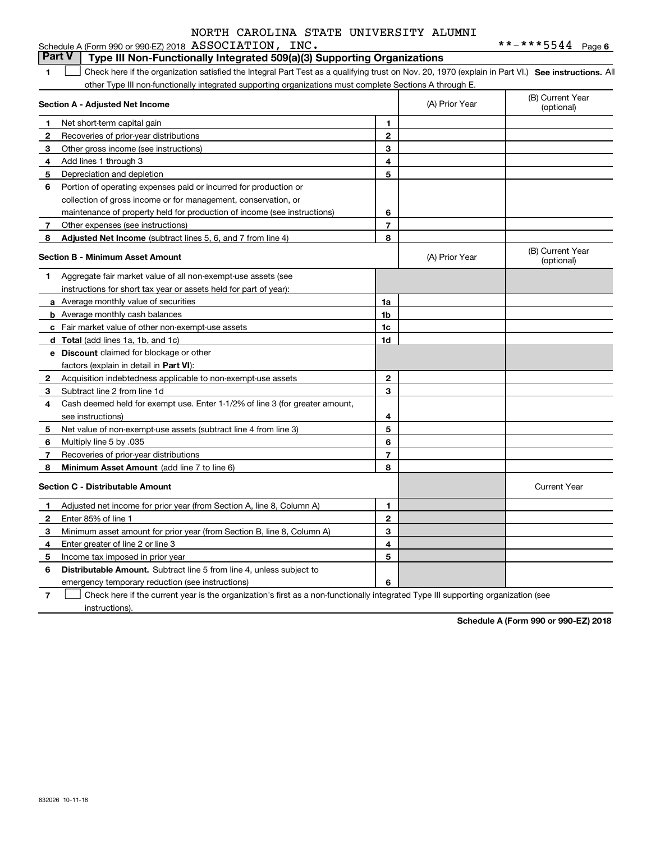|              | <b>Part V</b><br>Type III Non-Functionally Integrated 509(a)(3) Supporting Organizations                                                          |                |                |                                |
|--------------|---------------------------------------------------------------------------------------------------------------------------------------------------|----------------|----------------|--------------------------------|
| 1.           | Check here if the organization satisfied the Integral Part Test as a qualifying trust on Nov. 20, 1970 (explain in Part VI.) See instructions. Al |                |                |                                |
|              | other Type III non-functionally integrated supporting organizations must complete Sections A through E.                                           |                |                |                                |
|              | Section A - Adjusted Net Income                                                                                                                   |                | (A) Prior Year | (B) Current Year<br>(optional) |
| 1            | Net short-term capital gain                                                                                                                       | 1              |                |                                |
| $\mathbf{2}$ | Recoveries of prior-year distributions                                                                                                            | $\mathbf{2}$   |                |                                |
| 3            | Other gross income (see instructions)                                                                                                             | 3              |                |                                |
| 4            | Add lines 1 through 3                                                                                                                             | 4              |                |                                |
| 5            | Depreciation and depletion                                                                                                                        | 5              |                |                                |
| 6            | Portion of operating expenses paid or incurred for production or                                                                                  |                |                |                                |
|              | collection of gross income or for management, conservation, or                                                                                    |                |                |                                |
|              | maintenance of property held for production of income (see instructions)                                                                          | 6              |                |                                |
| 7            | Other expenses (see instructions)                                                                                                                 | $\overline{7}$ |                |                                |
| 8            | Adjusted Net Income (subtract lines 5, 6, and 7 from line 4)                                                                                      | 8              |                |                                |
|              | <b>Section B - Minimum Asset Amount</b>                                                                                                           |                | (A) Prior Year | (B) Current Year<br>(optional) |
| 1            | Aggregate fair market value of all non-exempt-use assets (see                                                                                     |                |                |                                |
|              | instructions for short tax year or assets held for part of year):                                                                                 |                |                |                                |
|              | <b>a</b> Average monthly value of securities                                                                                                      | 1a             |                |                                |
|              | <b>b</b> Average monthly cash balances                                                                                                            | 1b             |                |                                |
|              | c Fair market value of other non-exempt-use assets                                                                                                | 1c             |                |                                |
|              | d Total (add lines 1a, 1b, and 1c)                                                                                                                | 1d             |                |                                |
|              | <b>e</b> Discount claimed for blockage or other                                                                                                   |                |                |                                |
|              | factors (explain in detail in Part VI):                                                                                                           |                |                |                                |
| $\mathbf{2}$ | Acquisition indebtedness applicable to non-exempt-use assets                                                                                      | $\mathbf{2}$   |                |                                |
| 3            | Subtract line 2 from line 1d                                                                                                                      | 3              |                |                                |
| 4            | Cash deemed held for exempt use. Enter 1-1/2% of line 3 (for greater amount,                                                                      |                |                |                                |
|              | see instructions)                                                                                                                                 | 4              |                |                                |
| 5            | Net value of non-exempt-use assets (subtract line 4 from line 3)                                                                                  | 5              |                |                                |
| 6            | Multiply line 5 by .035                                                                                                                           | 6              |                |                                |
| 7            | Recoveries of prior-year distributions                                                                                                            | $\overline{7}$ |                |                                |
| 8            | <b>Minimum Asset Amount</b> (add line 7 to line 6)                                                                                                | 8              |                |                                |
|              | <b>Section C - Distributable Amount</b>                                                                                                           |                |                | <b>Current Year</b>            |
| 1            | Adjusted net income for prior year (from Section A, line 8, Column A)                                                                             | 1              |                |                                |
| $\mathbf{2}$ | Enter 85% of line 1                                                                                                                               | $\overline{2}$ |                |                                |
| 3            | Minimum asset amount for prior year (from Section B, line 8, Column A)                                                                            | 3              |                |                                |
| 4            | Enter greater of line 2 or line 3                                                                                                                 | 4              |                |                                |
| 5            | Income tax imposed in prior year                                                                                                                  | 5              |                |                                |
| 6            | <b>Distributable Amount.</b> Subtract line 5 from line 4, unless subject to                                                                       |                |                |                                |
|              | emergency temporary reduction (see instructions)                                                                                                  | 6              |                |                                |

**7**Check here if the current year is the organization's first as a non-functionally integrated Type III supporting organization (see instructions).  $\mathcal{L}^{\text{max}}$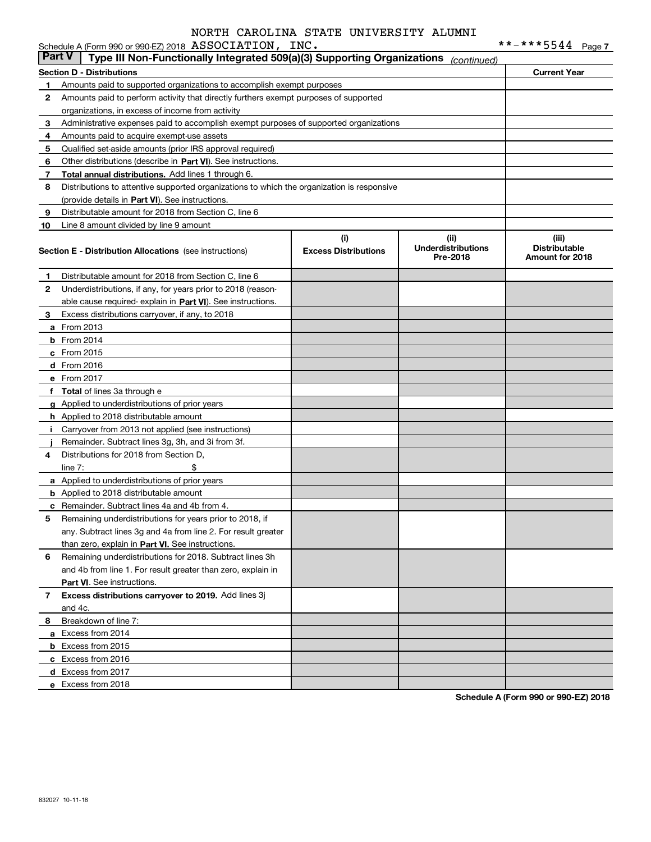|              | Schedule A (Form 990 or 990-EZ) 2018 ASSOCIATION, INC.                                     |                             |                                       |                                         |  |
|--------------|--------------------------------------------------------------------------------------------|-----------------------------|---------------------------------------|-----------------------------------------|--|
|              | <b>Part V</b><br>Type III Non-Functionally Integrated 509(a)(3) Supporting Organizations   |                             | (continued)                           |                                         |  |
|              | <b>Section D - Distributions</b>                                                           |                             |                                       | <b>Current Year</b>                     |  |
| 1.           | Amounts paid to supported organizations to accomplish exempt purposes                      |                             |                                       |                                         |  |
| $\mathbf{2}$ | Amounts paid to perform activity that directly furthers exempt purposes of supported       |                             |                                       |                                         |  |
|              | organizations, in excess of income from activity                                           |                             |                                       |                                         |  |
| 3            | Administrative expenses paid to accomplish exempt purposes of supported organizations      |                             |                                       |                                         |  |
| 4            | Amounts paid to acquire exempt-use assets                                                  |                             |                                       |                                         |  |
| 5            | Qualified set-aside amounts (prior IRS approval required)                                  |                             |                                       |                                         |  |
| 6            | Other distributions (describe in Part VI). See instructions.                               |                             |                                       |                                         |  |
| 7            | Total annual distributions. Add lines 1 through 6.                                         |                             |                                       |                                         |  |
| 8            | Distributions to attentive supported organizations to which the organization is responsive |                             |                                       |                                         |  |
|              | (provide details in Part VI). See instructions.                                            |                             |                                       |                                         |  |
| 9            | Distributable amount for 2018 from Section C, line 6                                       |                             |                                       |                                         |  |
| 10           | Line 8 amount divided by line 9 amount                                                     |                             |                                       |                                         |  |
|              |                                                                                            | (i)                         | (ii)                                  | (iii)                                   |  |
|              | <b>Section E - Distribution Allocations</b> (see instructions)                             | <b>Excess Distributions</b> | <b>Underdistributions</b><br>Pre-2018 | <b>Distributable</b><br>Amount for 2018 |  |
|              |                                                                                            |                             |                                       |                                         |  |
| 1            | Distributable amount for 2018 from Section C, line 6                                       |                             |                                       |                                         |  |
| 2            | Underdistributions, if any, for years prior to 2018 (reason-                               |                             |                                       |                                         |  |
|              | able cause required-explain in Part VI). See instructions.                                 |                             |                                       |                                         |  |
| 3            | Excess distributions carryover, if any, to 2018                                            |                             |                                       |                                         |  |
|              | <b>a</b> From 2013                                                                         |                             |                                       |                                         |  |
|              | <b>b</b> From 2014                                                                         |                             |                                       |                                         |  |
|              | c From 2015                                                                                |                             |                                       |                                         |  |
|              | d From 2016                                                                                |                             |                                       |                                         |  |
|              | e From 2017                                                                                |                             |                                       |                                         |  |
|              | f Total of lines 3a through e                                                              |                             |                                       |                                         |  |
|              | g Applied to underdistributions of prior years                                             |                             |                                       |                                         |  |
|              | <b>h</b> Applied to 2018 distributable amount                                              |                             |                                       |                                         |  |
| Ī.           | Carryover from 2013 not applied (see instructions)                                         |                             |                                       |                                         |  |
|              | Remainder. Subtract lines 3g, 3h, and 3i from 3f.                                          |                             |                                       |                                         |  |
| 4            | Distributions for 2018 from Section D.                                                     |                             |                                       |                                         |  |
|              | \$<br>line $7:$                                                                            |                             |                                       |                                         |  |
|              | a Applied to underdistributions of prior years                                             |                             |                                       |                                         |  |
|              | <b>b</b> Applied to 2018 distributable amount                                              |                             |                                       |                                         |  |
|              | <b>c</b> Remainder. Subtract lines 4a and 4b from 4.                                       |                             |                                       |                                         |  |
|              | Remaining underdistributions for years prior to 2018, if                                   |                             |                                       |                                         |  |
|              | any. Subtract lines 3q and 4a from line 2. For result greater                              |                             |                                       |                                         |  |
|              | than zero, explain in Part VI. See instructions.                                           |                             |                                       |                                         |  |
| 6            | Remaining underdistributions for 2018. Subtract lines 3h                                   |                             |                                       |                                         |  |
|              | and 4b from line 1. For result greater than zero, explain in                               |                             |                                       |                                         |  |
|              | <b>Part VI.</b> See instructions.                                                          |                             |                                       |                                         |  |
| 7            | Excess distributions carryover to 2019. Add lines 3j                                       |                             |                                       |                                         |  |
|              | and 4c.                                                                                    |                             |                                       |                                         |  |
| 8            | Breakdown of line 7:                                                                       |                             |                                       |                                         |  |
|              | a Excess from 2014                                                                         |                             |                                       |                                         |  |
|              | <b>b</b> Excess from 2015                                                                  |                             |                                       |                                         |  |
|              | c Excess from 2016                                                                         |                             |                                       |                                         |  |
|              | d Excess from 2017                                                                         |                             |                                       |                                         |  |
|              | e Excess from 2018                                                                         |                             |                                       |                                         |  |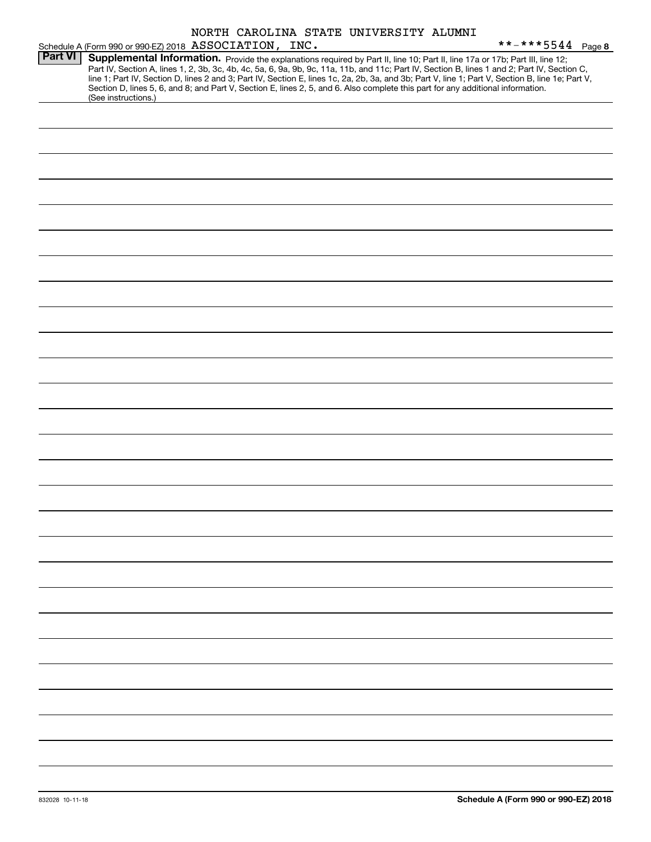|                |                                                                                                                                                                                                                                                                                                                                                                                                                                         |  | NORTH CAROLINA STATE UNIVERSITY ALUMNI |                                                                                                                                                  |
|----------------|-----------------------------------------------------------------------------------------------------------------------------------------------------------------------------------------------------------------------------------------------------------------------------------------------------------------------------------------------------------------------------------------------------------------------------------------|--|----------------------------------------|--------------------------------------------------------------------------------------------------------------------------------------------------|
|                | Schedule A (Form 990 or 990-EZ) 2018 ASSOCIATION, INC.                                                                                                                                                                                                                                                                                                                                                                                  |  |                                        | **-***5544 Page 8                                                                                                                                |
| <b>Part VI</b> | Supplemental Information. Provide the explanations required by Part II, line 10; Part II, line 17a or 17b; Part III, line 12;<br>Part IV, Section A, lines 1, 2, 3b, 3c, 4b, 4c, 5a, 6, 9a, 9b, 9c, 11a, 11b, and 11c; Part IV, Section B, lines 1 and 2; Part IV, Section C,<br>Section D, lines 5, 6, and 8; and Part V, Section E, lines 2, 5, and 6. Also complete this part for any additional information.<br>(See instructions.) |  |                                        | line 1; Part IV, Section D, lines 2 and 3; Part IV, Section E, lines 1c, 2a, 2b, 3a, and 3b; Part V, line 1; Part V, Section B, line 1e; Part V, |
|                |                                                                                                                                                                                                                                                                                                                                                                                                                                         |  |                                        |                                                                                                                                                  |
|                |                                                                                                                                                                                                                                                                                                                                                                                                                                         |  |                                        |                                                                                                                                                  |
|                |                                                                                                                                                                                                                                                                                                                                                                                                                                         |  |                                        |                                                                                                                                                  |
|                |                                                                                                                                                                                                                                                                                                                                                                                                                                         |  |                                        |                                                                                                                                                  |
|                |                                                                                                                                                                                                                                                                                                                                                                                                                                         |  |                                        |                                                                                                                                                  |
|                |                                                                                                                                                                                                                                                                                                                                                                                                                                         |  |                                        |                                                                                                                                                  |
|                |                                                                                                                                                                                                                                                                                                                                                                                                                                         |  |                                        |                                                                                                                                                  |
|                |                                                                                                                                                                                                                                                                                                                                                                                                                                         |  |                                        |                                                                                                                                                  |
|                |                                                                                                                                                                                                                                                                                                                                                                                                                                         |  |                                        |                                                                                                                                                  |
|                |                                                                                                                                                                                                                                                                                                                                                                                                                                         |  |                                        |                                                                                                                                                  |
|                |                                                                                                                                                                                                                                                                                                                                                                                                                                         |  |                                        |                                                                                                                                                  |
|                |                                                                                                                                                                                                                                                                                                                                                                                                                                         |  |                                        |                                                                                                                                                  |
|                |                                                                                                                                                                                                                                                                                                                                                                                                                                         |  |                                        |                                                                                                                                                  |
|                |                                                                                                                                                                                                                                                                                                                                                                                                                                         |  |                                        |                                                                                                                                                  |
|                |                                                                                                                                                                                                                                                                                                                                                                                                                                         |  |                                        |                                                                                                                                                  |
|                |                                                                                                                                                                                                                                                                                                                                                                                                                                         |  |                                        |                                                                                                                                                  |
|                |                                                                                                                                                                                                                                                                                                                                                                                                                                         |  |                                        |                                                                                                                                                  |
|                |                                                                                                                                                                                                                                                                                                                                                                                                                                         |  |                                        |                                                                                                                                                  |
|                |                                                                                                                                                                                                                                                                                                                                                                                                                                         |  |                                        |                                                                                                                                                  |
|                |                                                                                                                                                                                                                                                                                                                                                                                                                                         |  |                                        |                                                                                                                                                  |
|                |                                                                                                                                                                                                                                                                                                                                                                                                                                         |  |                                        |                                                                                                                                                  |
|                |                                                                                                                                                                                                                                                                                                                                                                                                                                         |  |                                        |                                                                                                                                                  |
|                |                                                                                                                                                                                                                                                                                                                                                                                                                                         |  |                                        |                                                                                                                                                  |
|                |                                                                                                                                                                                                                                                                                                                                                                                                                                         |  |                                        |                                                                                                                                                  |
|                |                                                                                                                                                                                                                                                                                                                                                                                                                                         |  |                                        |                                                                                                                                                  |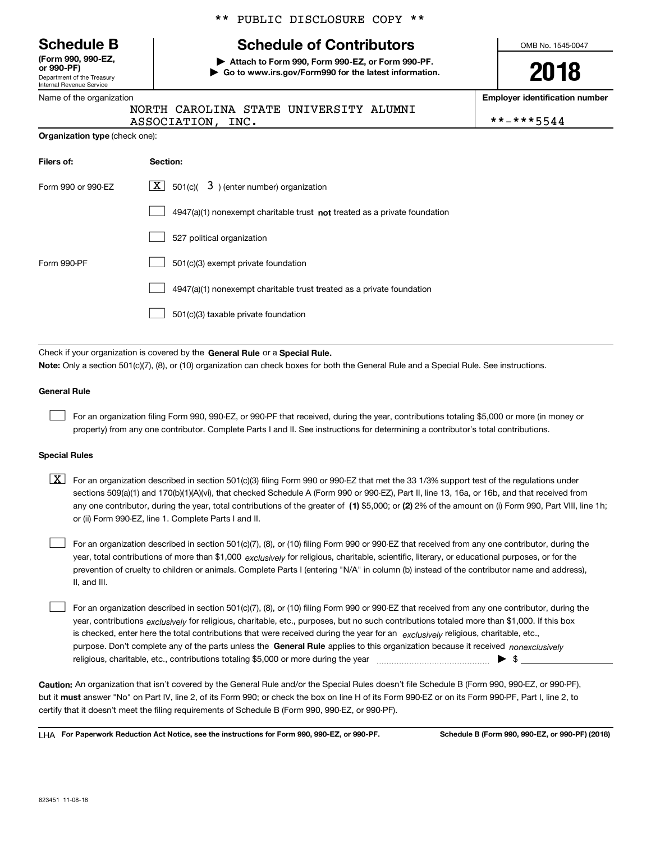Department of the Treasury Internal Revenue Service **(Form 990, 990-EZ, or 990-PF)**

Name of the organization

**Organization type** (check one):

# \*\* PUBLIC DISCLOSURE COPY \*\*

# **Schedule B Schedule of Contributors**

**| Attach to Form 990, Form 990-EZ, or Form 990-PF. | Go to www.irs.gov/Form990 for the latest information.** OMB No. 1545-0047

**2018**

**Employer identification number**

|                   | NORTH CAROLINA STATE UNIVERSITY ALUMNI |            |
|-------------------|----------------------------------------|------------|
| ASSOCIATION, INC. |                                        | **-***5544 |

| Filers of:         | Section:                                                                    |
|--------------------|-----------------------------------------------------------------------------|
| Form 990 or 990-EZ | $ \mathbf{X} $ 501(c)( 3) (enter number) organization                       |
|                    | $4947(a)(1)$ nonexempt charitable trust not treated as a private foundation |
|                    | 527 political organization                                                  |
| Form 990-PF        | 501(c)(3) exempt private foundation                                         |
|                    | 4947(a)(1) nonexempt charitable trust treated as a private foundation       |
|                    | 501(c)(3) taxable private foundation                                        |

Check if your organization is covered by the **General Rule** or a **Special Rule. Note:**  Only a section 501(c)(7), (8), or (10) organization can check boxes for both the General Rule and a Special Rule. See instructions.

### **General Rule**

 $\mathcal{L}^{\text{max}}$ 

For an organization filing Form 990, 990-EZ, or 990-PF that received, during the year, contributions totaling \$5,000 or more (in money or property) from any one contributor. Complete Parts I and II. See instructions for determining a contributor's total contributions.

#### **Special Rules**

any one contributor, during the year, total contributions of the greater of  $\,$  (1) \$5,000; or **(2)** 2% of the amount on (i) Form 990, Part VIII, line 1h;  $\boxed{\textbf{X}}$  For an organization described in section 501(c)(3) filing Form 990 or 990-EZ that met the 33 1/3% support test of the regulations under sections 509(a)(1) and 170(b)(1)(A)(vi), that checked Schedule A (Form 990 or 990-EZ), Part II, line 13, 16a, or 16b, and that received from or (ii) Form 990-EZ, line 1. Complete Parts I and II.

year, total contributions of more than \$1,000 *exclusively* for religious, charitable, scientific, literary, or educational purposes, or for the For an organization described in section 501(c)(7), (8), or (10) filing Form 990 or 990-EZ that received from any one contributor, during the prevention of cruelty to children or animals. Complete Parts I (entering "N/A" in column (b) instead of the contributor name and address), II, and III.  $\mathcal{L}^{\text{max}}$ 

purpose. Don't complete any of the parts unless the **General Rule** applies to this organization because it received *nonexclusively* year, contributions <sub>exclusively</sub> for religious, charitable, etc., purposes, but no such contributions totaled more than \$1,000. If this box is checked, enter here the total contributions that were received during the year for an  $\;$ exclusively religious, charitable, etc., For an organization described in section 501(c)(7), (8), or (10) filing Form 990 or 990-EZ that received from any one contributor, during the religious, charitable, etc., contributions totaling \$5,000 or more during the year  $\Box$ — $\Box$  =  $\Box$  $\mathcal{L}^{\text{max}}$ 

**Caution:**  An organization that isn't covered by the General Rule and/or the Special Rules doesn't file Schedule B (Form 990, 990-EZ, or 990-PF),  **must** but it answer "No" on Part IV, line 2, of its Form 990; or check the box on line H of its Form 990-EZ or on its Form 990-PF, Part I, line 2, to certify that it doesn't meet the filing requirements of Schedule B (Form 990, 990-EZ, or 990-PF).

**For Paperwork Reduction Act Notice, see the instructions for Form 990, 990-EZ, or 990-PF. Schedule B (Form 990, 990-EZ, or 990-PF) (2018)** LHA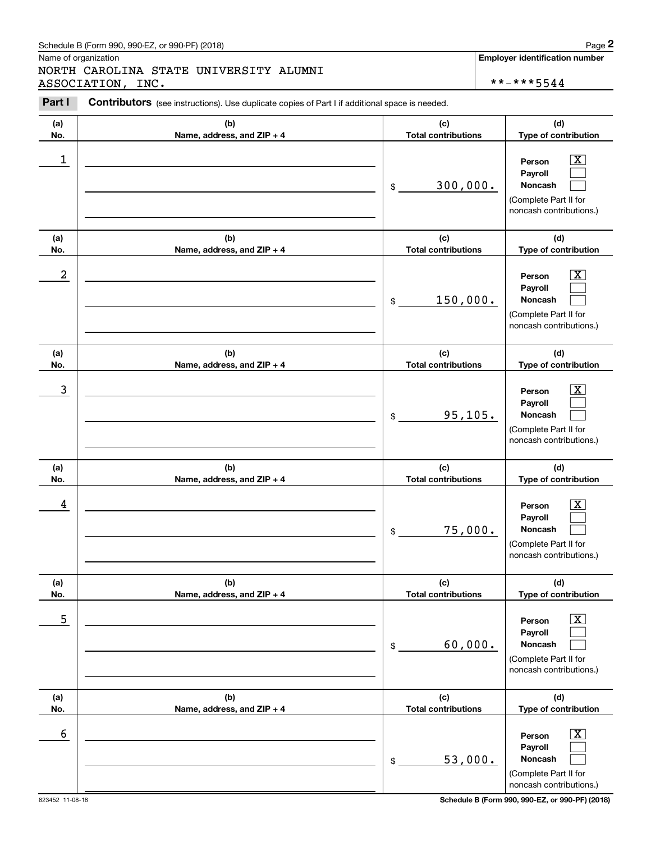# Schedule B (Form 990, 990-EZ, or 990-PF) (2018) Page 2

Name of organization

Chedule B (Form 990, 990-EZ, or 990-PF) (2018)<br>Iame of organization<br>**IORTH CAROLINA STATE UNIVERSITY ALUMNI**<br>ISSOCIATION, INC.<br>**Part I** Contributors (see instructions). Use duplicate copies of Part I if additional space is NORTH CAROLINA STATE UNIVERSITY ALUMNI ASSOCIATION, INC. \*\*-\*\*\*5544

**Employer identification number**

| Part I           | <b>Contributors</b> (see instructions). Use duplicate copies of Part I if additional space is needed. |                            |                                                                                                           |
|------------------|-------------------------------------------------------------------------------------------------------|----------------------------|-----------------------------------------------------------------------------------------------------------|
| (a)              | (b)                                                                                                   | (c)                        | (d)                                                                                                       |
| No.              | Name, address, and ZIP + 4                                                                            | <b>Total contributions</b> | Type of contribution                                                                                      |
| 1                |                                                                                                       | 300,000.<br>\$             | X<br>Person<br>Payroll<br>Noncash<br>(Complete Part II for<br>noncash contributions.)                     |
| (a)              | (b)                                                                                                   | (c)                        | (d)                                                                                                       |
| No.              | Name, address, and ZIP + 4                                                                            | <b>Total contributions</b> | Type of contribution                                                                                      |
| $\boldsymbol{2}$ |                                                                                                       | 150,000.<br>\$             | Х,<br>Person<br>Payroll<br>Noncash<br>(Complete Part II for<br>noncash contributions.)                    |
| (a)              | (b)                                                                                                   | (c)                        | (d)                                                                                                       |
| No.              | Name, address, and ZIP + 4                                                                            | <b>Total contributions</b> | Type of contribution                                                                                      |
| 3                |                                                                                                       | 95, 105.<br>\$             | X.<br>Person<br>Payroll<br>Noncash<br>(Complete Part II for<br>noncash contributions.)                    |
| (a)              | (b)                                                                                                   | (c)                        | (d)                                                                                                       |
| No.              | Name, address, and ZIP + 4                                                                            | <b>Total contributions</b> | Type of contribution                                                                                      |
| 4                |                                                                                                       | 75,000.<br>\$              | x.<br>Person<br>Payroll<br>Noncash<br>(Complete Part II for<br>noncash contributions.)                    |
| (a)              | (b)                                                                                                   | (c)                        | (d)                                                                                                       |
| No.              | Name, address, and ZIP + 4                                                                            | <b>Total contributions</b> | Type of contribution                                                                                      |
| $\overline{5}$   |                                                                                                       | 60,000.<br>\$              | $\overline{\text{X}}$<br>Person<br>Payroll<br>Noncash<br>(Complete Part II for<br>noncash contributions.) |
| (a)              | (b)                                                                                                   | (c)                        | (d)                                                                                                       |
| No.              | Name, address, and ZIP + 4                                                                            | <b>Total contributions</b> | Type of contribution                                                                                      |
| 6                |                                                                                                       | 53,000.<br>$\,$            | $\overline{\text{X}}$<br>Person<br>Payroll<br>Noncash<br>(Complete Part II for<br>noncash contributions.) |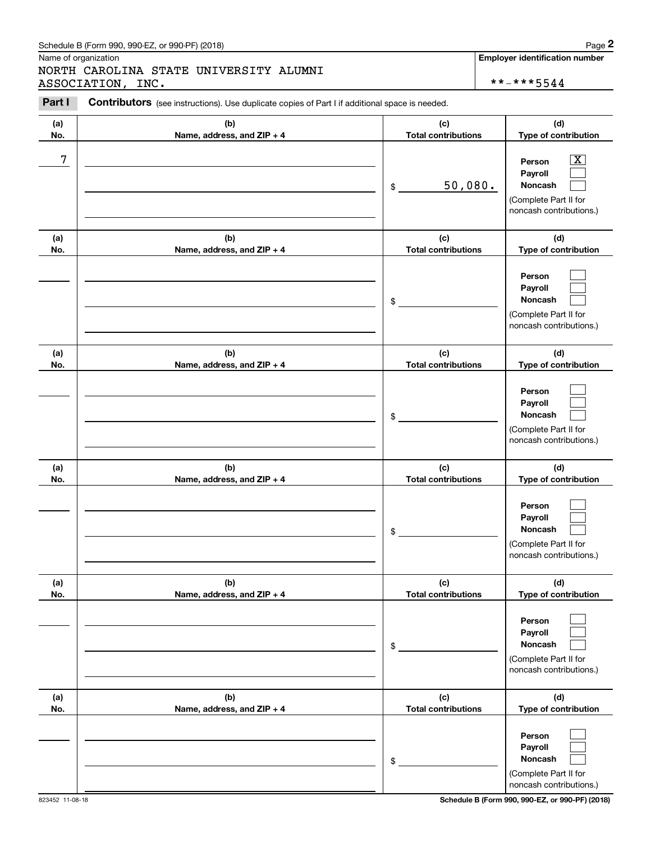# Schedule B (Form 990, 990-EZ, or 990-PF) (2018) Page 2

Name of organization

Chedule B (Form 990, 990-EZ, or 990-PF) (2018)<br>Iame of organization<br>**IORTH CAROLINA STATE UNIVERSITY ALUMNI**<br>ISSOCIATION, INC.<br>**Part I** Contributors (see instructions). Use duplicate copies of Part I if additional space is NORTH CAROLINA STATE UNIVERSITY ALUMNI ASSOCIATION, INC. \*\*-\*\*\*5544

**Employer identification number**

| <b>Part I</b> | <b>Contributors</b> (see instructions). Use duplicate copies of Part I if additional space is needed. |                                             |                                                                                                                                          |
|---------------|-------------------------------------------------------------------------------------------------------|---------------------------------------------|------------------------------------------------------------------------------------------------------------------------------------------|
| (a)           | (b)                                                                                                   | (c)                                         | (d)                                                                                                                                      |
| No.<br>7      | Name, address, and ZIP + 4                                                                            | <b>Total contributions</b><br>50,080.<br>\$ | Type of contribution<br>$\overline{\text{X}}$<br>Person<br>Payroll<br><b>Noncash</b><br>(Complete Part II for<br>noncash contributions.) |
| (a)           | (b)                                                                                                   | (c)                                         | (d)                                                                                                                                      |
| No.           | Name, address, and ZIP + 4                                                                            | <b>Total contributions</b><br>\$            | Type of contribution<br>Person<br>Payroll<br>Noncash<br>(Complete Part II for<br>noncash contributions.)                                 |
| (a)<br>No.    | (b)<br>Name, address, and ZIP + 4                                                                     | (c)<br><b>Total contributions</b>           | (d)<br>Type of contribution                                                                                                              |
|               |                                                                                                       | \$                                          | Person<br>Payroll<br>Noncash<br>(Complete Part II for<br>noncash contributions.)                                                         |
| (a)           | (b)                                                                                                   | (c)                                         | (d)                                                                                                                                      |
| No.           | Name, address, and ZIP + 4                                                                            | <b>Total contributions</b><br>\$            | Type of contribution<br>Person<br>Payroll<br>Noncash<br>(Complete Part II for<br>noncash contributions.)                                 |
| (a)<br>No.    | (b)<br>Name, address, and ZIP + 4                                                                     | (c)<br><b>Total contributions</b>           | (d)<br>Type of contribution                                                                                                              |
|               |                                                                                                       | \$                                          | Person<br>Payroll<br>Noncash<br>(Complete Part II for<br>noncash contributions.)                                                         |
| (a)<br>No.    | (b)<br>Name, address, and ZIP + 4                                                                     | (c)<br><b>Total contributions</b>           | (d)<br>Type of contribution                                                                                                              |
|               |                                                                                                       | \$                                          | Person<br>Payroll<br>Noncash<br>(Complete Part II for<br>noncash contributions.)                                                         |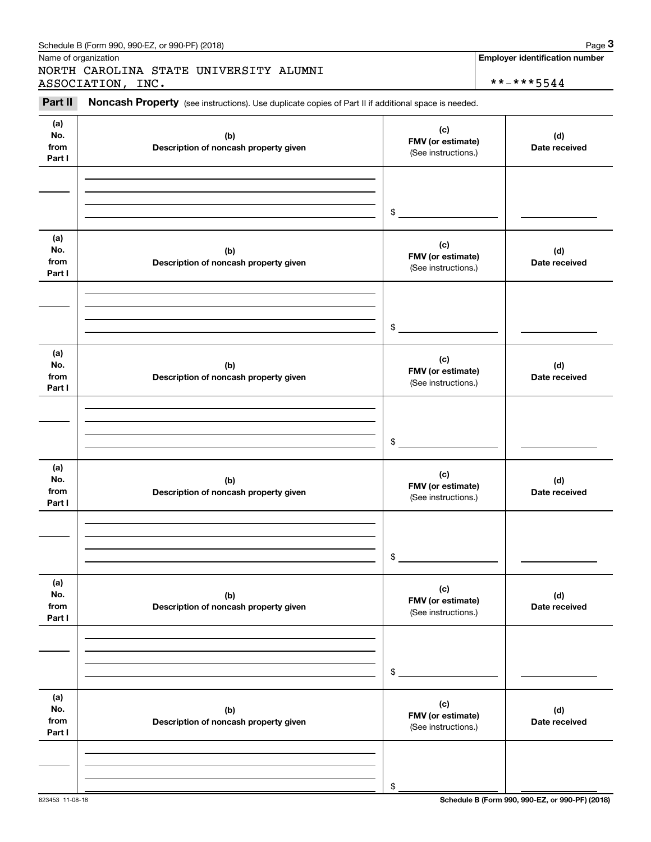|                              | Schedule B (Form 990, 990-EZ, or 990-PF) (2018)                                                     |                                                 | Page 3                                |
|------------------------------|-----------------------------------------------------------------------------------------------------|-------------------------------------------------|---------------------------------------|
|                              | Name of organization<br>NORTH CAROLINA STATE UNIVERSITY ALUMNI                                      |                                                 | <b>Employer identification number</b> |
| Part II                      | ASSOCIATION, INC.                                                                                   |                                                 | **-***5544                            |
|                              | Noncash Property (see instructions). Use duplicate copies of Part II if additional space is needed. |                                                 |                                       |
| (a)<br>No.<br>from<br>Part I | (b)<br>Description of noncash property given                                                        | (c)<br>FMV (or estimate)<br>(See instructions.) | (d)<br>Date received                  |
|                              |                                                                                                     | \$                                              |                                       |
|                              |                                                                                                     |                                                 |                                       |
| (a)<br>No.<br>from<br>Part I | (b)<br>Description of noncash property given                                                        | (c)<br>FMV (or estimate)<br>(See instructions.) | (d)<br>Date received                  |
|                              |                                                                                                     |                                                 |                                       |
|                              |                                                                                                     | \$                                              |                                       |
| (a)<br>No.<br>from<br>Part I | (b)<br>Description of noncash property given                                                        | (c)<br>FMV (or estimate)<br>(See instructions.) | (d)<br>Date received                  |
|                              |                                                                                                     |                                                 |                                       |
|                              |                                                                                                     | \$                                              |                                       |
| (a)<br>No.<br>from<br>Part I | (b)<br>Description of noncash property given                                                        | (c)<br>FMV (or estimate)<br>(See instructions.) | (d)<br>Date received                  |
|                              |                                                                                                     |                                                 |                                       |
|                              |                                                                                                     | \$                                              |                                       |
| (a)<br>No.<br>from<br>Part I | (b)<br>Description of noncash property given                                                        | (c)<br>FMV (or estimate)<br>(See instructions.) | (d)<br>Date received                  |
|                              |                                                                                                     |                                                 |                                       |
|                              |                                                                                                     | \$                                              |                                       |
| (a)<br>No.<br>from<br>Part I | (b)<br>Description of noncash property given                                                        | (c)<br>FMV (or estimate)<br>(See instructions.) | (d)<br>Date received                  |
|                              |                                                                                                     |                                                 |                                       |
|                              |                                                                                                     |                                                 |                                       |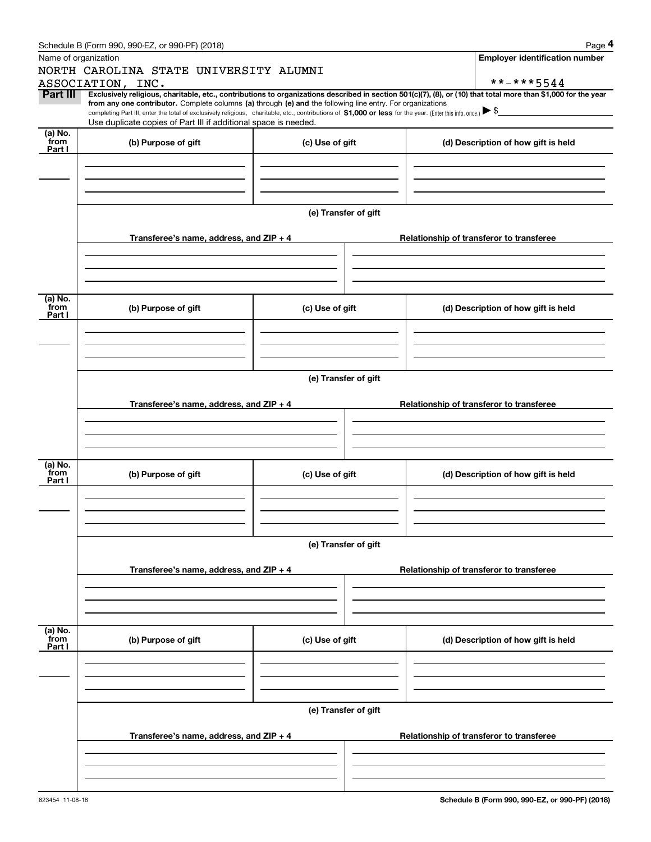|                      | Schedule B (Form 990, 990-EZ, or 990-PF) (2018)                                                                                                                                                                                                                                                                                                                                                                                              |                      |  | Page 4                                   |  |  |  |  |
|----------------------|----------------------------------------------------------------------------------------------------------------------------------------------------------------------------------------------------------------------------------------------------------------------------------------------------------------------------------------------------------------------------------------------------------------------------------------------|----------------------|--|------------------------------------------|--|--|--|--|
| Name of organization |                                                                                                                                                                                                                                                                                                                                                                                                                                              |                      |  | <b>Employer identification number</b>    |  |  |  |  |
|                      | NORTH CAROLINA STATE UNIVERSITY ALUMNI                                                                                                                                                                                                                                                                                                                                                                                                       |                      |  |                                          |  |  |  |  |
|                      | ASSOCIATION, INC.                                                                                                                                                                                                                                                                                                                                                                                                                            |                      |  | **-***5544                               |  |  |  |  |
| Part III             | Exclusively religious, charitable, etc., contributions to organizations described in section 501(c)(7), (8), or (10) that total more than \$1,000 for the year<br>from any one contributor. Complete columns (a) through (e) and the following line entry. For organizations<br>completing Part III, enter the total of exclusively religious, charitable, etc., contributions of \$1,000 or less for the year. (Enter this info. once.) \\$ |                      |  |                                          |  |  |  |  |
|                      | Use duplicate copies of Part III if additional space is needed.                                                                                                                                                                                                                                                                                                                                                                              |                      |  |                                          |  |  |  |  |
| (a) No.              |                                                                                                                                                                                                                                                                                                                                                                                                                                              |                      |  |                                          |  |  |  |  |
| from<br>Part I       | (b) Purpose of gift                                                                                                                                                                                                                                                                                                                                                                                                                          | (c) Use of gift      |  | (d) Description of how gift is held      |  |  |  |  |
|                      |                                                                                                                                                                                                                                                                                                                                                                                                                                              |                      |  |                                          |  |  |  |  |
|                      |                                                                                                                                                                                                                                                                                                                                                                                                                                              |                      |  |                                          |  |  |  |  |
|                      |                                                                                                                                                                                                                                                                                                                                                                                                                                              |                      |  |                                          |  |  |  |  |
|                      |                                                                                                                                                                                                                                                                                                                                                                                                                                              |                      |  |                                          |  |  |  |  |
|                      |                                                                                                                                                                                                                                                                                                                                                                                                                                              | (e) Transfer of gift |  |                                          |  |  |  |  |
|                      |                                                                                                                                                                                                                                                                                                                                                                                                                                              |                      |  |                                          |  |  |  |  |
|                      | Transferee's name, address, and ZIP + 4                                                                                                                                                                                                                                                                                                                                                                                                      |                      |  | Relationship of transferor to transferee |  |  |  |  |
|                      |                                                                                                                                                                                                                                                                                                                                                                                                                                              |                      |  |                                          |  |  |  |  |
|                      |                                                                                                                                                                                                                                                                                                                                                                                                                                              |                      |  |                                          |  |  |  |  |
|                      |                                                                                                                                                                                                                                                                                                                                                                                                                                              |                      |  |                                          |  |  |  |  |
| (a) No.              |                                                                                                                                                                                                                                                                                                                                                                                                                                              |                      |  |                                          |  |  |  |  |
| from<br>Part I       | (b) Purpose of gift                                                                                                                                                                                                                                                                                                                                                                                                                          | (c) Use of gift      |  | (d) Description of how gift is held      |  |  |  |  |
|                      |                                                                                                                                                                                                                                                                                                                                                                                                                                              |                      |  |                                          |  |  |  |  |
|                      |                                                                                                                                                                                                                                                                                                                                                                                                                                              |                      |  |                                          |  |  |  |  |
|                      |                                                                                                                                                                                                                                                                                                                                                                                                                                              |                      |  |                                          |  |  |  |  |
|                      |                                                                                                                                                                                                                                                                                                                                                                                                                                              |                      |  |                                          |  |  |  |  |
|                      | (e) Transfer of gift                                                                                                                                                                                                                                                                                                                                                                                                                         |                      |  |                                          |  |  |  |  |
|                      |                                                                                                                                                                                                                                                                                                                                                                                                                                              |                      |  |                                          |  |  |  |  |
|                      | Transferee's name, address, and $ZIP + 4$                                                                                                                                                                                                                                                                                                                                                                                                    |                      |  | Relationship of transferor to transferee |  |  |  |  |
|                      |                                                                                                                                                                                                                                                                                                                                                                                                                                              |                      |  |                                          |  |  |  |  |
|                      |                                                                                                                                                                                                                                                                                                                                                                                                                                              |                      |  |                                          |  |  |  |  |
|                      |                                                                                                                                                                                                                                                                                                                                                                                                                                              |                      |  |                                          |  |  |  |  |
| (a) No.              |                                                                                                                                                                                                                                                                                                                                                                                                                                              |                      |  |                                          |  |  |  |  |
| from<br>Part I       | (b) Purpose of gift                                                                                                                                                                                                                                                                                                                                                                                                                          | (c) Use of gift      |  | (d) Description of how gift is held      |  |  |  |  |
|                      |                                                                                                                                                                                                                                                                                                                                                                                                                                              |                      |  |                                          |  |  |  |  |
|                      |                                                                                                                                                                                                                                                                                                                                                                                                                                              |                      |  |                                          |  |  |  |  |
|                      |                                                                                                                                                                                                                                                                                                                                                                                                                                              |                      |  |                                          |  |  |  |  |
|                      |                                                                                                                                                                                                                                                                                                                                                                                                                                              |                      |  |                                          |  |  |  |  |
|                      |                                                                                                                                                                                                                                                                                                                                                                                                                                              | (e) Transfer of gift |  |                                          |  |  |  |  |
|                      |                                                                                                                                                                                                                                                                                                                                                                                                                                              |                      |  |                                          |  |  |  |  |
|                      | Transferee's name, address, and ZIP + 4                                                                                                                                                                                                                                                                                                                                                                                                      |                      |  | Relationship of transferor to transferee |  |  |  |  |
|                      |                                                                                                                                                                                                                                                                                                                                                                                                                                              |                      |  |                                          |  |  |  |  |
|                      |                                                                                                                                                                                                                                                                                                                                                                                                                                              |                      |  |                                          |  |  |  |  |
|                      |                                                                                                                                                                                                                                                                                                                                                                                                                                              |                      |  |                                          |  |  |  |  |
| (a) No.<br>from      |                                                                                                                                                                                                                                                                                                                                                                                                                                              |                      |  |                                          |  |  |  |  |
| Part I               | (b) Purpose of gift                                                                                                                                                                                                                                                                                                                                                                                                                          | (c) Use of gift      |  | (d) Description of how gift is held      |  |  |  |  |
|                      |                                                                                                                                                                                                                                                                                                                                                                                                                                              |                      |  |                                          |  |  |  |  |
|                      |                                                                                                                                                                                                                                                                                                                                                                                                                                              |                      |  |                                          |  |  |  |  |
|                      |                                                                                                                                                                                                                                                                                                                                                                                                                                              |                      |  |                                          |  |  |  |  |
|                      |                                                                                                                                                                                                                                                                                                                                                                                                                                              |                      |  |                                          |  |  |  |  |
|                      |                                                                                                                                                                                                                                                                                                                                                                                                                                              | (e) Transfer of gift |  |                                          |  |  |  |  |
|                      |                                                                                                                                                                                                                                                                                                                                                                                                                                              |                      |  |                                          |  |  |  |  |
|                      | Transferee's name, address, and $ZIP + 4$                                                                                                                                                                                                                                                                                                                                                                                                    |                      |  | Relationship of transferor to transferee |  |  |  |  |
|                      |                                                                                                                                                                                                                                                                                                                                                                                                                                              |                      |  |                                          |  |  |  |  |
|                      |                                                                                                                                                                                                                                                                                                                                                                                                                                              |                      |  |                                          |  |  |  |  |
|                      |                                                                                                                                                                                                                                                                                                                                                                                                                                              |                      |  |                                          |  |  |  |  |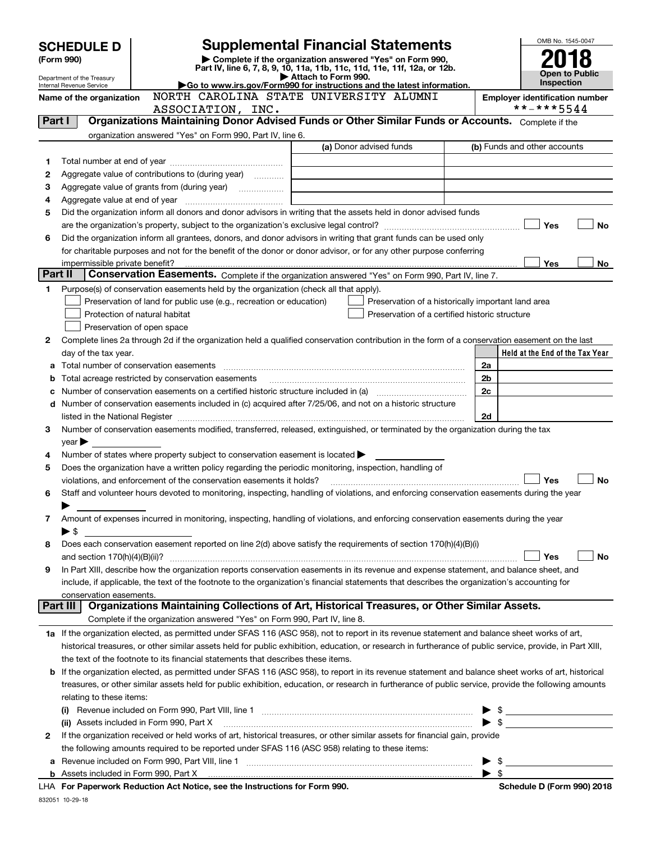| <b>SCHEDULE D</b> |                                                                                                            |                                                                                                                                                            |                                                                                                        |  |                          | OMB No. 1545-0047                     |
|-------------------|------------------------------------------------------------------------------------------------------------|------------------------------------------------------------------------------------------------------------------------------------------------------------|--------------------------------------------------------------------------------------------------------|--|--------------------------|---------------------------------------|
|                   | (Form 990)                                                                                                 |                                                                                                                                                            | <b>Supplemental Financial Statements</b><br>► Complete if the organization answered "Yes" on Form 990, |  |                          |                                       |
|                   |                                                                                                            |                                                                                                                                                            | Part IV, line 6, 7, 8, 9, 10, 11a, 11b, 11c, 11d, 11e, 11f, 12a, or 12b.                               |  |                          | Open to Public                        |
|                   | Department of the Treasury<br>Internal Revenue Service                                                     |                                                                                                                                                            | Attach to Form 990.<br>Go to www.irs.gov/Form990 for instructions and the latest information.          |  |                          | <b>Inspection</b>                     |
|                   | Name of the organization                                                                                   | NORTH CAROLINA STATE UNIVERSITY ALUMNI                                                                                                                     |                                                                                                        |  |                          | <b>Employer identification number</b> |
|                   |                                                                                                            | ASSOCIATION, INC.                                                                                                                                          |                                                                                                        |  |                          | **-***5544                            |
| Part I            |                                                                                                            | Organizations Maintaining Donor Advised Funds or Other Similar Funds or Accounts. Complete if the                                                          |                                                                                                        |  |                          |                                       |
|                   |                                                                                                            | organization answered "Yes" on Form 990, Part IV, line 6.                                                                                                  |                                                                                                        |  |                          |                                       |
|                   |                                                                                                            |                                                                                                                                                            | (a) Donor advised funds                                                                                |  |                          | (b) Funds and other accounts          |
| 1                 |                                                                                                            |                                                                                                                                                            |                                                                                                        |  |                          |                                       |
| 2                 |                                                                                                            | Aggregate value of contributions to (during year)                                                                                                          |                                                                                                        |  |                          |                                       |
| 3                 |                                                                                                            |                                                                                                                                                            | <u> 1989 - Johann Barbara, martin amerikan personal (</u>                                              |  |                          |                                       |
| 4                 |                                                                                                            |                                                                                                                                                            |                                                                                                        |  |                          |                                       |
| 5                 |                                                                                                            | Did the organization inform all donors and donor advisors in writing that the assets held in donor advised funds                                           |                                                                                                        |  |                          |                                       |
|                   |                                                                                                            |                                                                                                                                                            |                                                                                                        |  |                          | Yes<br>No                             |
| 6                 |                                                                                                            | Did the organization inform all grantees, donors, and donor advisors in writing that grant funds can be used only                                          |                                                                                                        |  |                          |                                       |
|                   |                                                                                                            | for charitable purposes and not for the benefit of the donor or donor advisor, or for any other purpose conferring                                         |                                                                                                        |  |                          | Yes<br>No.                            |
| Part II           | impermissible private benefit?                                                                             | Conservation Easements. Complete if the organization answered "Yes" on Form 990, Part IV, line 7.                                                          |                                                                                                        |  |                          |                                       |
| 1.                |                                                                                                            | Purpose(s) of conservation easements held by the organization (check all that apply).                                                                      |                                                                                                        |  |                          |                                       |
|                   |                                                                                                            | Preservation of land for public use (e.g., recreation or education)                                                                                        | Preservation of a historically important land area                                                     |  |                          |                                       |
|                   |                                                                                                            | Protection of natural habitat                                                                                                                              | Preservation of a certified historic structure                                                         |  |                          |                                       |
|                   |                                                                                                            | Preservation of open space                                                                                                                                 |                                                                                                        |  |                          |                                       |
| 2                 |                                                                                                            | Complete lines 2a through 2d if the organization held a qualified conservation contribution in the form of a conservation easement on the last             |                                                                                                        |  |                          |                                       |
|                   | day of the tax year.                                                                                       |                                                                                                                                                            |                                                                                                        |  |                          | Held at the End of the Tax Year       |
|                   |                                                                                                            |                                                                                                                                                            |                                                                                                        |  | 2a                       |                                       |
| b                 |                                                                                                            | Total acreage restricted by conservation easements                                                                                                         |                                                                                                        |  | 2b                       |                                       |
|                   |                                                                                                            |                                                                                                                                                            |                                                                                                        |  | 2c                       |                                       |
|                   | d Number of conservation easements included in (c) acquired after 7/25/06, and not on a historic structure |                                                                                                                                                            |                                                                                                        |  |                          |                                       |
|                   |                                                                                                            |                                                                                                                                                            |                                                                                                        |  | 2d                       |                                       |
| 3                 |                                                                                                            | Number of conservation easements modified, transferred, released, extinguished, or terminated by the organization during the tax                           |                                                                                                        |  |                          |                                       |
|                   | $year \triangleright$                                                                                      |                                                                                                                                                            |                                                                                                        |  |                          |                                       |
| 4                 |                                                                                                            | Number of states where property subject to conservation easement is located                                                                                |                                                                                                        |  |                          |                                       |
| 5                 |                                                                                                            | Does the organization have a written policy regarding the periodic monitoring, inspection, handling of                                                     |                                                                                                        |  |                          |                                       |
|                   |                                                                                                            | violations, and enforcement of the conservation easements it holds?                                                                                        |                                                                                                        |  |                          | No<br>Yes                             |
| 6                 |                                                                                                            | Staff and volunteer hours devoted to monitoring, inspecting, handling of violations, and enforcing conservation easements during the year                  |                                                                                                        |  |                          |                                       |
|                   |                                                                                                            |                                                                                                                                                            |                                                                                                        |  |                          |                                       |
| 7                 | $\blacktriangleright$ \$                                                                                   | Amount of expenses incurred in monitoring, inspecting, handling of violations, and enforcing conservation easements during the year                        |                                                                                                        |  |                          |                                       |
| 8                 |                                                                                                            | Does each conservation easement reported on line 2(d) above satisfy the requirements of section 170(h)(4)(B)(i)                                            |                                                                                                        |  |                          |                                       |
|                   |                                                                                                            |                                                                                                                                                            |                                                                                                        |  |                          | Yes<br>No                             |
| 9                 |                                                                                                            | In Part XIII, describe how the organization reports conservation easements in its revenue and expense statement, and balance sheet, and                    |                                                                                                        |  |                          |                                       |
|                   |                                                                                                            | include, if applicable, the text of the footnote to the organization's financial statements that describes the organization's accounting for               |                                                                                                        |  |                          |                                       |
|                   | conservation easements.                                                                                    |                                                                                                                                                            |                                                                                                        |  |                          |                                       |
|                   | Part III                                                                                                   | Organizations Maintaining Collections of Art, Historical Treasures, or Other Similar Assets.                                                               |                                                                                                        |  |                          |                                       |
|                   |                                                                                                            | Complete if the organization answered "Yes" on Form 990, Part IV, line 8.                                                                                  |                                                                                                        |  |                          |                                       |
|                   |                                                                                                            | 1a If the organization elected, as permitted under SFAS 116 (ASC 958), not to report in its revenue statement and balance sheet works of art,              |                                                                                                        |  |                          |                                       |
|                   |                                                                                                            | historical treasures, or other similar assets held for public exhibition, education, or research in furtherance of public service, provide, in Part XIII,  |                                                                                                        |  |                          |                                       |
|                   |                                                                                                            | the text of the footnote to its financial statements that describes these items.                                                                           |                                                                                                        |  |                          |                                       |
|                   |                                                                                                            | <b>b</b> If the organization elected, as permitted under SFAS 116 (ASC 958), to report in its revenue statement and balance sheet works of art, historical |                                                                                                        |  |                          |                                       |
|                   |                                                                                                            | treasures, or other similar assets held for public exhibition, education, or research in furtherance of public service, provide the following amounts      |                                                                                                        |  |                          |                                       |
|                   | relating to these items:                                                                                   |                                                                                                                                                            |                                                                                                        |  |                          |                                       |
|                   |                                                                                                            |                                                                                                                                                            |                                                                                                        |  |                          | $\triangleright$ \$                   |
|                   |                                                                                                            | (ii) Assets included in Form 990, Part X                                                                                                                   |                                                                                                        |  |                          | $\bullet$ \$                          |
| 2                 |                                                                                                            | If the organization received or held works of art, historical treasures, or other similar assets for financial gain, provide                               |                                                                                                        |  |                          |                                       |
|                   |                                                                                                            | the following amounts required to be reported under SFAS 116 (ASC 958) relating to these items:                                                            |                                                                                                        |  |                          |                                       |
|                   |                                                                                                            |                                                                                                                                                            |                                                                                                        |  |                          | $\triangleright$ \$                   |
|                   |                                                                                                            |                                                                                                                                                            |                                                                                                        |  | $\blacktriangleright$ \$ |                                       |

**For Paperwork Reduction Act Notice, see the Instructions for Form 990. Schedule D (Form 990) 2018** LHA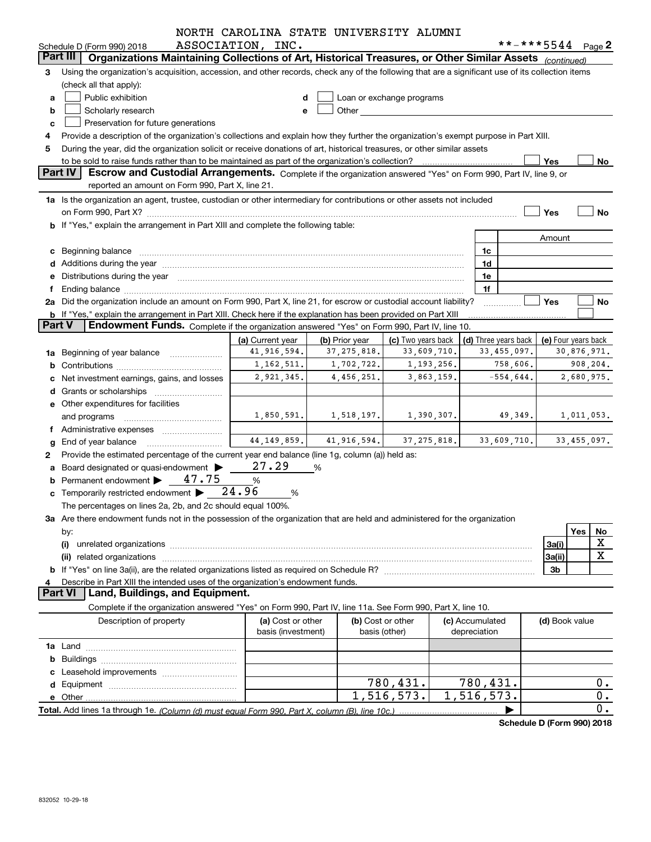|               |                                                                                                                                                                                                                                | NORTH CAROLINA STATE UNIVERSITY ALUMNI |                |                                                                                                                                                                                                                                |            |                 |                      |                     |                            |
|---------------|--------------------------------------------------------------------------------------------------------------------------------------------------------------------------------------------------------------------------------|----------------------------------------|----------------|--------------------------------------------------------------------------------------------------------------------------------------------------------------------------------------------------------------------------------|------------|-----------------|----------------------|---------------------|----------------------------|
|               | Schedule D (Form 990) 2018                                                                                                                                                                                                     | ASSOCIATION, INC.                      |                |                                                                                                                                                                                                                                |            |                 |                      | **-***5544 Page 2   |                            |
|               | Part III<br>Organizations Maintaining Collections of Art, Historical Treasures, or Other Similar Assets (continued)                                                                                                            |                                        |                |                                                                                                                                                                                                                                |            |                 |                      |                     |                            |
| 3             | Using the organization's acquisition, accession, and other records, check any of the following that are a significant use of its collection items                                                                              |                                        |                |                                                                                                                                                                                                                                |            |                 |                      |                     |                            |
|               | (check all that apply):                                                                                                                                                                                                        |                                        |                |                                                                                                                                                                                                                                |            |                 |                      |                     |                            |
| a             | Public exhibition                                                                                                                                                                                                              |                                        |                | Loan or exchange programs                                                                                                                                                                                                      |            |                 |                      |                     |                            |
| b             | Scholarly research                                                                                                                                                                                                             |                                        |                | Other the contract of the contract of the contract of the contract of the contract of the contract of the contract of the contract of the contract of the contract of the contract of the contract of the contract of the cont |            |                 |                      |                     |                            |
| c             | Preservation for future generations                                                                                                                                                                                            |                                        |                |                                                                                                                                                                                                                                |            |                 |                      |                     |                            |
|               | Provide a description of the organization's collections and explain how they further the organization's exempt purpose in Part XIII.                                                                                           |                                        |                |                                                                                                                                                                                                                                |            |                 |                      |                     |                            |
| 5             | During the year, did the organization solicit or receive donations of art, historical treasures, or other similar assets                                                                                                       |                                        |                |                                                                                                                                                                                                                                |            |                 |                      |                     |                            |
|               | to be sold to raise funds rather than to be maintained as part of the organization's collection?<br>Part IV                                                                                                                    |                                        |                |                                                                                                                                                                                                                                |            |                 |                      | Yes                 | No                         |
|               | Escrow and Custodial Arrangements. Complete if the organization answered "Yes" on Form 990, Part IV, line 9, or<br>reported an amount on Form 990, Part X, line 21.                                                            |                                        |                |                                                                                                                                                                                                                                |            |                 |                      |                     |                            |
|               |                                                                                                                                                                                                                                |                                        |                |                                                                                                                                                                                                                                |            |                 |                      |                     |                            |
|               | 1a Is the organization an agent, trustee, custodian or other intermediary for contributions or other assets not included                                                                                                       |                                        |                |                                                                                                                                                                                                                                |            |                 |                      |                     |                            |
|               |                                                                                                                                                                                                                                |                                        |                |                                                                                                                                                                                                                                |            |                 |                      | Yes                 | No                         |
|               | <b>b</b> If "Yes," explain the arrangement in Part XIII and complete the following table:                                                                                                                                      |                                        |                |                                                                                                                                                                                                                                |            |                 |                      |                     |                            |
|               |                                                                                                                                                                                                                                |                                        |                |                                                                                                                                                                                                                                |            |                 |                      | Amount              |                            |
|               | c Beginning balance measurements and the state of the state of the state of the state of the state of the state of the state of the state of the state of the state of the state of the state of the state of the state of the |                                        |                |                                                                                                                                                                                                                                |            | 1c              |                      |                     |                            |
|               | d Additions during the year measurement contains and a state of a state of a state of the state of the state of the state of the state of the state of the state of the state of the state of the state of the state of the st |                                        |                |                                                                                                                                                                                                                                |            | 1d              |                      |                     |                            |
|               | e Distributions during the year manufactured and continuum and contact the control of the Distributions during the year                                                                                                        |                                        |                |                                                                                                                                                                                                                                |            | 1e              |                      |                     |                            |
| Ť.            |                                                                                                                                                                                                                                |                                        |                |                                                                                                                                                                                                                                |            | 1f              |                      |                     |                            |
|               | 2a Did the organization include an amount on Form 990, Part X, line 21, for escrow or custodial account liability?                                                                                                             |                                        |                |                                                                                                                                                                                                                                |            |                 |                      | Yes                 | No                         |
| <b>Part V</b> | b If "Yes," explain the arrangement in Part XIII. Check here if the explanation has been provided on Part XIII<br>Endowment Funds. Complete if the organization answered "Yes" on Form 990, Part IV, line 10.                  |                                        |                |                                                                                                                                                                                                                                |            |                 |                      |                     |                            |
|               |                                                                                                                                                                                                                                | (a) Current year                       | (b) Prior year | (c) Two years back                                                                                                                                                                                                             |            |                 | (d) Three years back | (e) Four years back |                            |
|               | 1a Beginning of year balance                                                                                                                                                                                                   | 41,916,594.                            | 37, 275, 818.  | 33,609,710.                                                                                                                                                                                                                    |            |                 | 33,455,097.          |                     | 30,876,971.                |
|               |                                                                                                                                                                                                                                | 1, 162, 511.                           | 1,702,722.     |                                                                                                                                                                                                                                | 1,193,256. |                 | 758,606.             |                     | 908,204.                   |
|               | c Net investment earnings, gains, and losses                                                                                                                                                                                   | 2,921,345.                             | 4,456,251.     |                                                                                                                                                                                                                                | 3,863,159. |                 | $-554,644.$          |                     | 2,680,975.                 |
|               |                                                                                                                                                                                                                                |                                        |                |                                                                                                                                                                                                                                |            |                 |                      |                     |                            |
|               | e Other expenditures for facilities                                                                                                                                                                                            |                                        |                |                                                                                                                                                                                                                                |            |                 |                      |                     |                            |
|               |                                                                                                                                                                                                                                | 1,850,591.                             | 1,518,197.     |                                                                                                                                                                                                                                | 1,390,307. |                 | 49,349.              |                     | 1,011,053.                 |
|               | and programs<br>f Administrative expenses                                                                                                                                                                                      |                                        |                |                                                                                                                                                                                                                                |            |                 |                      |                     |                            |
|               | g End of year balance                                                                                                                                                                                                          | 44, 149, 859.                          | 41,916,594.    | 37, 275, 818.                                                                                                                                                                                                                  |            |                 | 33,609,710.          |                     | 33,455,097.                |
|               | Provide the estimated percentage of the current year end balance (line 1g, column (a)) held as:                                                                                                                                |                                        |                |                                                                                                                                                                                                                                |            |                 |                      |                     |                            |
| 2             | a Board designated or quasi-endowment >                                                                                                                                                                                        | 27.29                                  | %              |                                                                                                                                                                                                                                |            |                 |                      |                     |                            |
|               | <b>b</b> Permanent endowment $\blacktriangleright$ 47.75                                                                                                                                                                       | %                                      |                |                                                                                                                                                                                                                                |            |                 |                      |                     |                            |
|               | c Temporarily restricted endowment $\blacktriangleright$ 24.96                                                                                                                                                                 | %                                      |                |                                                                                                                                                                                                                                |            |                 |                      |                     |                            |
|               | The percentages on lines 2a, 2b, and 2c should equal 100%.                                                                                                                                                                     |                                        |                |                                                                                                                                                                                                                                |            |                 |                      |                     |                            |
|               | 3a Are there endowment funds not in the possession of the organization that are held and administered for the organization                                                                                                     |                                        |                |                                                                                                                                                                                                                                |            |                 |                      |                     |                            |
|               |                                                                                                                                                                                                                                |                                        |                |                                                                                                                                                                                                                                |            |                 |                      |                     | Yes                        |
|               | by:<br>(i)                                                                                                                                                                                                                     |                                        |                |                                                                                                                                                                                                                                |            |                 |                      | 3a(i)               | No<br>X                    |
|               |                                                                                                                                                                                                                                |                                        |                |                                                                                                                                                                                                                                |            |                 |                      | 3a(ii)              | X                          |
|               |                                                                                                                                                                                                                                |                                        |                |                                                                                                                                                                                                                                |            |                 |                      | 3b                  |                            |
|               | Describe in Part XIII the intended uses of the organization's endowment funds.                                                                                                                                                 |                                        |                |                                                                                                                                                                                                                                |            |                 |                      |                     |                            |
|               | Land, Buildings, and Equipment.<br><b>Part VI</b>                                                                                                                                                                              |                                        |                |                                                                                                                                                                                                                                |            |                 |                      |                     |                            |
|               | Complete if the organization answered "Yes" on Form 990, Part IV, line 11a. See Form 990, Part X, line 10.                                                                                                                     |                                        |                |                                                                                                                                                                                                                                |            |                 |                      |                     |                            |
|               | Description of property                                                                                                                                                                                                        | (a) Cost or other                      |                | (b) Cost or other                                                                                                                                                                                                              |            | (c) Accumulated |                      | (d) Book value      |                            |
|               |                                                                                                                                                                                                                                | basis (investment)                     |                | basis (other)                                                                                                                                                                                                                  |            | depreciation    |                      |                     |                            |
|               |                                                                                                                                                                                                                                |                                        |                |                                                                                                                                                                                                                                |            |                 |                      |                     |                            |
|               |                                                                                                                                                                                                                                |                                        |                |                                                                                                                                                                                                                                |            |                 |                      |                     |                            |
|               |                                                                                                                                                                                                                                |                                        |                |                                                                                                                                                                                                                                |            |                 |                      |                     |                            |
|               |                                                                                                                                                                                                                                |                                        |                | 780,431.                                                                                                                                                                                                                       |            | 780,431.        |                      |                     | $0$ .                      |
|               |                                                                                                                                                                                                                                |                                        |                | 1,516,573.                                                                                                                                                                                                                     |            | 1,516,573.      |                      |                     | 0.                         |
|               |                                                                                                                                                                                                                                |                                        |                |                                                                                                                                                                                                                                |            |                 |                      |                     | 0.                         |
|               |                                                                                                                                                                                                                                |                                        |                |                                                                                                                                                                                                                                |            |                 |                      |                     | Schodule D (Form 000) 2018 |

**Schedule D (Form 990) 2018**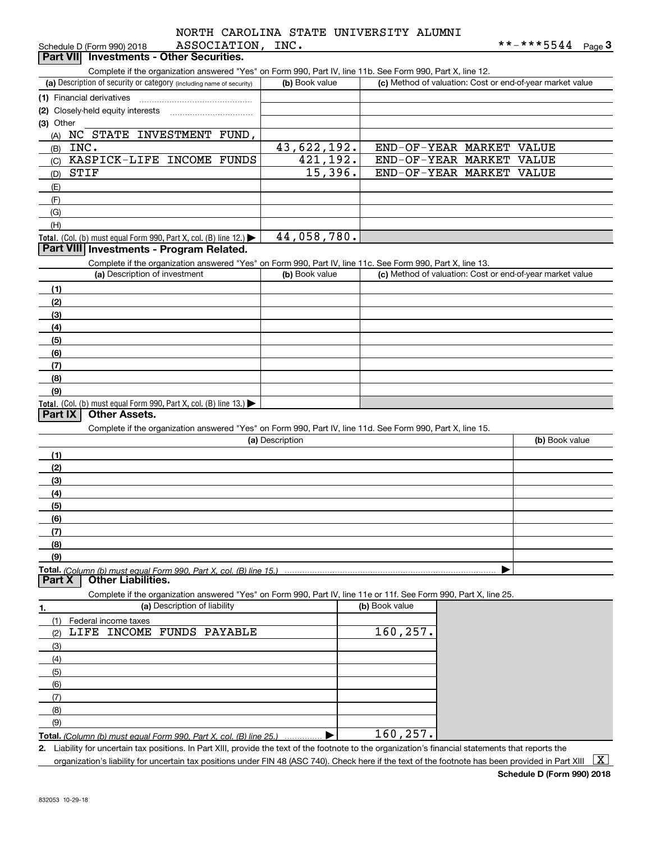| NORTH CAROLINA STATE UNIVERSITY ALUMNI |  |  |  |
|----------------------------------------|--|--|--|
| ASSOCIATION, INC.                      |  |  |  |

| ASSOCIATION,<br>Schedule D (Form 990) 2018                                                                                                           | INC.            |                                                           | **-***5544     | <u>Page</u> 3 |
|------------------------------------------------------------------------------------------------------------------------------------------------------|-----------------|-----------------------------------------------------------|----------------|---------------|
| Part VII Investments - Other Securities.                                                                                                             |                 |                                                           |                |               |
| Complete if the organization answered "Yes" on Form 990, Part IV, line 11b. See Form 990, Part X, line 12.                                           |                 |                                                           |                |               |
| (a) Description of security or category (including name of security)                                                                                 | (b) Book value  | (c) Method of valuation: Cost or end-of-year market value |                |               |
| (1) Financial derivatives                                                                                                                            |                 |                                                           |                |               |
| (2) Closely-held equity interests                                                                                                                    |                 |                                                           |                |               |
| (3) Other                                                                                                                                            |                 |                                                           |                |               |
| NC STATE INVESTMENT FUND,<br>(A)                                                                                                                     |                 |                                                           |                |               |
| INC.<br>(B)                                                                                                                                          | 43,622,192.     | END-OF-YEAR MARKET VALUE                                  |                |               |
| KASPICK-LIFE INCOME FUNDS<br>(C)                                                                                                                     | 421,192.        | END-OF-YEAR MARKET VALUE                                  |                |               |
| STIF                                                                                                                                                 | 15,396.         | END-OF-YEAR MARKET VALUE                                  |                |               |
| (D)                                                                                                                                                  |                 |                                                           |                |               |
| (E)                                                                                                                                                  |                 |                                                           |                |               |
| (F)                                                                                                                                                  |                 |                                                           |                |               |
| (G)                                                                                                                                                  |                 |                                                           |                |               |
| (H)                                                                                                                                                  |                 |                                                           |                |               |
| Total. (Col. (b) must equal Form 990, Part X, col. (B) line $12$ .)<br>Part VIII Investments - Program Related.                                      | 44,058,780.     |                                                           |                |               |
|                                                                                                                                                      |                 |                                                           |                |               |
| Complete if the organization answered "Yes" on Form 990, Part IV, line 11c. See Form 990, Part X, line 13.                                           |                 |                                                           |                |               |
| (a) Description of investment                                                                                                                        | (b) Book value  | (c) Method of valuation: Cost or end-of-year market value |                |               |
| (1)                                                                                                                                                  |                 |                                                           |                |               |
| (2)                                                                                                                                                  |                 |                                                           |                |               |
| (3)                                                                                                                                                  |                 |                                                           |                |               |
| (4)                                                                                                                                                  |                 |                                                           |                |               |
| (5)                                                                                                                                                  |                 |                                                           |                |               |
| (6)                                                                                                                                                  |                 |                                                           |                |               |
| (7)                                                                                                                                                  |                 |                                                           |                |               |
| (8)                                                                                                                                                  |                 |                                                           |                |               |
| (9)                                                                                                                                                  |                 |                                                           |                |               |
| Total. (Col. (b) must equal Form 990, Part X, col. (B) line 13.)                                                                                     |                 |                                                           |                |               |
| <b>Other Assets.</b><br>Part IX                                                                                                                      |                 |                                                           |                |               |
| Complete if the organization answered "Yes" on Form 990, Part IV, line 11d. See Form 990, Part X, line 15.                                           |                 |                                                           |                |               |
|                                                                                                                                                      | (a) Description |                                                           | (b) Book value |               |
| (1)                                                                                                                                                  |                 |                                                           |                |               |
| (2)                                                                                                                                                  |                 |                                                           |                |               |
| (3)                                                                                                                                                  |                 |                                                           |                |               |
| (4)                                                                                                                                                  |                 |                                                           |                |               |
| (5)                                                                                                                                                  |                 |                                                           |                |               |
| (6)                                                                                                                                                  |                 |                                                           |                |               |
| (7)                                                                                                                                                  |                 |                                                           |                |               |
| (8)                                                                                                                                                  |                 |                                                           |                |               |
| (9)                                                                                                                                                  |                 |                                                           |                |               |
| <b>Other Liabilities.</b><br>Part X                                                                                                                  |                 |                                                           |                |               |
| Complete if the organization answered "Yes" on Form 990, Part IV, line 11e or 11f. See Form 990, Part X, line 25.                                    |                 |                                                           |                |               |
| (a) Description of liability<br>1.                                                                                                                   |                 | (b) Book value                                            |                |               |
| (1)<br>Federal income taxes                                                                                                                          |                 |                                                           |                |               |
| LIFE INCOME FUNDS PAYABLE<br>(2)                                                                                                                     |                 | 160, 257.                                                 |                |               |
| (3)                                                                                                                                                  |                 |                                                           |                |               |
| (4)                                                                                                                                                  |                 |                                                           |                |               |
| (5)                                                                                                                                                  |                 |                                                           |                |               |
| (6)                                                                                                                                                  |                 |                                                           |                |               |
| (7)                                                                                                                                                  |                 |                                                           |                |               |
| (8)                                                                                                                                                  |                 |                                                           |                |               |
| (9)                                                                                                                                                  |                 |                                                           |                |               |
| <b>Total.</b> (Column (b) must equal Form 990. Part X, col. (B) line 25.)                                                                            |                 | 160, 257.                                                 |                |               |
| 2. Liability for uncertain tax positions. In Part XIII, provide the text of the footnote to the organization's financial statements that reports the |                 |                                                           |                |               |
|                                                                                                                                                      |                 |                                                           |                |               |

organization's liability for uncertain tax positions under FIN 48 (ASC 740). Check here if the text of the footnote has been provided in Part XIII  $~\boxed{\rm X}$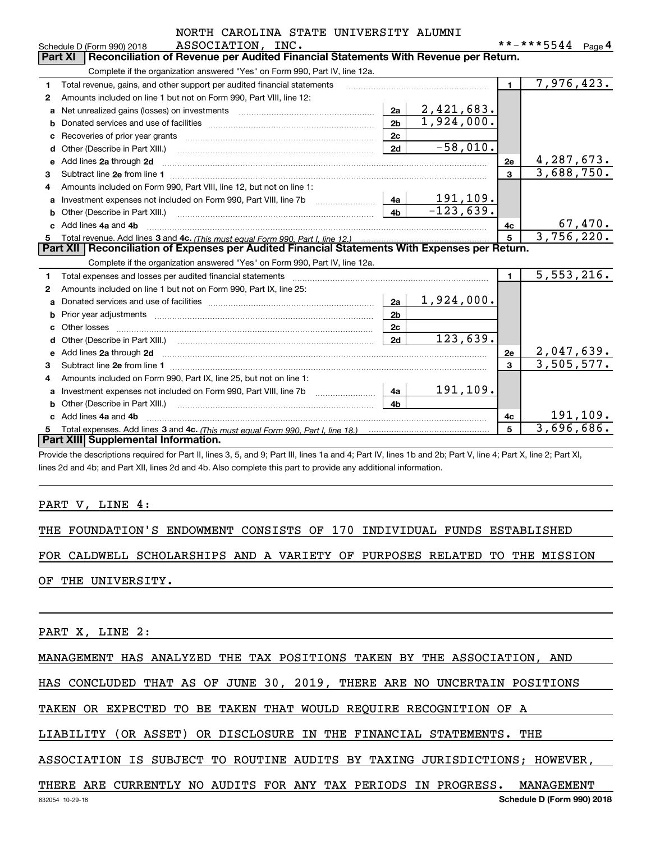|    | ASSOCIATION, INC.<br>Schedule D (Form 990) 2018                                                                         |                |                           |                         | **-***5544                 | Page $4$  |
|----|-------------------------------------------------------------------------------------------------------------------------|----------------|---------------------------|-------------------------|----------------------------|-----------|
|    | Reconciliation of Revenue per Audited Financial Statements With Revenue per Return.<br>Part XI                          |                |                           |                         |                            |           |
|    | Complete if the organization answered "Yes" on Form 990, Part IV, line 12a.                                             |                |                           |                         |                            |           |
| 1  | Total revenue, gains, and other support per audited financial statements                                                |                |                           | $\blacksquare$          | 7,976,423.                 |           |
| 2  | Amounts included on line 1 but not on Form 990, Part VIII, line 12:                                                     |                |                           |                         |                            |           |
| a  |                                                                                                                         | 2a             | 2,421,683.                |                         |                            |           |
| b  |                                                                                                                         | 2 <sub>b</sub> | $\overline{1,924}$ , 000. |                         |                            |           |
| c  |                                                                                                                         | 2c             |                           |                         |                            |           |
| d  | Other (Describe in Part XIII.)                                                                                          | 2d             | $-58,010.$                |                         |                            |           |
| е  | Add lines 2a through 2d                                                                                                 |                |                           | 2e                      | 4,287,673.                 |           |
| 3  | Subtract line 2e from line 1 <b>manufacture in the contract of the 2e</b> from line 1                                   |                |                           | $\overline{\mathbf{3}}$ | 3,688,750.                 |           |
| 4  | Amounts included on Form 990, Part VIII, line 12, but not on line 1:                                                    |                |                           |                         |                            |           |
| a  |                                                                                                                         | 4a             | 191,109.                  |                         |                            |           |
| b  |                                                                                                                         | 4 <sub>b</sub> | $-123,639.$               |                         |                            |           |
| C. | Add lines 4a and 4b                                                                                                     |                |                           | 4c                      | $\frac{67,470}{3,756,220}$ |           |
|    |                                                                                                                         |                |                           | 5                       |                            |           |
|    | Part XII   Reconciliation of Expenses per Audited Financial Statements With Expenses per Return.                        |                |                           |                         |                            |           |
|    | Complete if the organization answered "Yes" on Form 990, Part IV, line 12a.                                             |                |                           |                         |                            |           |
| 1  | Total expenses and losses per audited financial statements                                                              |                |                           | $\mathbf{1}$            | 5,553,216.                 |           |
| 2  | Amounts included on line 1 but not on Form 990, Part IX, line 25:                                                       |                |                           |                         |                            |           |
| a  |                                                                                                                         | 2a             | 1,924,000.                |                         |                            |           |
| b  |                                                                                                                         | 2 <sub>b</sub> |                           |                         |                            |           |
|    | Other losses                                                                                                            | 2 <sub>c</sub> |                           |                         |                            |           |
| d  |                                                                                                                         | 2d             | 123,639.                  |                         |                            |           |
| е  | Add lines 2a through 2d <b>continuum contract and all and all and all and all and all and all and all and all and a</b> |                |                           | 2e                      | 2,047,639.                 |           |
| 3  | Subtract line 2e from line 1                                                                                            |                |                           | 3                       | $\overline{3,505},577.$    |           |
| 4  | Amounts included on Form 990, Part IX, line 25, but not on line 1:                                                      |                |                           |                         |                            |           |
| a  |                                                                                                                         | 4a             | 191,109.                  |                         |                            |           |
| b  | Other (Describe in Part XIII.)                                                                                          | 4 <sub>h</sub> |                           |                         |                            |           |
| c. | Add lines 4a and 4b                                                                                                     |                |                           | 4c                      |                            | 191, 109. |
| 5  | Part XIII Supplemental Information.                                                                                     |                |                           | 5                       | 3,696,686.                 |           |
|    |                                                                                                                         |                |                           |                         |                            |           |

Provide the descriptions required for Part II, lines 3, 5, and 9; Part III, lines 1a and 4; Part IV, lines 1b and 2b; Part V, line 4; Part X, line 2; Part XI, lines 2d and 4b; and Part XII, lines 2d and 4b. Also complete this part to provide any additional information.

### PART V, LINE 4:

THE FOUNDATION'S ENDOWMENT CONSISTS OF 170 INDIVIDUAL FUNDS ESTABLISHED

FOR CALDWELL SCHOLARSHIPS AND A VARIETY OF PURPOSES RELATED TO THE MISSION

OF THE UNIVERSITY.

PART X, LINE 2:

MANAGEMENT HAS ANALYZED THE TAX POSITIONS TAKEN BY THE ASSOCIATION, AND

HAS CONCLUDED THAT AS OF JUNE 30, 2019, THERE ARE NO UNCERTAIN POSITIONS

TAKEN OR EXPECTED TO BE TAKEN THAT WOULD REQUIRE RECOGNITION OF A

LIABILITY (OR ASSET) OR DISCLOSURE IN THE FINANCIAL STATEMENTS. THE

ASSOCIATION IS SUBJECT TO ROUTINE AUDITS BY TAXING JURISDICTIONS; HOWEVER,

THERE ARE CURRENTLY NO AUDITS FOR ANY TAX PERIODS IN PROGRESS. MANAGEMENT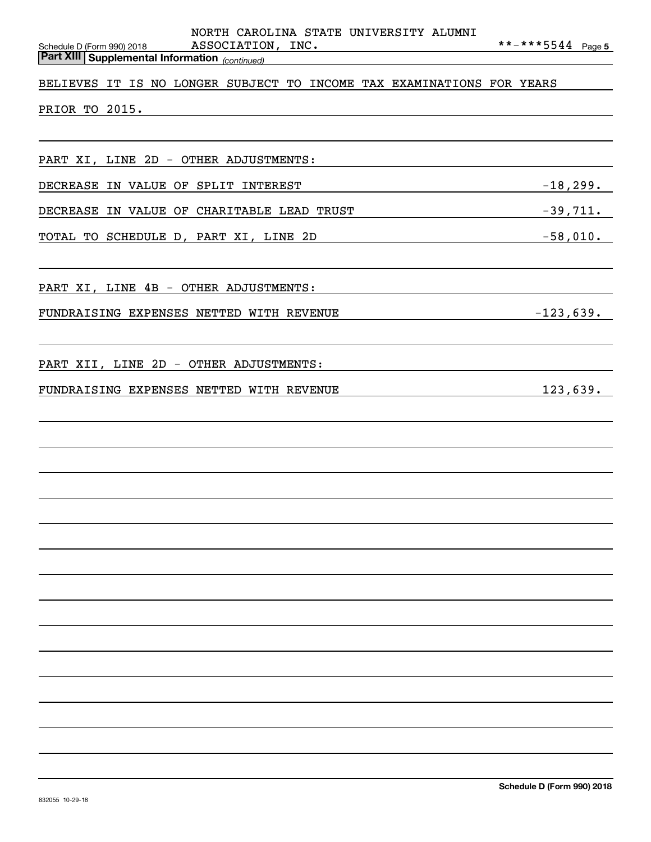| NORTH CAROLINA STATE UNIVERSITY ALUMNI                                                                   |                   |
|----------------------------------------------------------------------------------------------------------|-------------------|
| ASSOCIATION, INC.<br>Schedule D (Form 990) 2018<br><b>Part XIII Supplemental Information</b> (continued) | **-***5544 Page 5 |
| BELIEVES IT IS NO LONGER SUBJECT TO INCOME TAX EXAMINATIONS FOR YEARS                                    |                   |
| PRIOR TO 2015.                                                                                           |                   |
|                                                                                                          |                   |
|                                                                                                          |                   |
| PART XI, LINE 2D - OTHER ADJUSTMENTS:                                                                    |                   |
| DECREASE IN VALUE OF SPLIT INTEREST                                                                      | $-18,299.$        |
| DECREASE IN VALUE OF CHARITABLE LEAD TRUST                                                               | $-39,711.$        |
| TOTAL TO SCHEDULE D, PART XI, LINE 2D                                                                    |                   |
|                                                                                                          |                   |
| PART XI, LINE 4B - OTHER ADJUSTMENTS:                                                                    |                   |
| FUNDRAISING EXPENSES NETTED WITH REVENUE                                                                 | $-123,639.$       |
|                                                                                                          |                   |
|                                                                                                          |                   |
| PART XII, LINE 2D - OTHER ADJUSTMENTS:                                                                   |                   |
| FUNDRAISING EXPENSES NETTED WITH REVENUE                                                                 | 123,639.          |
|                                                                                                          |                   |
|                                                                                                          |                   |
|                                                                                                          |                   |
|                                                                                                          |                   |
|                                                                                                          |                   |
|                                                                                                          |                   |
|                                                                                                          |                   |
|                                                                                                          |                   |
|                                                                                                          |                   |
|                                                                                                          |                   |
|                                                                                                          |                   |
|                                                                                                          |                   |
|                                                                                                          |                   |
|                                                                                                          |                   |
|                                                                                                          |                   |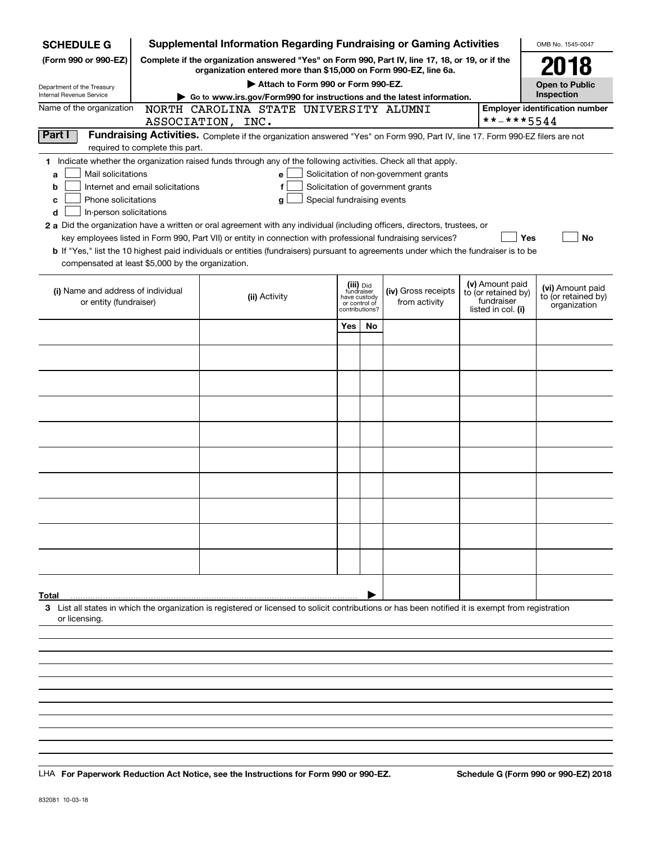| <b>SCHEDULE G</b>                                                                                                                                                          |                                       | <b>Supplemental Information Regarding Fundraising or Gaming Activities</b>                                                                                          |                            |                                         |                     |                                  | OMB No. 1545-0047                       |  |  |  |
|----------------------------------------------------------------------------------------------------------------------------------------------------------------------------|---------------------------------------|---------------------------------------------------------------------------------------------------------------------------------------------------------------------|----------------------------|-----------------------------------------|---------------------|----------------------------------|-----------------------------------------|--|--|--|
| (Form 990 or 990-EZ)                                                                                                                                                       |                                       | Complete if the organization answered "Yes" on Form 990, Part IV, line 17, 18, or 19, or if the<br>organization entered more than \$15,000 on Form 990-EZ, line 6a. |                            |                                         |                     |                                  | 2018                                    |  |  |  |
| Department of the Treasury                                                                                                                                                 |                                       | Attach to Form 990 or Form 990-EZ.                                                                                                                                  |                            |                                         |                     |                                  | <b>Open to Public</b>                   |  |  |  |
| Internal Revenue Service                                                                                                                                                   |                                       | Go to www.irs.gov/Form990 for instructions and the latest information.<br>NORTH CAROLINA STATE UNIVERSITY ALUMNI                                                    |                            |                                         |                     |                                  | Inspection                              |  |  |  |
| Name of the organization                                                                                                                                                   | <b>Employer identification number</b> |                                                                                                                                                                     |                            |                                         |                     |                                  |                                         |  |  |  |
| **-***5544<br>ASSOCIATION, INC.<br>Part I<br>Fundraising Activities. Complete if the organization answered "Yes" on Form 990, Part IV, line 17. Form 990-EZ filers are not |                                       |                                                                                                                                                                     |                            |                                         |                     |                                  |                                         |  |  |  |
|                                                                                                                                                                            | required to complete this part.       |                                                                                                                                                                     |                            |                                         |                     |                                  |                                         |  |  |  |
|                                                                                                                                                                            |                                       | 1 Indicate whether the organization raised funds through any of the following activities. Check all that apply.                                                     |                            |                                         |                     |                                  |                                         |  |  |  |
| Mail solicitations<br>a                                                                                                                                                    |                                       | е                                                                                                                                                                   |                            |                                         |                     |                                  |                                         |  |  |  |
| Solicitation of non-government grants<br>Internet and email solicitations<br>Solicitation of government grants<br>b<br>f                                                   |                                       |                                                                                                                                                                     |                            |                                         |                     |                                  |                                         |  |  |  |
| Phone solicitations<br>c                                                                                                                                                   |                                       | g                                                                                                                                                                   | Special fundraising events |                                         |                     |                                  |                                         |  |  |  |
| In-person solicitations<br>d                                                                                                                                               |                                       |                                                                                                                                                                     |                            |                                         |                     |                                  |                                         |  |  |  |
|                                                                                                                                                                            |                                       | 2 a Did the organization have a written or oral agreement with any individual (including officers, directors, trustees, or                                          |                            |                                         |                     |                                  |                                         |  |  |  |
|                                                                                                                                                                            |                                       | key employees listed in Form 990, Part VII) or entity in connection with professional fundraising services?                                                         |                            |                                         |                     |                                  | Yes<br>No                               |  |  |  |
|                                                                                                                                                                            |                                       | <b>b</b> If "Yes," list the 10 highest paid individuals or entities (fundraisers) pursuant to agreements under which the fundraiser is to be                        |                            |                                         |                     |                                  |                                         |  |  |  |
| compensated at least \$5,000 by the organization.                                                                                                                          |                                       |                                                                                                                                                                     |                            |                                         |                     |                                  |                                         |  |  |  |
|                                                                                                                                                                            |                                       |                                                                                                                                                                     |                            |                                         |                     | (v) Amount paid                  |                                         |  |  |  |
| (i) Name and address of individual                                                                                                                                         |                                       | (ii) Activity                                                                                                                                                       |                            | (iii) Did<br>fundraiser<br>have custody | (iv) Gross receipts | to (or retained by)              | (vi) Amount paid<br>to (or retained by) |  |  |  |
| or entity (fundraiser)                                                                                                                                                     |                                       |                                                                                                                                                                     |                            | or control of<br>contributions?         | from activity       | fundraiser<br>listed in col. (i) | organization                            |  |  |  |
|                                                                                                                                                                            |                                       |                                                                                                                                                                     | Yes                        | <b>No</b>                               |                     |                                  |                                         |  |  |  |
|                                                                                                                                                                            |                                       |                                                                                                                                                                     |                            |                                         |                     |                                  |                                         |  |  |  |
|                                                                                                                                                                            |                                       |                                                                                                                                                                     |                            |                                         |                     |                                  |                                         |  |  |  |
|                                                                                                                                                                            |                                       |                                                                                                                                                                     |                            |                                         |                     |                                  |                                         |  |  |  |
|                                                                                                                                                                            |                                       |                                                                                                                                                                     |                            |                                         |                     |                                  |                                         |  |  |  |
|                                                                                                                                                                            |                                       |                                                                                                                                                                     |                            |                                         |                     |                                  |                                         |  |  |  |
|                                                                                                                                                                            |                                       |                                                                                                                                                                     |                            |                                         |                     |                                  |                                         |  |  |  |
|                                                                                                                                                                            |                                       |                                                                                                                                                                     |                            |                                         |                     |                                  |                                         |  |  |  |
|                                                                                                                                                                            |                                       |                                                                                                                                                                     |                            |                                         |                     |                                  |                                         |  |  |  |
|                                                                                                                                                                            |                                       |                                                                                                                                                                     |                            |                                         |                     |                                  |                                         |  |  |  |
|                                                                                                                                                                            |                                       |                                                                                                                                                                     |                            |                                         |                     |                                  |                                         |  |  |  |
|                                                                                                                                                                            |                                       |                                                                                                                                                                     |                            |                                         |                     |                                  |                                         |  |  |  |
|                                                                                                                                                                            |                                       |                                                                                                                                                                     |                            |                                         |                     |                                  |                                         |  |  |  |
|                                                                                                                                                                            |                                       |                                                                                                                                                                     |                            |                                         |                     |                                  |                                         |  |  |  |
|                                                                                                                                                                            |                                       |                                                                                                                                                                     |                            |                                         |                     |                                  |                                         |  |  |  |
|                                                                                                                                                                            |                                       |                                                                                                                                                                     |                            |                                         |                     |                                  |                                         |  |  |  |
|                                                                                                                                                                            |                                       |                                                                                                                                                                     |                            |                                         |                     |                                  |                                         |  |  |  |
|                                                                                                                                                                            |                                       |                                                                                                                                                                     |                            |                                         |                     |                                  |                                         |  |  |  |
|                                                                                                                                                                            |                                       |                                                                                                                                                                     |                            |                                         |                     |                                  |                                         |  |  |  |
|                                                                                                                                                                            |                                       |                                                                                                                                                                     |                            |                                         |                     |                                  |                                         |  |  |  |
| Total                                                                                                                                                                      |                                       |                                                                                                                                                                     |                            |                                         |                     |                                  |                                         |  |  |  |
|                                                                                                                                                                            |                                       | 3 List all states in which the organization is registered or licensed to solicit contributions or has been notified it is exempt from registration                  |                            |                                         |                     |                                  |                                         |  |  |  |
| or licensing.                                                                                                                                                              |                                       |                                                                                                                                                                     |                            |                                         |                     |                                  |                                         |  |  |  |
|                                                                                                                                                                            |                                       |                                                                                                                                                                     |                            |                                         |                     |                                  |                                         |  |  |  |
|                                                                                                                                                                            |                                       |                                                                                                                                                                     |                            |                                         |                     |                                  |                                         |  |  |  |
|                                                                                                                                                                            |                                       |                                                                                                                                                                     |                            |                                         |                     |                                  |                                         |  |  |  |
|                                                                                                                                                                            |                                       |                                                                                                                                                                     |                            |                                         |                     |                                  |                                         |  |  |  |
|                                                                                                                                                                            |                                       |                                                                                                                                                                     |                            |                                         |                     |                                  |                                         |  |  |  |

LHA For Paperwork Reduction Act Notice, see the Instructions for Form 990 or 990-EZ. Schedule G (Form 990 or 990-EZ) 2018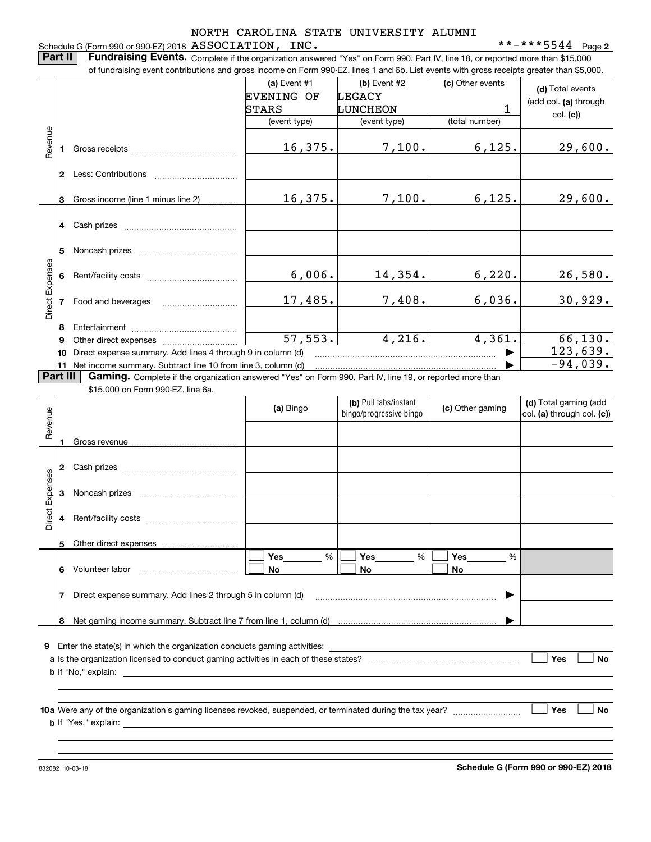|                 |          | Part II<br>Fundraising Events. Complete if the organization answered "Yes" on Form 990, Part IV, line 18, or reported more than \$15,000<br>of fundraising event contributions and gross income on Form 990-EZ, lines 1 and 6b. List events with gross receipts greater than \$5,000. |                                            |                                                  |                                 |                                                                                              |
|-----------------|----------|---------------------------------------------------------------------------------------------------------------------------------------------------------------------------------------------------------------------------------------------------------------------------------------|--------------------------------------------|--------------------------------------------------|---------------------------------|----------------------------------------------------------------------------------------------|
|                 |          |                                                                                                                                                                                                                                                                                       | (a) Event #1<br><b>EVENING OF</b><br>STARS | (b) Event #2<br><b>LEGACY</b><br>LUNCHEON        | (c) Other events<br>$\mathbf 1$ | (d) Total events<br>(add col. (a) through                                                    |
|                 |          |                                                                                                                                                                                                                                                                                       | (event type)                               | (event type)                                     | (total number)                  | col. (c)                                                                                     |
| Revenue         | 1.       |                                                                                                                                                                                                                                                                                       | 16,375.                                    | 7,100.                                           | 6, 125.                         | 29,600.                                                                                      |
|                 |          | 2 Less: Contributions                                                                                                                                                                                                                                                                 |                                            |                                                  |                                 |                                                                                              |
|                 | 3        | Gross income (line 1 minus line 2)                                                                                                                                                                                                                                                    | 16,375.                                    | 7,100.                                           | 6, 125.                         | 29,600.                                                                                      |
|                 |          |                                                                                                                                                                                                                                                                                       |                                            |                                                  |                                 |                                                                                              |
|                 | 5        |                                                                                                                                                                                                                                                                                       |                                            |                                                  |                                 |                                                                                              |
|                 | 6        |                                                                                                                                                                                                                                                                                       | 6,006.                                     | 14,354.                                          | 6,220.                          | 26,580.                                                                                      |
| Direct Expenses | 7        |                                                                                                                                                                                                                                                                                       | 17,485.                                    | 7,408.                                           | 6,036.                          | 30,929.                                                                                      |
|                 | 8        |                                                                                                                                                                                                                                                                                       |                                            |                                                  |                                 |                                                                                              |
|                 |          |                                                                                                                                                                                                                                                                                       |                                            |                                                  |                                 |                                                                                              |
|                 | 9        |                                                                                                                                                                                                                                                                                       | 57, 553.                                   | 4,216.                                           | 4,361.                          |                                                                                              |
|                 | Part III | 10 Direct expense summary. Add lines 4 through 9 in column (d)<br>11 Net income summary. Subtract line 10 from line 3, column (d)<br>Gaming. Complete if the organization answered "Yes" on Form 990, Part IV, line 19, or reported more than                                         |                                            |                                                  |                                 |                                                                                              |
|                 |          | \$15,000 on Form 990-EZ, line 6a.                                                                                                                                                                                                                                                     |                                            |                                                  |                                 |                                                                                              |
|                 |          |                                                                                                                                                                                                                                                                                       | (a) Bingo                                  | (b) Pull tabs/instant<br>bingo/progressive bingo | (c) Other gaming                |                                                                                              |
| Revenue         |          |                                                                                                                                                                                                                                                                                       |                                            |                                                  |                                 |                                                                                              |
|                 | 2        |                                                                                                                                                                                                                                                                                       |                                            |                                                  |                                 |                                                                                              |
|                 | 3        |                                                                                                                                                                                                                                                                                       |                                            |                                                  |                                 |                                                                                              |
| Direct Expenses |          |                                                                                                                                                                                                                                                                                       |                                            |                                                  |                                 | 66, 130.<br>123,639.<br>$-94,039.$<br>(d) Total gaming (add<br>$ col.$ (a) through col. (c)) |
|                 | 5        |                                                                                                                                                                                                                                                                                       |                                            |                                                  |                                 |                                                                                              |
|                 | 6.       | Volunteer labor                                                                                                                                                                                                                                                                       | %<br>Yes<br>No                             | Yes<br>%<br>No                                   | Yes<br>%<br>No                  |                                                                                              |
|                 | 7.       | Direct expense summary. Add lines 2 through 5 in column (d)                                                                                                                                                                                                                           |                                            |                                                  | ▶                               |                                                                                              |

**b** If "Yes," explain:

**Schedule G (Form 990 or 990-EZ) 2018**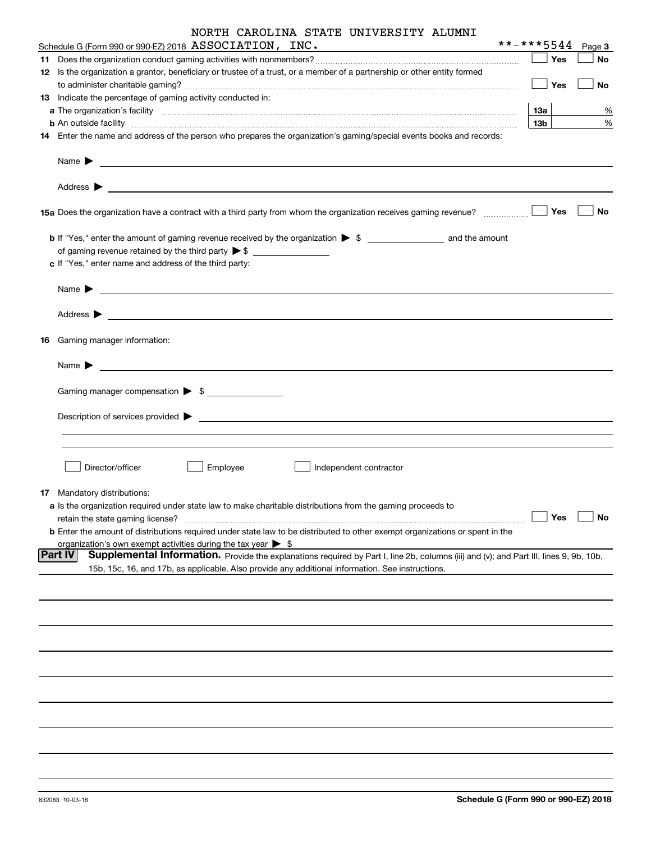|  | NORTH CAROLINA STATE UNIVERSITY ALUMNI |
|--|----------------------------------------|
|--|----------------------------------------|

| Schedule G (Form 990 or 990-EZ) 2018 ASSOCIATION, INC.                                                                                                                                                                                                                                                          | **-***5544      |     | Page 3 |           |
|-----------------------------------------------------------------------------------------------------------------------------------------------------------------------------------------------------------------------------------------------------------------------------------------------------------------|-----------------|-----|--------|-----------|
|                                                                                                                                                                                                                                                                                                                 |                 | Yes |        | <b>No</b> |
| 12 Is the organization a grantor, beneficiary or trustee of a trust, or a member of a partnership or other entity formed                                                                                                                                                                                        |                 |     |        |           |
|                                                                                                                                                                                                                                                                                                                 |                 | Yes |        | No        |
| 13 Indicate the percentage of gaming activity conducted in:                                                                                                                                                                                                                                                     |                 |     |        |           |
|                                                                                                                                                                                                                                                                                                                 | 13a             |     |        | %         |
| <b>b</b> An outside facility <b>contained a construct of the contract of the contract of the contract of the contract of the contract of the contract of the contract of the contract of the contract of the contract of the contract</b>                                                                       | 13 <sub>b</sub> |     |        | %         |
| 14 Enter the name and address of the person who prepares the organization's gaming/special events books and records:                                                                                                                                                                                            |                 |     |        |           |
| Name $\sum_{n=1}^{\infty}$ and $\sum_{n=1}^{\infty}$ and $\sum_{n=1}^{\infty}$ and $\sum_{n=1}^{\infty}$ and $\sum_{n=1}^{\infty}$ and $\sum_{n=1}^{\infty}$ and $\sum_{n=1}^{\infty}$ and $\sum_{n=1}^{\infty}$ and $\sum_{n=1}^{\infty}$ and $\sum_{n=1}^{\infty}$ and $\sum_{n=1}^{\infty}$ and $\sum_{n=1}$ |                 |     |        |           |
|                                                                                                                                                                                                                                                                                                                 |                 |     |        |           |
| 15a Does the organization have a contract with a third party from whom the organization receives gaming revenue?                                                                                                                                                                                                |                 | Yes |        | No        |
| <b>b</b> If "Yes," enter the amount of gaming revenue received by the organization $\triangleright$ \$ ________________________ and the amount                                                                                                                                                                  |                 |     |        |           |
|                                                                                                                                                                                                                                                                                                                 |                 |     |        |           |
| c If "Yes," enter name and address of the third party:                                                                                                                                                                                                                                                          |                 |     |        |           |
| Name <b>Decision of the Contract of the Contract of the Contract of the Contract of the Contract of the Contract of the Contract of the Contract of the Contract of the Contract of the Contract of the Contract of the Contract</b>                                                                            |                 |     |        |           |
|                                                                                                                                                                                                                                                                                                                 |                 |     |        |           |
|                                                                                                                                                                                                                                                                                                                 |                 |     |        |           |
| 16 Gaming manager information:                                                                                                                                                                                                                                                                                  |                 |     |        |           |
| Name $\blacktriangleright$                                                                                                                                                                                                                                                                                      |                 |     |        |           |
| Gaming manager compensation > \$                                                                                                                                                                                                                                                                                |                 |     |        |           |
|                                                                                                                                                                                                                                                                                                                 |                 |     |        |           |
|                                                                                                                                                                                                                                                                                                                 |                 |     |        |           |
|                                                                                                                                                                                                                                                                                                                 |                 |     |        |           |
|                                                                                                                                                                                                                                                                                                                 |                 |     |        |           |
| Director/officer<br>Employee<br>Independent contractor                                                                                                                                                                                                                                                          |                 |     |        |           |
| 17 Mandatory distributions:                                                                                                                                                                                                                                                                                     |                 |     |        |           |
| a Is the organization required under state law to make charitable distributions from the gaming proceeds to                                                                                                                                                                                                     |                 |     |        |           |
| retain the state gaming license?                                                                                                                                                                                                                                                                                |                 | Yes |        | No        |
| <b>b</b> Enter the amount of distributions required under state law to be distributed to other exempt organizations or spent in the                                                                                                                                                                             |                 |     |        |           |
| organization's own exempt activities during the tax year $\triangleright$ \$                                                                                                                                                                                                                                    |                 |     |        |           |
| <b>Part IV</b><br>Supplemental Information. Provide the explanations required by Part I, line 2b, columns (iii) and (v); and Part III, lines 9, 9b, 10b,<br>15b, 15c, 16, and 17b, as applicable. Also provide any additional information. See instructions.                                                    |                 |     |        |           |
|                                                                                                                                                                                                                                                                                                                 |                 |     |        |           |
|                                                                                                                                                                                                                                                                                                                 |                 |     |        |           |
|                                                                                                                                                                                                                                                                                                                 |                 |     |        |           |
|                                                                                                                                                                                                                                                                                                                 |                 |     |        |           |
|                                                                                                                                                                                                                                                                                                                 |                 |     |        |           |
|                                                                                                                                                                                                                                                                                                                 |                 |     |        |           |
|                                                                                                                                                                                                                                                                                                                 |                 |     |        |           |
|                                                                                                                                                                                                                                                                                                                 |                 |     |        |           |
|                                                                                                                                                                                                                                                                                                                 |                 |     |        |           |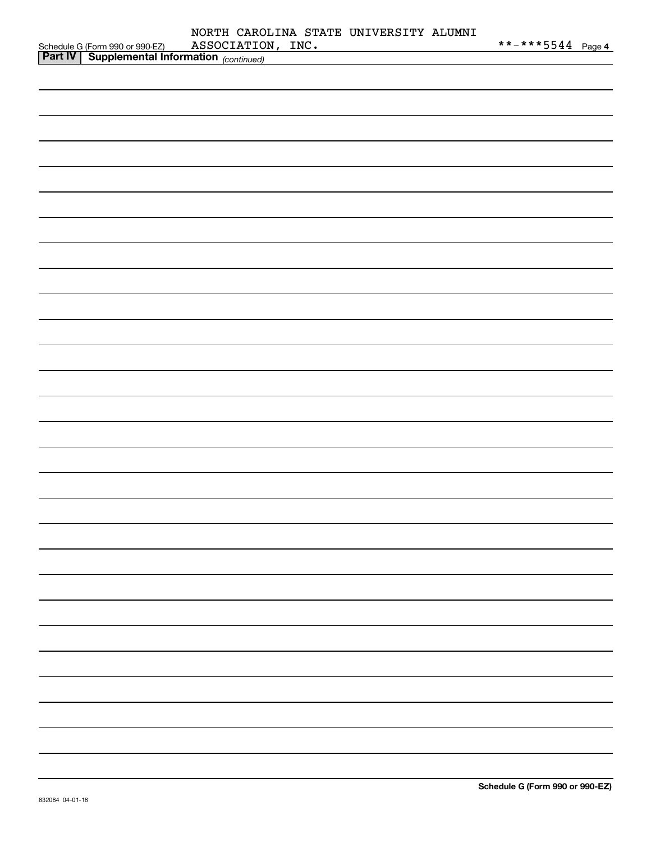|                                                                                               | NORTH CAROLINA STATE UNIVERSITY ALUMNI<br>ASSOCIATION, INC. | **-***5 <u>544 Page 4</u> |
|-----------------------------------------------------------------------------------------------|-------------------------------------------------------------|---------------------------|
| Schedule G (Form 990 or 990-EZ) ASSOCIATION<br>Part IV   Supplemental Information (continued) |                                                             |                           |
|                                                                                               |                                                             |                           |
|                                                                                               |                                                             |                           |
|                                                                                               |                                                             |                           |
|                                                                                               |                                                             |                           |
|                                                                                               |                                                             |                           |
|                                                                                               |                                                             |                           |
|                                                                                               |                                                             |                           |
|                                                                                               |                                                             |                           |
|                                                                                               |                                                             |                           |
|                                                                                               |                                                             |                           |
|                                                                                               |                                                             |                           |
|                                                                                               |                                                             |                           |
|                                                                                               |                                                             |                           |
|                                                                                               |                                                             |                           |
|                                                                                               |                                                             |                           |
|                                                                                               |                                                             |                           |
|                                                                                               |                                                             |                           |
|                                                                                               |                                                             |                           |
|                                                                                               |                                                             |                           |
|                                                                                               |                                                             |                           |
|                                                                                               |                                                             |                           |
|                                                                                               |                                                             |                           |
|                                                                                               |                                                             |                           |
|                                                                                               |                                                             |                           |
|                                                                                               |                                                             |                           |
|                                                                                               |                                                             |                           |
|                                                                                               |                                                             |                           |
|                                                                                               |                                                             |                           |
|                                                                                               |                                                             |                           |
|                                                                                               |                                                             |                           |
|                                                                                               |                                                             |                           |
|                                                                                               |                                                             |                           |
|                                                                                               |                                                             |                           |
|                                                                                               |                                                             |                           |
|                                                                                               |                                                             |                           |
|                                                                                               |                                                             |                           |
|                                                                                               |                                                             |                           |
|                                                                                               |                                                             |                           |
|                                                                                               |                                                             |                           |
|                                                                                               |                                                             |                           |
|                                                                                               |                                                             |                           |
|                                                                                               |                                                             |                           |
|                                                                                               |                                                             |                           |
|                                                                                               |                                                             |                           |
|                                                                                               |                                                             |                           |
|                                                                                               |                                                             |                           |
|                                                                                               |                                                             |                           |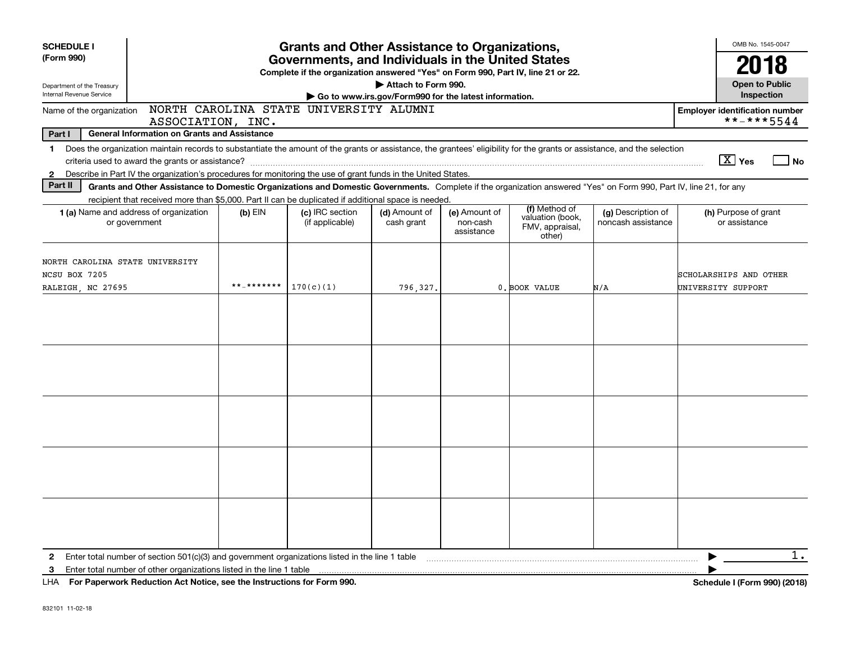| <b>SCHEDULE I</b><br>(Form 990)                        | <b>Grants and Other Assistance to Organizations,</b>                                                                                                                       |            |                                    |                             |                                         |                                                                |                                          |                              |                                       | OMB No. 1545-0047<br>2018 |  |
|--------------------------------------------------------|----------------------------------------------------------------------------------------------------------------------------------------------------------------------------|------------|------------------------------------|-----------------------------|-----------------------------------------|----------------------------------------------------------------|------------------------------------------|------------------------------|---------------------------------------|---------------------------|--|
|                                                        | Governments, and Individuals in the United States<br>Complete if the organization answered "Yes" on Form 990, Part IV, line 21 or 22.                                      |            |                                    |                             |                                         |                                                                |                                          |                              |                                       |                           |  |
| Department of the Treasury<br>Internal Revenue Service | Attach to Form 990.<br>Go to www.irs.gov/Form990 for the latest information.                                                                                               |            |                                    |                             |                                         |                                                                |                                          |                              |                                       |                           |  |
|                                                        | NORTH CAROLINA STATE UNIVERSITY ALUMNI<br>Name of the organization<br><b>Employer identification number</b><br>ASSOCIATION, INC.                                           |            |                                    |                             |                                         |                                                                |                                          |                              |                                       |                           |  |
| Part I                                                 | <b>General Information on Grants and Assistance</b>                                                                                                                        |            |                                    |                             |                                         |                                                                |                                          |                              | **-***5544                            |                           |  |
|                                                        | 1 Does the organization maintain records to substantiate the amount of the grants or assistance, the grantees' eligibility for the grants or assistance, and the selection |            |                                    |                             |                                         |                                                                |                                          |                              |                                       |                           |  |
|                                                        |                                                                                                                                                                            |            |                                    |                             |                                         |                                                                |                                          |                              | $\boxed{\text{X}}$ Yes                | l No                      |  |
| $\mathbf{2}$                                           | Describe in Part IV the organization's procedures for monitoring the use of grant funds in the United States.                                                              |            |                                    |                             |                                         |                                                                |                                          |                              |                                       |                           |  |
| Part II                                                | Grants and Other Assistance to Domestic Organizations and Domestic Governments. Complete if the organization answered "Yes" on Form 990, Part IV, line 21, for any         |            |                                    |                             |                                         |                                                                |                                          |                              |                                       |                           |  |
|                                                        | recipient that received more than \$5,000. Part II can be duplicated if additional space is needed.                                                                        |            |                                    |                             |                                         |                                                                |                                          |                              |                                       |                           |  |
|                                                        | 1 (a) Name and address of organization<br>or government                                                                                                                    | $(b)$ EIN  | (c) IRC section<br>(if applicable) | (d) Amount of<br>cash grant | (e) Amount of<br>non-cash<br>assistance | (f) Method of<br>valuation (book,<br>FMV, appraisal,<br>other) | (g) Description of<br>noncash assistance |                              | (h) Purpose of grant<br>or assistance |                           |  |
| NORTH CAROLINA STATE UNIVERSITY<br>NCSU BOX 7205       |                                                                                                                                                                            |            |                                    |                             |                                         |                                                                |                                          | SCHOLARSHIPS AND OTHER       |                                       |                           |  |
| RALEIGH, NC 27695                                      |                                                                                                                                                                            | **_******* | 170(c)(1)                          | 796,327                     |                                         | 0. BOOK VALUE                                                  | N/A                                      | UNIVERSITY SUPPORT           |                                       |                           |  |
|                                                        |                                                                                                                                                                            |            |                                    |                             |                                         |                                                                |                                          |                              |                                       |                           |  |
|                                                        |                                                                                                                                                                            |            |                                    |                             |                                         |                                                                |                                          |                              |                                       |                           |  |
|                                                        |                                                                                                                                                                            |            |                                    |                             |                                         |                                                                |                                          |                              |                                       |                           |  |
|                                                        |                                                                                                                                                                            |            |                                    |                             |                                         |                                                                |                                          |                              |                                       |                           |  |
| $\mathbf{2}$                                           | Enter total number of section 501(c)(3) and government organizations listed in the line 1 table                                                                            |            |                                    |                             |                                         |                                                                |                                          |                              |                                       | $1$ .                     |  |
| 3                                                      | Enter total number of other organizations listed in the line 1 table                                                                                                       |            |                                    |                             |                                         |                                                                |                                          |                              |                                       |                           |  |
|                                                        | LHA For Paperwork Reduction Act Notice, see the Instructions for Form 990.                                                                                                 |            |                                    |                             |                                         |                                                                |                                          | Schedule I (Form 990) (2018) |                                       |                           |  |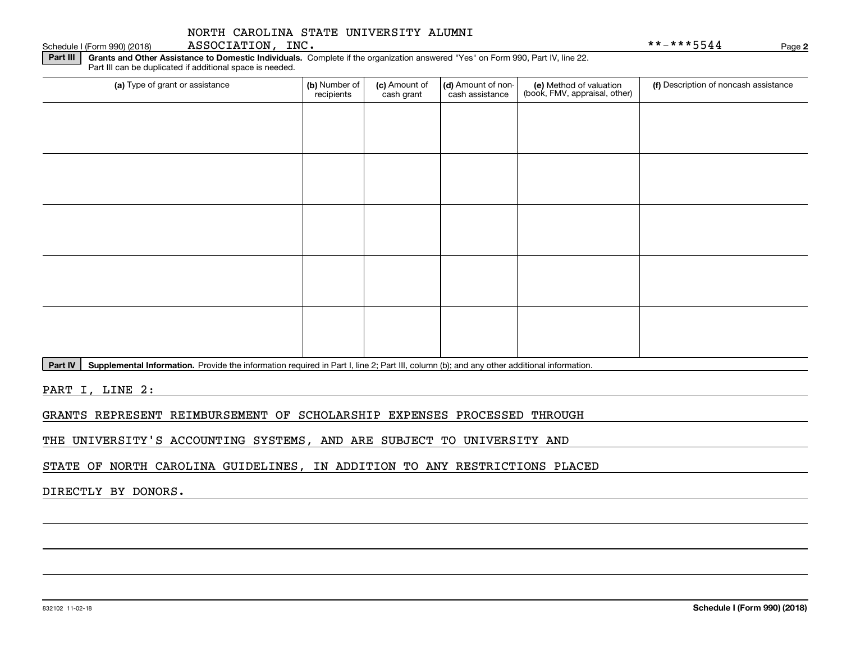Schedule I (Form 990) (2018) <code>ASSOCIATION</code> , INC . \* \* – \* \* \* 5 5 4 4 Page

**Part III** | Grants and Other Assistance to Domestic Individuals. Complete if the organization answered "Yes" on Form 990, Part IV, line 22. Part III can be duplicated if additional space is needed.

| (a) Type of grant or assistance | (b) Number of<br>recipients | (c) Amount of<br>cash grant | (d) Amount of non-<br>cash assistance | (e) Method of valuation<br>(book, FMV, appraisal, other) | (f) Description of noncash assistance |
|---------------------------------|-----------------------------|-----------------------------|---------------------------------------|----------------------------------------------------------|---------------------------------------|
|                                 |                             |                             |                                       |                                                          |                                       |
|                                 |                             |                             |                                       |                                                          |                                       |
|                                 |                             |                             |                                       |                                                          |                                       |
|                                 |                             |                             |                                       |                                                          |                                       |
|                                 |                             |                             |                                       |                                                          |                                       |
|                                 |                             |                             |                                       |                                                          |                                       |
|                                 |                             |                             |                                       |                                                          |                                       |
|                                 |                             |                             |                                       |                                                          |                                       |
|                                 |                             |                             |                                       |                                                          |                                       |
|                                 |                             |                             |                                       |                                                          |                                       |

Part IV | Supplemental Information. Provide the information required in Part I, line 2; Part III, column (b); and any other additional information.

PART I, LINE 2:

GRANTS REPRESENT REIMBURSEMENT OF SCHOLARSHIP EXPENSES PROCESSED THROUGH

THE UNIVERSITY'S ACCOUNTING SYSTEMS, AND ARE SUBJECT TO UNIVERSITY AND

STATE OF NORTH CAROLINA GUIDELINES, IN ADDITION TO ANY RESTRICTIONS PLACED

DIRECTLY BY DONORS.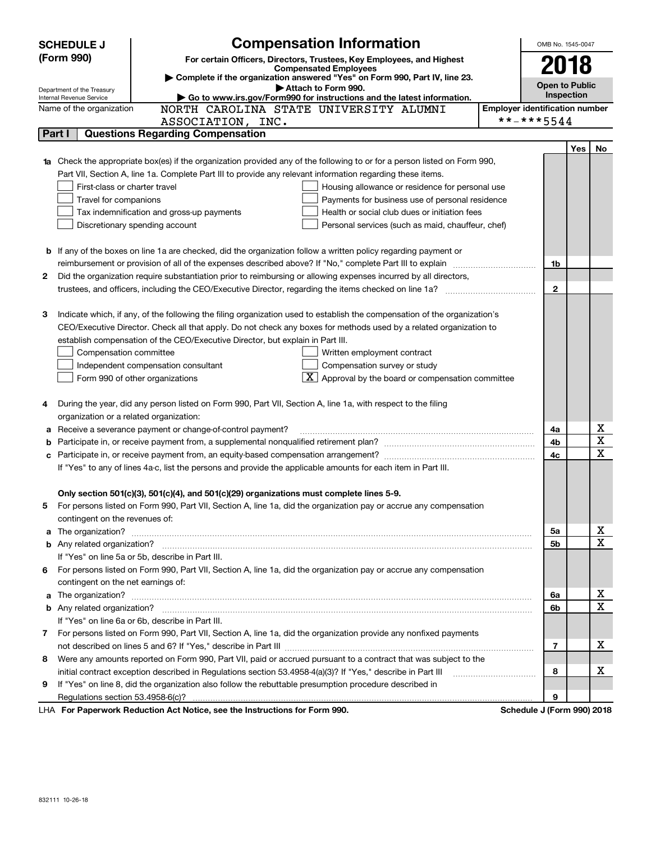|   | <b>SCHEDULE J</b>                                                                                  | <b>Compensation Information</b>                                                                                                                                                                                                      |                                       | OMB No. 1545-0047          |                   |    |
|---|----------------------------------------------------------------------------------------------------|--------------------------------------------------------------------------------------------------------------------------------------------------------------------------------------------------------------------------------------|---------------------------------------|----------------------------|-------------------|----|
|   | (Form 990)                                                                                         | For certain Officers, Directors, Trustees, Key Employees, and Highest                                                                                                                                                                |                                       |                            |                   |    |
|   |                                                                                                    | <b>Compensated Employees</b><br>Complete if the organization answered "Yes" on Form 990, Part IV, line 23.                                                                                                                           |                                       | 2018                       |                   |    |
|   | Department of the Treasury                                                                         | Attach to Form 990.                                                                                                                                                                                                                  |                                       | <b>Open to Public</b>      |                   |    |
|   | Go to www.irs.gov/Form990 for instructions and the latest information.<br>Internal Revenue Service |                                                                                                                                                                                                                                      |                                       |                            | <b>Inspection</b> |    |
|   | Name of the organization                                                                           | NORTH CAROLINA STATE UNIVERSITY ALUMNI                                                                                                                                                                                               | <b>Employer identification number</b> |                            |                   |    |
|   |                                                                                                    | ASSOCIATION, INC.                                                                                                                                                                                                                    |                                       | **-***5544                 |                   |    |
|   | Part I                                                                                             | <b>Questions Regarding Compensation</b>                                                                                                                                                                                              |                                       |                            |                   |    |
|   |                                                                                                    |                                                                                                                                                                                                                                      |                                       |                            | Yes               | No |
|   |                                                                                                    | <b>1a</b> Check the appropriate box(es) if the organization provided any of the following to or for a person listed on Form 990,                                                                                                     |                                       |                            |                   |    |
|   |                                                                                                    | Part VII, Section A, line 1a. Complete Part III to provide any relevant information regarding these items.                                                                                                                           |                                       |                            |                   |    |
|   | First-class or charter travel                                                                      | Housing allowance or residence for personal use                                                                                                                                                                                      |                                       |                            |                   |    |
|   | Travel for companions                                                                              | Payments for business use of personal residence                                                                                                                                                                                      |                                       |                            |                   |    |
|   |                                                                                                    | Health or social club dues or initiation fees<br>Tax indemnification and gross-up payments                                                                                                                                           |                                       |                            |                   |    |
|   |                                                                                                    | Discretionary spending account<br>Personal services (such as maid, chauffeur, chef)                                                                                                                                                  |                                       |                            |                   |    |
|   |                                                                                                    |                                                                                                                                                                                                                                      |                                       |                            |                   |    |
|   |                                                                                                    | <b>b</b> If any of the boxes on line 1a are checked, did the organization follow a written policy regarding payment or                                                                                                               |                                       |                            |                   |    |
|   |                                                                                                    |                                                                                                                                                                                                                                      |                                       | 1b                         |                   |    |
| 2 |                                                                                                    | Did the organization require substantiation prior to reimbursing or allowing expenses incurred by all directors,                                                                                                                     |                                       | $\mathbf{2}$               |                   |    |
|   |                                                                                                    |                                                                                                                                                                                                                                      |                                       |                            |                   |    |
| з |                                                                                                    | Indicate which, if any, of the following the filing organization used to establish the compensation of the organization's                                                                                                            |                                       |                            |                   |    |
|   |                                                                                                    | CEO/Executive Director. Check all that apply. Do not check any boxes for methods used by a related organization to                                                                                                                   |                                       |                            |                   |    |
|   |                                                                                                    | establish compensation of the CEO/Executive Director, but explain in Part III.                                                                                                                                                       |                                       |                            |                   |    |
|   | Compensation committee                                                                             | Written employment contract                                                                                                                                                                                                          |                                       |                            |                   |    |
|   |                                                                                                    | Compensation survey or study<br>Independent compensation consultant                                                                                                                                                                  |                                       |                            |                   |    |
|   |                                                                                                    | $\mathbf{X}$ Approval by the board or compensation committee<br>Form 990 of other organizations                                                                                                                                      |                                       |                            |                   |    |
|   |                                                                                                    |                                                                                                                                                                                                                                      |                                       |                            |                   |    |
| 4 |                                                                                                    | During the year, did any person listed on Form 990, Part VII, Section A, line 1a, with respect to the filing                                                                                                                         |                                       |                            |                   |    |
|   | organization or a related organization:                                                            |                                                                                                                                                                                                                                      |                                       |                            |                   |    |
| а |                                                                                                    | Receive a severance payment or change-of-control payment?                                                                                                                                                                            |                                       | 4a                         |                   | х  |
| b |                                                                                                    |                                                                                                                                                                                                                                      |                                       | 4b                         |                   | X  |
|   |                                                                                                    |                                                                                                                                                                                                                                      |                                       | 4c                         |                   | X  |
|   |                                                                                                    | If "Yes" to any of lines 4a-c, list the persons and provide the applicable amounts for each item in Part III.                                                                                                                        |                                       |                            |                   |    |
|   |                                                                                                    |                                                                                                                                                                                                                                      |                                       |                            |                   |    |
|   |                                                                                                    | Only section 501(c)(3), 501(c)(4), and 501(c)(29) organizations must complete lines 5-9.                                                                                                                                             |                                       |                            |                   |    |
|   |                                                                                                    | For persons listed on Form 990, Part VII, Section A, line 1a, did the organization pay or accrue any compensation                                                                                                                    |                                       |                            |                   |    |
|   | contingent on the revenues of:                                                                     |                                                                                                                                                                                                                                      |                                       |                            |                   |    |
| a |                                                                                                    | The organization? <b>With the contract of the contract of the contract of the contract of the contract of the contract of the contract of the contract of the contract of the contract of the contract of the contract of the co</b> |                                       | 5a                         |                   | х  |
|   |                                                                                                    |                                                                                                                                                                                                                                      |                                       | 5b                         |                   | X  |
|   |                                                                                                    | If "Yes" on line 5a or 5b, describe in Part III.                                                                                                                                                                                     |                                       |                            |                   |    |
| 6 |                                                                                                    | For persons listed on Form 990, Part VII, Section A, line 1a, did the organization pay or accrue any compensation                                                                                                                    |                                       |                            |                   |    |
|   | contingent on the net earnings of:                                                                 |                                                                                                                                                                                                                                      |                                       |                            |                   |    |
| a |                                                                                                    | The organization? <b>With the contract of the contract of the contract of the contract of the contract of the contract of the contract of the contract of the contract of the contract of the contract of the contract of the co</b> |                                       | 6a                         |                   | х  |
|   |                                                                                                    |                                                                                                                                                                                                                                      |                                       | 6b                         |                   | X  |
|   |                                                                                                    | If "Yes" on line 6a or 6b, describe in Part III.                                                                                                                                                                                     |                                       |                            |                   |    |
|   |                                                                                                    | 7 For persons listed on Form 990, Part VII, Section A, line 1a, did the organization provide any nonfixed payments                                                                                                                   |                                       |                            |                   |    |
|   |                                                                                                    |                                                                                                                                                                                                                                      |                                       | 7                          |                   | х  |
| 8 |                                                                                                    | Were any amounts reported on Form 990, Part VII, paid or accrued pursuant to a contract that was subject to the                                                                                                                      |                                       |                            |                   |    |
|   |                                                                                                    | initial contract exception described in Regulations section 53.4958-4(a)(3)? If "Yes," describe in Part III                                                                                                                          |                                       | 8                          |                   | х  |
| 9 |                                                                                                    | If "Yes" on line 8, did the organization also follow the rebuttable presumption procedure described in                                                                                                                               |                                       |                            |                   |    |
|   |                                                                                                    |                                                                                                                                                                                                                                      |                                       | 9                          |                   |    |
|   |                                                                                                    | LHA For Paperwork Reduction Act Notice, see the Instructions for Form 990.                                                                                                                                                           |                                       | Schedule J (Form 990) 2018 |                   |    |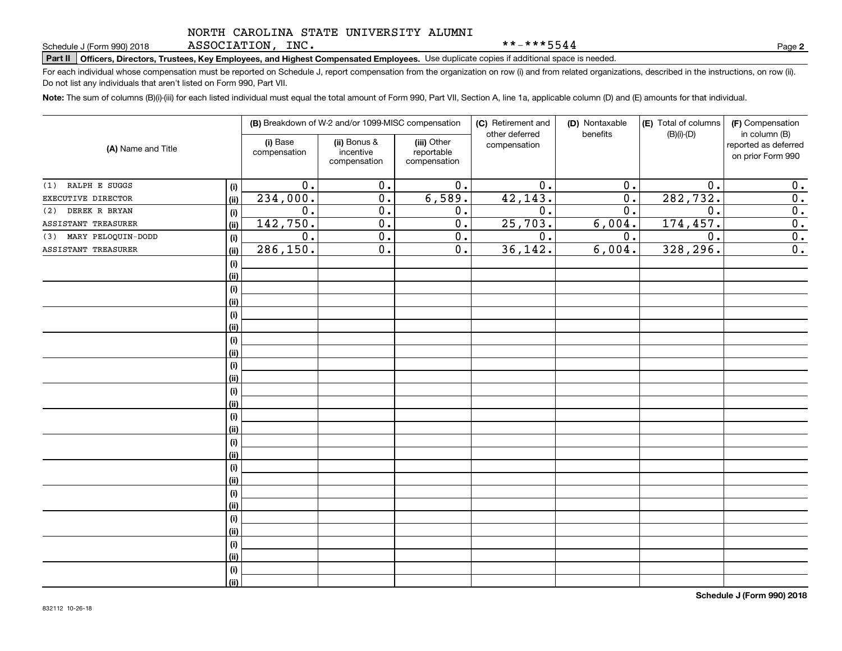ASSOCIATION, INC.

\*\*-\*\*\*5544

**2**

# **Part II Officers, Directors, Trustees, Key Employees, and Highest Compensated Employees.**  Schedule J (Form 990) 2018 Page Use duplicate copies if additional space is needed.

For each individual whose compensation must be reported on Schedule J, report compensation from the organization on row (i) and from related organizations, described in the instructions, on row (ii). Do not list any individuals that aren't listed on Form 990, Part VII.

**Note:**  The sum of columns (B)(i)-(iii) for each listed individual must equal the total amount of Form 990, Part VII, Section A, line 1a, applicable column (D) and (E) amounts for that individual.

| (A) Name and Title        |      |                          | (B) Breakdown of W-2 and/or 1099-MISC compensation |                                           | (C) Retirement and<br>other deferred | (D) Nontaxable<br>benefits | (E) Total of columns<br>$(B)(i)-(D)$ | (F) Compensation<br>in column (B)         |
|---------------------------|------|--------------------------|----------------------------------------------------|-------------------------------------------|--------------------------------------|----------------------------|--------------------------------------|-------------------------------------------|
|                           |      | (i) Base<br>compensation | (ii) Bonus &<br>incentive<br>compensation          | (iii) Other<br>reportable<br>compensation | compensation                         |                            |                                      | reported as deferred<br>on prior Form 990 |
| RALPH E SUGGS<br>(1)      | (i)  | $\overline{0}$ .         | $\overline{0}$ .                                   | $\overline{0}$ .                          | $\overline{0}$ .                     | $\overline{0}$ .           | 0.                                   | 0.                                        |
| EXECUTIVE DIRECTOR        | (ii) | 234,000.                 | $\overline{0}$ .                                   | 6,589.                                    | 42, 143.                             | $\overline{0}$ .           | 282,732.                             | $\overline{0}$ .                          |
| DEREK R BRYAN<br>(2)      | (i)  | $\overline{0}$ .         | $\overline{0}$ .                                   | 0.                                        | $\overline{0}$ .                     | $\overline{0}$ .           | $\overline{0}$ .                     | $\overline{0}$ .                          |
| ASSISTANT TREASURER       | (ii) | 142, 750.                | $\overline{0}$ .                                   | $\overline{0}$ .                          | 25,703.                              | 6,004.                     | 174, 457.                            | $\overline{0}$ .                          |
| MARY PELOQUIN-DODD<br>(3) | (i)  | $\overline{0}$ .         | $\overline{0}$ .                                   | $\overline{0}$ .                          | $\overline{0}$ .                     | 0.                         | $\overline{0}$ .                     | $\overline{0}$ .                          |
| ASSISTANT TREASURER       | (ii) | 286, 150.                | $\overline{0}$ .                                   | $\overline{0}$ .                          | 36,142.                              | 6,004.                     | 328, 296.                            | $\overline{0}$ .                          |
|                           | (i)  |                          |                                                    |                                           |                                      |                            |                                      |                                           |
|                           | (ii) |                          |                                                    |                                           |                                      |                            |                                      |                                           |
|                           | (i)  |                          |                                                    |                                           |                                      |                            |                                      |                                           |
|                           | (ii) |                          |                                                    |                                           |                                      |                            |                                      |                                           |
|                           | (i)  |                          |                                                    |                                           |                                      |                            |                                      |                                           |
|                           | (ii) |                          |                                                    |                                           |                                      |                            |                                      |                                           |
|                           | (i)  |                          |                                                    |                                           |                                      |                            |                                      |                                           |
|                           | (ii) |                          |                                                    |                                           |                                      |                            |                                      |                                           |
|                           | (i)  |                          |                                                    |                                           |                                      |                            |                                      |                                           |
|                           | (ii) |                          |                                                    |                                           |                                      |                            |                                      |                                           |
|                           | (i)  |                          |                                                    |                                           |                                      |                            |                                      |                                           |
|                           | (ii) |                          |                                                    |                                           |                                      |                            |                                      |                                           |
|                           | (i)  |                          |                                                    |                                           |                                      |                            |                                      |                                           |
|                           | (ii) |                          |                                                    |                                           |                                      |                            |                                      |                                           |
|                           | (i)  |                          |                                                    |                                           |                                      |                            |                                      |                                           |
|                           | (ii) |                          |                                                    |                                           |                                      |                            |                                      |                                           |
|                           | (i)  |                          |                                                    |                                           |                                      |                            |                                      |                                           |
|                           | (ii) |                          |                                                    |                                           |                                      |                            |                                      |                                           |
|                           | (i)  |                          |                                                    |                                           |                                      |                            |                                      |                                           |
|                           | (ii) |                          |                                                    |                                           |                                      |                            |                                      |                                           |
|                           | (i)  |                          |                                                    |                                           |                                      |                            |                                      |                                           |
|                           | (ii) |                          |                                                    |                                           |                                      |                            |                                      |                                           |
|                           | (i)  |                          |                                                    |                                           |                                      |                            |                                      |                                           |
|                           | (ii) |                          |                                                    |                                           |                                      |                            |                                      |                                           |
|                           | (i)  |                          |                                                    |                                           |                                      |                            |                                      |                                           |
|                           | (ii) |                          |                                                    |                                           |                                      |                            |                                      |                                           |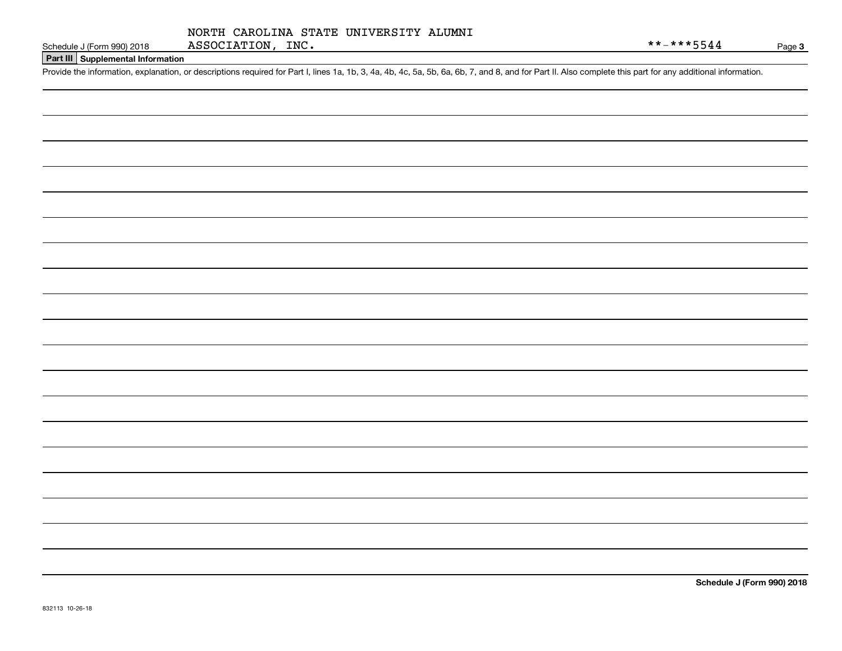## **Part III Supplemental Information**

Schedule J (Form 990) 2018 ASSOCIATION, INC.<br>Part III Supplemental Information<br>Provide the information, explanation, or descriptions required for Part I, lines 1a, 1b, 3, 4a, 4b, 4c, 5a, 5b, 6a, 6b, 7, and 8, and for Part

**Schedule J (Form 990) 2018**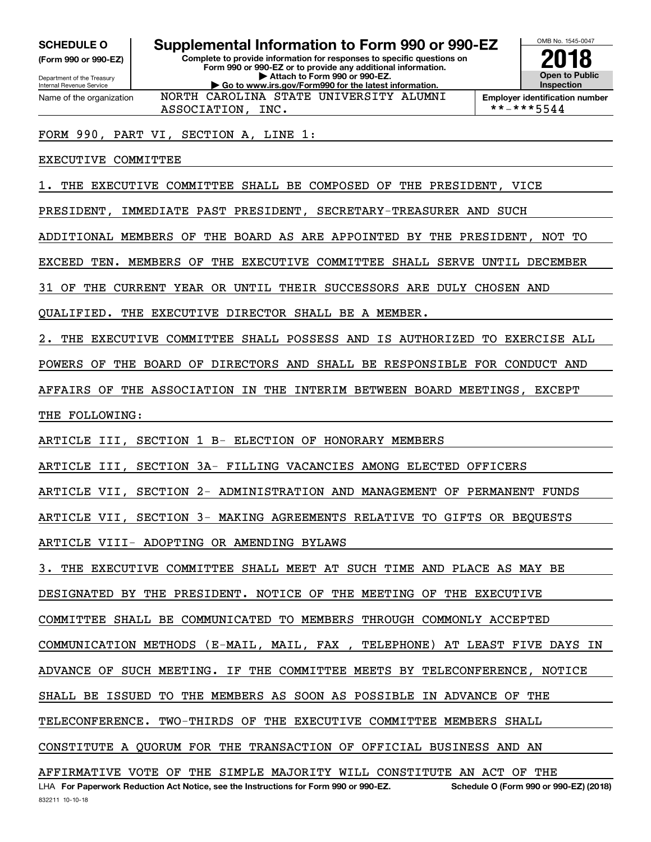**(Form 990 or 990-EZ)**

Department of the Treasury Internal Revenue Service Name of the organization

# **Complete to provide information for responses to specific questions on SCHEDULE O Supplemental Information to Form 990 or 990-EZ**

**Form 990 or 990-EZ or to provide any additional information. | Attach to Form 990 or 990-EZ. | Go to www.irs.gov/Form990 for the latest information.** NORTH CAROLINA STATE UNIVERSITY ALUMNI



**Employer identification number**<br>\*\*-\*\*\*5544

FORM 990, PART VI, SECTION A, LINE 1:

ASSOCIATION, INC.

EXECUTIVE COMMITTEE

1. THE EXECUTIVE COMMITTEE SHALL BE COMPOSED OF THE PRESIDENT, VICE

PRESIDENT, IMMEDIATE PAST PRESIDENT, SECRETARY-TREASURER AND SUCH

ADDITIONAL MEMBERS OF THE BOARD AS ARE APPOINTED BY THE PRESIDENT, NOT TO

EXCEED TEN. MEMBERS OF THE EXECUTIVE COMMITTEE SHALL SERVE UNTIL DECEMBER

31 OF THE CURRENT YEAR OR UNTIL THEIR SUCCESSORS ARE DULY CHOSEN AND

QUALIFIED. THE EXECUTIVE DIRECTOR SHALL BE A MEMBER.

2. THE EXECUTIVE COMMITTEE SHALL POSSESS AND IS AUTHORIZED TO EXERCISE ALL

POWERS OF THE BOARD OF DIRECTORS AND SHALL BE RESPONSIBLE FOR CONDUCT AND

AFFAIRS OF THE ASSOCIATION IN THE INTERIM BETWEEN BOARD MEETINGS, EXCEPT

THE FOLLOWING:

ARTICLE III, SECTION 1 B- ELECTION OF HONORARY MEMBERS

ARTICLE III, SECTION 3A- FILLING VACANCIES AMONG ELECTED OFFICERS

ARTICLE VII, SECTION 2- ADMINISTRATION AND MANAGEMENT OF PERMANENT FUNDS

ARTICLE VII, SECTION 3- MAKING AGREEMENTS RELATIVE TO GIFTS OR BEQUESTS

ARTICLE VIII- ADOPTING OR AMENDING BYLAWS

3. THE EXECUTIVE COMMITTEE SHALL MEET AT SUCH TIME AND PLACE AS MAY BE

DESIGNATED BY THE PRESIDENT. NOTICE OF THE MEETING OF THE EXECUTIVE

COMMITTEE SHALL BE COMMUNICATED TO MEMBERS THROUGH COMMONLY ACCEPTED

COMMUNICATION METHODS (E-MAIL, MAIL, FAX , TELEPHONE) AT LEAST FIVE DAYS IN

ADVANCE OF SUCH MEETING. IF THE COMMITTEE MEETS BY TELECONFERENCE, NOTICE

SHALL BE ISSUED TO THE MEMBERS AS SOON AS POSSIBLE IN ADVANCE OF THE

TELECONFERENCE. TWO-THIRDS OF THE EXECUTIVE COMMITTEE MEMBERS SHALL

CONSTITUTE A QUORUM FOR THE TRANSACTION OF OFFICIAL BUSINESS AND AN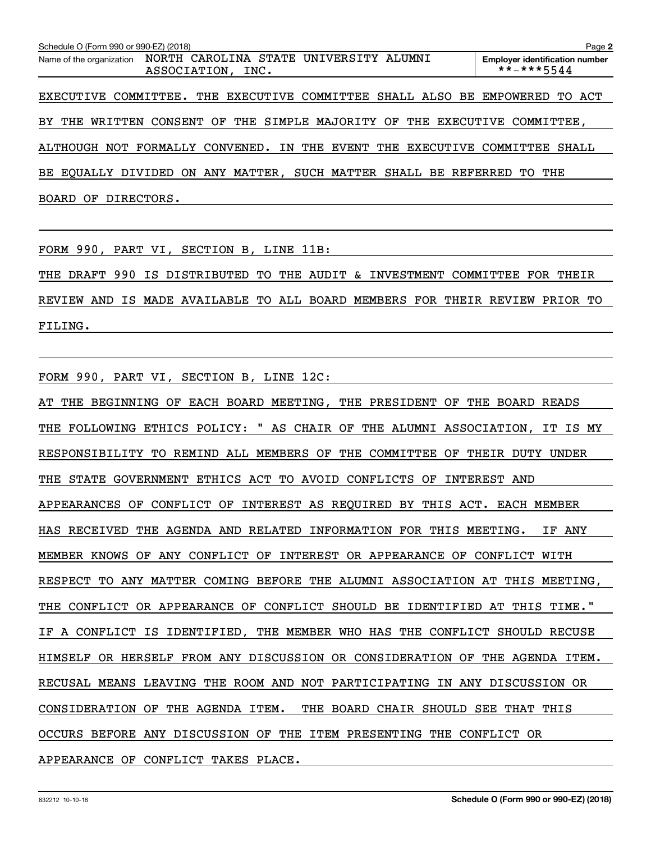| Schedule O (Form 990 or 990-EZ) (2018) |                                                                                           | Page 2                                              |
|----------------------------------------|-------------------------------------------------------------------------------------------|-----------------------------------------------------|
|                                        | Name of the organization  NORTH  CAROLINA  STATE  UNIVERSITY  ALUMNI<br>ASSOCIATION, INC. | <b>Employer identification number</b><br>**-***5544 |
|                                        | EXECUTIVE COMMITTEE. THE EXECUTIVE COMMITTEE SHALL ALSO BE EMPOWERED TO ACT               |                                                     |
|                                        | BY THE WRITTEN CONSENT OF THE SIMPLE MAJORITY OF THE EXECUTIVE COMMITTEE,                 |                                                     |
|                                        | ALTHOUGH NOT FORMALLY CONVENED. IN THE EVENT THE EXECUTIVE                                | COMMITTEE<br>SHALL                                  |
|                                        | BE EQUALLY DIVIDED ON ANY MATTER, SUCH MATTER SHALL BE REFERRED TO THE                    |                                                     |
| BOARD OF DIRECTORS.                    |                                                                                           |                                                     |

FORM 990, PART VI, SECTION B, LINE 11B:

THE DRAFT 990 IS DISTRIBUTED TO THE AUDIT & INVESTMENT COMMITTEE FOR THEIR REVIEW AND IS MADE AVAILABLE TO ALL BOARD MEMBERS FOR THEIR REVIEW PRIOR TO FILING.

FORM 990, PART VI, SECTION B, LINE 12C:

AT THE BEGINNING OF EACH BOARD MEETING, THE PRESIDENT OF THE BOARD READS THE FOLLOWING ETHICS POLICY: " AS CHAIR OF THE ALUMNI ASSOCIATION, IT IS MY RESPONSIBILITY TO REMIND ALL MEMBERS OF THE COMMITTEE OF THEIR DUTY UNDER THE STATE GOVERNMENT ETHICS ACT TO AVOID CONFLICTS OF INTEREST AND APPEARANCES OF CONFLICT OF INTEREST AS REQUIRED BY THIS ACT. EACH MEMBER HAS RECEIVED THE AGENDA AND RELATED INFORMATION FOR THIS MEETING. IF ANY MEMBER KNOWS OF ANY CONFLICT OF INTEREST OR APPEARANCE OF CONFLICT WITH RESPECT TO ANY MATTER COMING BEFORE THE ALUMNI ASSOCIATION AT THIS MEETING, THE CONFLICT OR APPEARANCE OF CONFLICT SHOULD BE IDENTIFIED AT THIS TIME." IF A CONFLICT IS IDENTIFIED, THE MEMBER WHO HAS THE CONFLICT SHOULD RECUSE HIMSELF OR HERSELF FROM ANY DISCUSSION OR CONSIDERATION OF THE AGENDA ITEM. RECUSAL MEANS LEAVING THE ROOM AND NOT PARTICIPATING IN ANY DISCUSSION OR CONSIDERATION OF THE AGENDA ITEM. THE BOARD CHAIR SHOULD SEE THAT THIS OCCURS BEFORE ANY DISCUSSION OF THE ITEM PRESENTING THE CONFLICT OR APPEARANCE OF CONFLICT TAKES PLACE.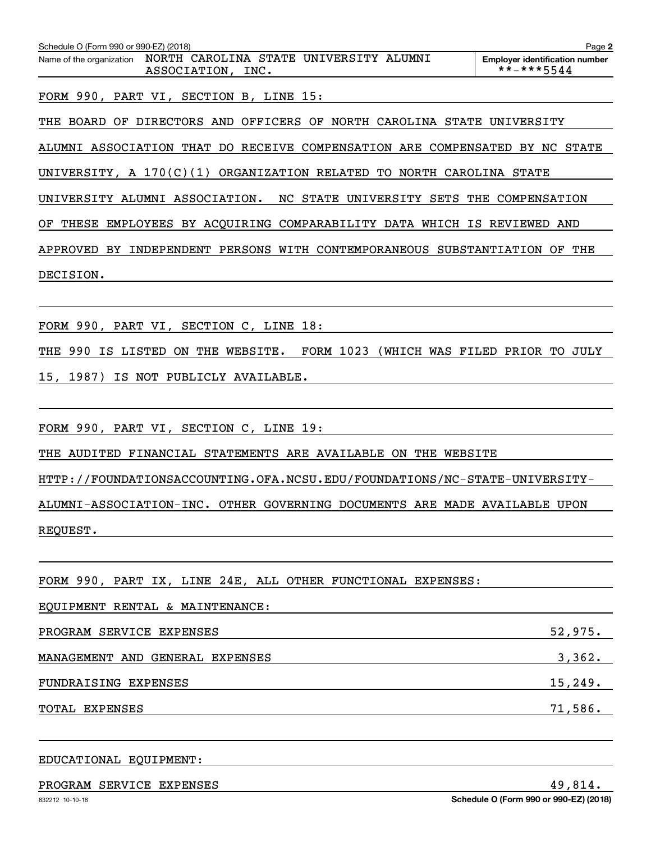| Schedule O (Form 990 or 990-EZ) (2018)<br>NORTH CAROLINA STATE UNIVERSITY ALUMNI<br>Name of the organization<br>ASSOCIATION, INC. | Page 2<br><b>Employer identification number</b><br>**-***5544 |
|-----------------------------------------------------------------------------------------------------------------------------------|---------------------------------------------------------------|
| FORM 990, PART VI, SECTION B, LINE 15:                                                                                            |                                                               |
| THE BOARD OF DIRECTORS AND OFFICERS OF NORTH CAROLINA STATE UNIVERSITY                                                            |                                                               |
| ALUMNI ASSOCIATION THAT DO RECEIVE COMPENSATION ARE COMPENSATED BY NC STATE                                                       |                                                               |
| UNIVERSITY, A 170(C)(1) ORGANIZATION RELATED TO NORTH CAROLINA STATE                                                              |                                                               |
| UNIVERSITY ALUMNI ASSOCIATION. NC STATE UNIVERSITY SETS THE COMPENSATION                                                          |                                                               |
| THESE EMPLOYEES BY ACQUIRING COMPARABILITY DATA WHICH IS REVIEWED AND<br>OF                                                       |                                                               |
| APPROVED BY INDEPENDENT PERSONS WITH CONTEMPORANEOUS SUBSTANTIATION OF THE                                                        |                                                               |
| DECISION.                                                                                                                         |                                                               |
|                                                                                                                                   |                                                               |
| FORM 990, PART VI, SECTION C, LINE 18:                                                                                            |                                                               |
| THE 990 IS LISTED ON THE WEBSITE. FORM 1023 (WHICH WAS FILED PRIOR TO JULY                                                        |                                                               |
| 15, 1987) IS NOT PUBLICLY AVAILABLE.                                                                                              |                                                               |
|                                                                                                                                   |                                                               |
| FORM 990, PART VI, SECTION C, LINE 19:                                                                                            |                                                               |
| THE AUDITED FINANCIAL STATEMENTS ARE AVAILABLE ON THE WEBSITE                                                                     |                                                               |
| HTTP://FOUNDATIONSACCOUNTING.OFA.NCSU.EDU/FOUNDATIONS/NC-STATE-UNIVERSITY-                                                        |                                                               |
| ALUMNI-ASSOCIATION-INC. OTHER GOVERNING DOCUMENTS ARE MADE AVAILABLE UPON                                                         |                                                               |
| REQUEST.                                                                                                                          |                                                               |
|                                                                                                                                   |                                                               |
| FORM 990, PART IX, LINE 24E, ALL OTHER FUNCTIONAL EXPENSES:                                                                       |                                                               |
| EQUIPMENT RENTAL & MAINTENANCE:                                                                                                   |                                                               |

PROGRAM SERVICE EXPENSES 52,975. MANAGEMENT AND GENERAL EXPENSES 3,362. FUNDRAISING EXPENSES 15, 249. TOTAL EXPENSES 71,586.

# EDUCATIONAL EQUIPMENT:

# PROGRAM SERVICE EXPENSES 49,814.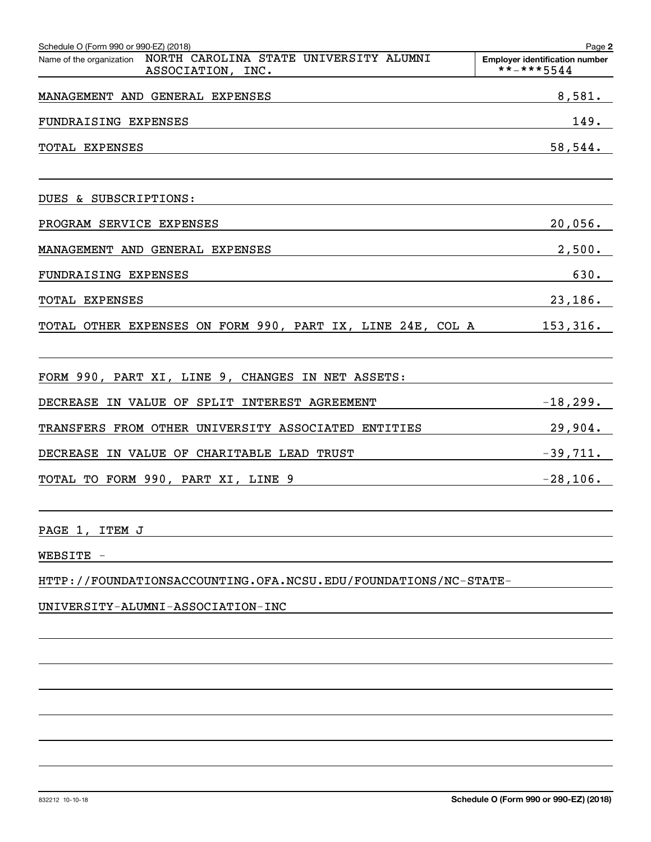| Schedule O (Form 990 or 990-EZ) (2018)                                                                                             | Page 2                                              |
|------------------------------------------------------------------------------------------------------------------------------------|-----------------------------------------------------|
| Name of the organization NORTH CAROLINA STATE UNIVERSITY ALUMNI<br>ASSOCIATION, INC.                                               | <b>Employer identification number</b><br>**-***5544 |
| MANAGEMENT AND GENERAL EXPENSES                                                                                                    | 8,581.                                              |
| FUNDRAISING EXPENSES                                                                                                               | 149.                                                |
| TOTAL EXPENSES<br>and the control of the control of the control of the control of the control of the control of the control of the | 58,544.                                             |
| DUES & SUBSCRIPTIONS:                                                                                                              |                                                     |
| PROGRAM SERVICE EXPENSES                                                                                                           | $20,056$ .                                          |
| MANAGEMENT AND GENERAL EXPENSES                                                                                                    | 2,500.                                              |
| FUNDRAISING EXPENSES                                                                                                               | 630.                                                |
| TOTAL EXPENSES                                                                                                                     | $23,186$ .                                          |
| TOTAL OTHER EXPENSES ON FORM 990, PART IX, LINE 24E, COL A 153,316.                                                                |                                                     |
| FORM 990, PART XI, LINE 9, CHANGES IN NET ASSETS:                                                                                  |                                                     |
| DECREASE IN VALUE OF SPLIT INTEREST AGREEMENT                                                                                      | $-18,299.$                                          |
| TRANSFERS FROM OTHER UNIVERSITY ASSOCIATED ENTITIES                                                                                | $29,904$ .                                          |
| DECREASE IN VALUE OF CHARITABLE LEAD TRUST                                                                                         | $-39,711.$                                          |
| <u>TOTAL TO FORM 990, PART XI, LINE 9<br/> TOTAL TO FORM 990, PART XI, LINE 9</u>                                                  |                                                     |
| PAGE 1, ITEM J                                                                                                                     |                                                     |
| WEBSITE -                                                                                                                          |                                                     |
| HTTP://FOUNDATIONSACCOUNTING.OFA.NCSU.EDU/FOUNDATIONS/NC-STATE-                                                                    |                                                     |
| UNIVERSITY-ALUMNI-ASSOCIATION-INC                                                                                                  |                                                     |
|                                                                                                                                    |                                                     |
|                                                                                                                                    |                                                     |
|                                                                                                                                    |                                                     |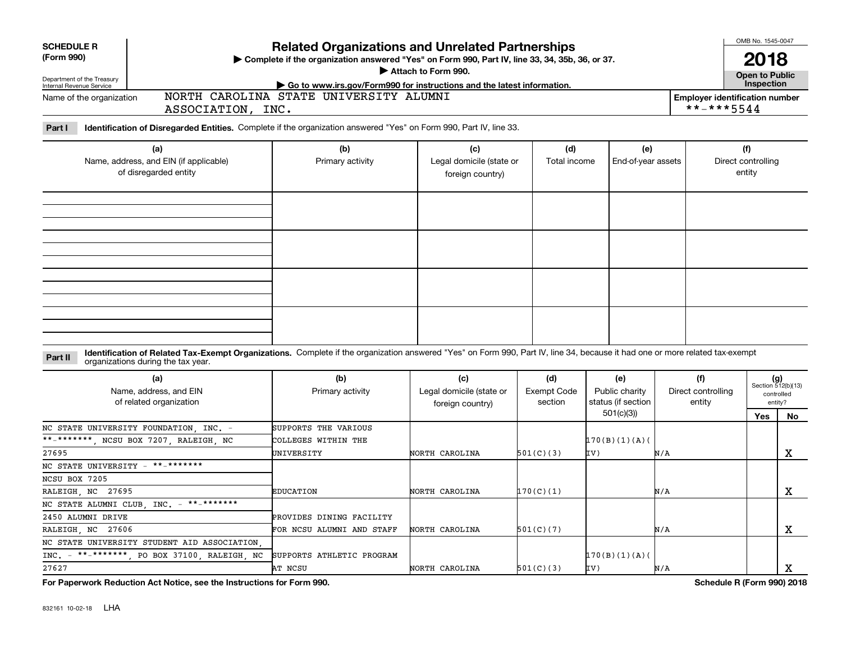| <b>SCHEDULE R</b>                                                                                                                                                                                                             |                                        | <b>Related Organizations and Unrelated Partnerships</b>                                          |                    |                    |     |                                                     |                              |                             |  |  |  |  |
|-------------------------------------------------------------------------------------------------------------------------------------------------------------------------------------------------------------------------------|----------------------------------------|--------------------------------------------------------------------------------------------------|--------------------|--------------------|-----|-----------------------------------------------------|------------------------------|-----------------------------|--|--|--|--|
| (Form 990)                                                                                                                                                                                                                    |                                        | > Complete if the organization answered "Yes" on Form 990, Part IV, line 33, 34, 35b, 36, or 37. |                    |                    |     |                                                     |                              |                             |  |  |  |  |
|                                                                                                                                                                                                                               |                                        | Attach to Form 990.<br>Go to www.irs.gov/Form990 for instructions and the latest information.    |                    |                    |     |                                                     |                              |                             |  |  |  |  |
| Department of the Treasury<br>Internal Revenue Service                                                                                                                                                                        |                                        |                                                                                                  |                    | Inspection         |     |                                                     |                              |                             |  |  |  |  |
| Name of the organization<br>ASSOCIATION, INC.                                                                                                                                                                                 | NORTH CAROLINA STATE UNIVERSITY ALUMNI |                                                                                                  |                    |                    |     | <b>Employer identification number</b><br>**-***5544 |                              |                             |  |  |  |  |
| Identification of Disregarded Entities. Complete if the organization answered "Yes" on Form 990, Part IV, line 33.<br>Part I                                                                                                  |                                        |                                                                                                  |                    |                    |     |                                                     |                              |                             |  |  |  |  |
| (a)                                                                                                                                                                                                                           | (b)                                    | (c)                                                                                              | (d)                | (e)                |     |                                                     | (f)                          |                             |  |  |  |  |
| Name, address, and EIN (if applicable)<br>of disregarded entity                                                                                                                                                               | Primary activity                       | Legal domicile (state or<br>foreign country)                                                     | Total income       | End-of-year assets |     |                                                     | Direct controlling<br>entity |                             |  |  |  |  |
|                                                                                                                                                                                                                               |                                        |                                                                                                  |                    |                    |     |                                                     |                              |                             |  |  |  |  |
|                                                                                                                                                                                                                               |                                        |                                                                                                  |                    |                    |     |                                                     |                              |                             |  |  |  |  |
|                                                                                                                                                                                                                               |                                        |                                                                                                  |                    |                    |     |                                                     |                              |                             |  |  |  |  |
|                                                                                                                                                                                                                               |                                        |                                                                                                  |                    |                    |     |                                                     |                              |                             |  |  |  |  |
| Identification of Related Tax-Exempt Organizations. Complete if the organization answered "Yes" on Form 990, Part IV, line 34, because it had one or more related tax-exempt<br>Part II<br>organizations during the tax year. |                                        |                                                                                                  |                    |                    |     |                                                     |                              |                             |  |  |  |  |
| (a)                                                                                                                                                                                                                           | (b)                                    | (c)                                                                                              | (d)                | (e)                |     | (f)                                                 |                              |                             |  |  |  |  |
| Name, address, and EIN                                                                                                                                                                                                        | Primary activity                       | Legal domicile (state or                                                                         | <b>Exempt Code</b> | Public charity     |     | Direct controlling                                  |                              | $(g)$<br>Section 512(b)(13) |  |  |  |  |
| of related organization                                                                                                                                                                                                       |                                        | foreign country)                                                                                 | section            | status (if section |     | entity                                              |                              | controlled<br>entity?       |  |  |  |  |
|                                                                                                                                                                                                                               |                                        |                                                                                                  |                    | 501(c)(3)          |     |                                                     | Yes                          | No                          |  |  |  |  |
| NC STATE UNIVERSITY FOUNDATION, INC. -                                                                                                                                                                                        | SUPPORTS THE VARIOUS                   |                                                                                                  |                    |                    |     |                                                     |                              |                             |  |  |  |  |
| **-*******, NCSU BOX 7207, RALEIGH, NC                                                                                                                                                                                        | COLLEGES WITHIN THE                    |                                                                                                  |                    | 170(B)(1)(A)       |     |                                                     |                              |                             |  |  |  |  |
| 27695                                                                                                                                                                                                                         | UNIVERSITY                             | NORTH CAROLINA                                                                                   | 501(C)(3)          | IV)                | N/A |                                                     |                              | $\mathbf X$                 |  |  |  |  |
| **_*******<br>NC STATE UNIVERSITY -                                                                                                                                                                                           |                                        |                                                                                                  |                    |                    |     |                                                     |                              |                             |  |  |  |  |
| NCSU BOX 7205                                                                                                                                                                                                                 |                                        |                                                                                                  |                    |                    |     |                                                     |                              |                             |  |  |  |  |
| RALEIGH, NC 27695                                                                                                                                                                                                             | <b>EDUCATION</b>                       | NORTH CAROLINA                                                                                   | 170(C)(1)          |                    | N/A |                                                     |                              | $\mathbf X$                 |  |  |  |  |
| NC STATE ALUMNI CLUB, INC. - **-*******                                                                                                                                                                                       |                                        |                                                                                                  |                    |                    |     |                                                     |                              |                             |  |  |  |  |
| 2450 ALUMNI DRIVE                                                                                                                                                                                                             | PROVIDES DINING FACILITY               |                                                                                                  |                    |                    |     |                                                     |                              |                             |  |  |  |  |
| RALEIGH NC 27606                                                                                                                                                                                                              | FOR NCSU ALUMNI AND STAFF              | NORTH CAROLINA                                                                                   | 501(C)(7)          |                    | N/A |                                                     |                              | x                           |  |  |  |  |
| NC STATE UNIVERSITY STUDENT AID ASSOCIATION                                                                                                                                                                                   |                                        |                                                                                                  |                    |                    |     |                                                     |                              |                             |  |  |  |  |
| INC. - **-*******, PO BOX 37100, RALEIGH, NC                                                                                                                                                                                  | SUPPORTS ATHLETIC PROGRAM              |                                                                                                  |                    | 170(B)(1)(A)       |     |                                                     |                              |                             |  |  |  |  |
| 27627                                                                                                                                                                                                                         | AT NCSU                                | NORTH CAROLINA                                                                                   | 501(C)(3)          | IV)                | N/A |                                                     |                              | x                           |  |  |  |  |
| For Paperwork Reduction Act Notice, see the Instructions for Form 990.                                                                                                                                                        |                                        |                                                                                                  |                    |                    |     | Schedule R (Form 990) 2018                          |                              |                             |  |  |  |  |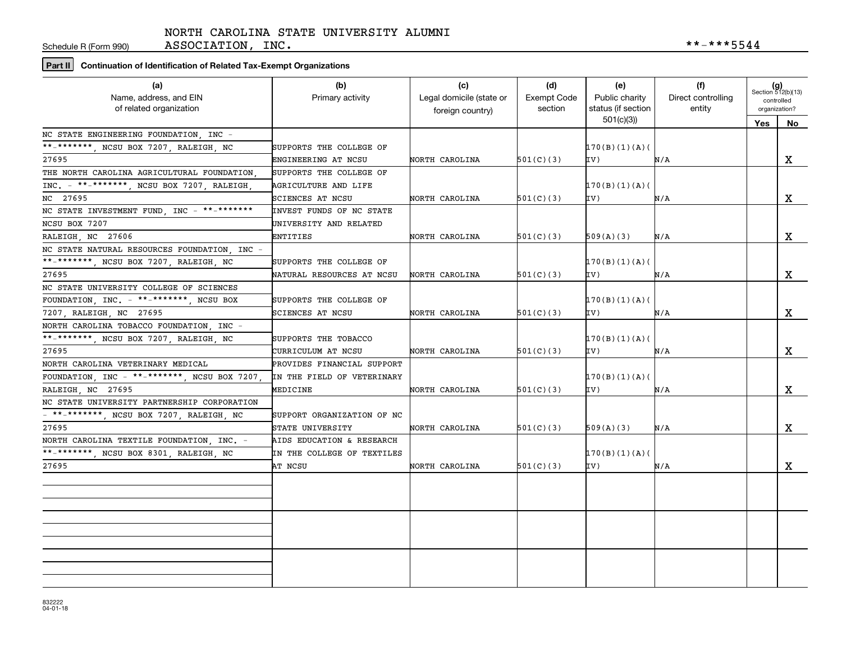Schedule R (Form 990)

**Part II Continuation of Identification of Related Tax-Exempt Organizations**

| (a)<br>Name, address, and EIN<br>of related organization          | (b)<br>Primary activity    | (c)<br>Legal domicile (state or<br>foreign country) | (d)<br>Exempt Code<br>section | (e)<br>Public charity<br>status (if section | (f)<br>Direct controlling<br>entity | $(g)$<br>Section 512(b)(13)<br>controlled<br>organization? |             |
|-------------------------------------------------------------------|----------------------------|-----------------------------------------------------|-------------------------------|---------------------------------------------|-------------------------------------|------------------------------------------------------------|-------------|
|                                                                   |                            |                                                     |                               | 501(c)(3)                                   |                                     | Yes   No                                                   |             |
| NC STATE ENGINEERING FOUNDATION, INC -                            |                            |                                                     |                               |                                             |                                     |                                                            |             |
| **-*******, NCSU BOX 7207, RALEIGH, NC                            | SUPPORTS THE COLLEGE OF    |                                                     |                               | 170(B)(1)(A)                                |                                     |                                                            |             |
| 27695                                                             | ENGINEERING AT NCSU        | NORTH CAROLINA                                      | 501(C)(3)                     | IV)                                         | N/A                                 |                                                            | X           |
| THE NORTH CAROLINA AGRICULTURAL FOUNDATION.                       | SUPPORTS THE COLLEGE OF    |                                                     |                               |                                             |                                     |                                                            |             |
| INC. - **-*******, NCSU BOX 7207, RALEIGH                         | AGRICULTURE AND LIFE       |                                                     |                               | 170(B)(1)(A)                                |                                     |                                                            |             |
| NC 27695                                                          | SCIENCES AT NCSU           | NORTH CAROLINA                                      | 501(C)(3)                     | IV)                                         | N/A                                 |                                                            | $\mathbf x$ |
| NC STATE INVESTMENT FUND, INC $-$ **-*******                      | INVEST FUNDS OF NC STATE   |                                                     |                               |                                             |                                     |                                                            |             |
| NCSU BOX 7207                                                     | UNIVERSITY AND RELATED     |                                                     |                               |                                             |                                     |                                                            |             |
| RALEIGH, NC 27606                                                 | ENTITIES                   | NORTH CAROLINA                                      | 501(C)(3)                     | 509(A)(3)                                   | N/A                                 |                                                            | X           |
| NC STATE NATURAL RESOURCES FOUNDATION, INC -                      |                            |                                                     |                               |                                             |                                     |                                                            |             |
| **-*******, NCSU BOX 7207, RALEIGH, NC                            | SUPPORTS THE COLLEGE OF    |                                                     |                               | 170(B)(1)(A)                                |                                     |                                                            |             |
| 27695                                                             | NATURAL RESOURCES AT NCSU  | NORTH CAROLINA                                      | 501(C)(3)                     | IV)                                         | N/A                                 |                                                            | X           |
| NC STATE UNIVERSITY COLLEGE OF SCIENCES                           |                            |                                                     |                               |                                             |                                     |                                                            |             |
| FOUNDATION, INC. $-$ **-*******, NCSU BOX                         | SUPPORTS THE COLLEGE OF    |                                                     |                               | 170(B)(1)(A)                                |                                     |                                                            |             |
| 7207, RALEIGH, NC 27695                                           | SCIENCES AT NCSU           | NORTH CAROLINA                                      | 501(C)(3)                     | IV)                                         | N/A                                 |                                                            | X           |
| NORTH CAROLINA TOBACCO FOUNDATION . INC -                         |                            |                                                     |                               |                                             |                                     |                                                            |             |
| **_*******, NCSU BOX 7207, RALEIGH, NC                            | SUPPORTS THE TOBACCO       |                                                     |                               | 170(B)(1)(A)                                |                                     |                                                            |             |
| 27695                                                             | CURRICULUM AT NCSU         | NORTH CAROLINA                                      | 501(C)(3)                     | IV)                                         | N/A                                 |                                                            | X           |
| NORTH CAROLINA VETERINARY MEDICAL                                 | PROVIDES FINANCIAL SUPPORT |                                                     |                               |                                             |                                     |                                                            |             |
| FOUNDATION, INC - **-*******, NCSU BOX 7207,                      | IN THE FIELD OF VETERINARY |                                                     |                               | 170(B)(1)(A)                                |                                     |                                                            |             |
| RALEIGH NC 27695                                                  | MEDICINE                   | NORTH CAROLINA                                      | 501(C)(3)                     | IV)                                         | N/A                                 |                                                            | X           |
| NC STATE UNIVERSITY PARTNERSHIP CORPORATION                       |                            |                                                     |                               |                                             |                                     |                                                            |             |
| $\overline{\phantom{1}}$ ** _********, NCSU BOX 7207, RALEIGH, NC | SUPPORT ORGANIZATION OF NC |                                                     |                               |                                             |                                     |                                                            |             |
| 27695                                                             | STATE UNIVERSITY           | NORTH CAROLINA                                      | 501(C)(3)                     | 509(A)(3)                                   | N/A                                 |                                                            | X           |
| NORTH CAROLINA TEXTILE FOUNDATION INC. -                          | AIDS EDUCATION & RESEARCH  |                                                     |                               |                                             |                                     |                                                            |             |
| **-*******, NCSU BOX 8301, RALEIGH, NC                            | IN THE COLLEGE OF TEXTILES |                                                     |                               | 170(B)(1)(A)                                |                                     |                                                            |             |
| 27695                                                             | AT NCSU                    | NORTH CAROLINA                                      | 501(C)(3)                     | IV)                                         | N/A                                 |                                                            | x           |
|                                                                   |                            |                                                     |                               |                                             |                                     |                                                            |             |
|                                                                   |                            |                                                     |                               |                                             |                                     |                                                            |             |
|                                                                   |                            |                                                     |                               |                                             |                                     |                                                            |             |
|                                                                   |                            |                                                     |                               |                                             |                                     |                                                            |             |
|                                                                   |                            |                                                     |                               |                                             |                                     |                                                            |             |
|                                                                   |                            |                                                     |                               |                                             |                                     |                                                            |             |
|                                                                   |                            |                                                     |                               |                                             |                                     |                                                            |             |
|                                                                   |                            |                                                     |                               |                                             |                                     |                                                            |             |
|                                                                   |                            |                                                     |                               |                                             |                                     |                                                            |             |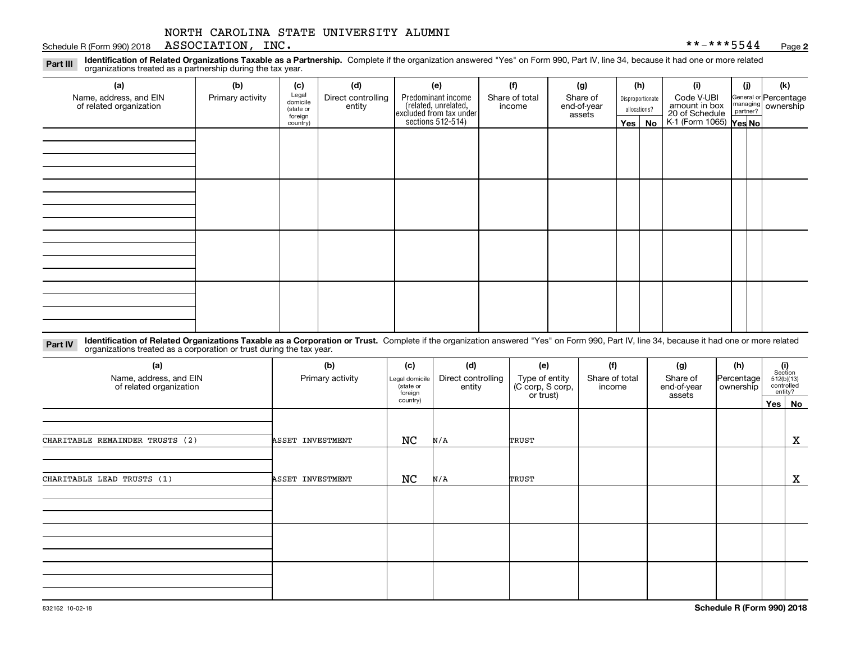#### Schedule R (Form 990) 2018  $\rm ASSOCIATION$  ,  $\rm\_INC$  ,  $\rm\_INC$  ,  $\rm\_INC$  ,  $\rm\_A$  ,  $\rm\_A$  ,  $\rm\_A$  ,  $\rm\_A$  ,  $\rm\_A$  ,  $\rm\_A$  ,  $\rm\_A$

**2**

**Identification of Related Organizations Taxable as a Partnership.** Complete if the organization answered "Yes" on Form 990, Part IV, line 34, because it had one or more related **Part III** organizations treated as a partnership during the tax year.

| (a)                                               | (b)              | (c)                  | (d)                                                                  | (e)                                                                 | (f) | (g)    |               | (h) | (i)                                      | (i) | (k)                     |  |                  |                             |  |                                                         |
|---------------------------------------------------|------------------|----------------------|----------------------------------------------------------------------|---------------------------------------------------------------------|-----|--------|---------------|-----|------------------------------------------|-----|-------------------------|--|------------------|-----------------------------|--|---------------------------------------------------------|
| Name, address, and EIN<br>of related organization | Primary activity | Legal<br>domicile    | Predominant income<br>Direct controlling<br>Share of total<br>income |                                                                     |     |        |               |     |                                          |     | Share of<br>end-of-year |  | Disproportionate | Code V-UBI<br>amount in box |  | General or Percentage<br>managing ownership<br>partner? |
|                                                   |                  | (state or<br>foreign | entity                                                               |                                                                     |     | assets | allocations?  |     |                                          |     |                         |  |                  |                             |  |                                                         |
|                                                   |                  | country)             |                                                                      | related, unrelated,<br>excluded from tax under<br>sections 512-514) |     |        | Yes $ $<br>No |     | 20 of Schedule<br>K-1 (Form 1065) Yes No |     |                         |  |                  |                             |  |                                                         |
|                                                   |                  |                      |                                                                      |                                                                     |     |        |               |     |                                          |     |                         |  |                  |                             |  |                                                         |
|                                                   |                  |                      |                                                                      |                                                                     |     |        |               |     |                                          |     |                         |  |                  |                             |  |                                                         |
|                                                   |                  |                      |                                                                      |                                                                     |     |        |               |     |                                          |     |                         |  |                  |                             |  |                                                         |
|                                                   |                  |                      |                                                                      |                                                                     |     |        |               |     |                                          |     |                         |  |                  |                             |  |                                                         |
|                                                   |                  |                      |                                                                      |                                                                     |     |        |               |     |                                          |     |                         |  |                  |                             |  |                                                         |
|                                                   |                  |                      |                                                                      |                                                                     |     |        |               |     |                                          |     |                         |  |                  |                             |  |                                                         |
|                                                   |                  |                      |                                                                      |                                                                     |     |        |               |     |                                          |     |                         |  |                  |                             |  |                                                         |
|                                                   |                  |                      |                                                                      |                                                                     |     |        |               |     |                                          |     |                         |  |                  |                             |  |                                                         |
|                                                   |                  |                      |                                                                      |                                                                     |     |        |               |     |                                          |     |                         |  |                  |                             |  |                                                         |
|                                                   |                  |                      |                                                                      |                                                                     |     |        |               |     |                                          |     |                         |  |                  |                             |  |                                                         |
|                                                   |                  |                      |                                                                      |                                                                     |     |        |               |     |                                          |     |                         |  |                  |                             |  |                                                         |
|                                                   |                  |                      |                                                                      |                                                                     |     |        |               |     |                                          |     |                         |  |                  |                             |  |                                                         |
|                                                   |                  |                      |                                                                      |                                                                     |     |        |               |     |                                          |     |                         |  |                  |                             |  |                                                         |
|                                                   |                  |                      |                                                                      |                                                                     |     |        |               |     |                                          |     |                         |  |                  |                             |  |                                                         |
|                                                   |                  |                      |                                                                      |                                                                     |     |        |               |     |                                          |     |                         |  |                  |                             |  |                                                         |
|                                                   |                  |                      |                                                                      |                                                                     |     |        |               |     |                                          |     |                         |  |                  |                             |  |                                                         |
|                                                   |                  |                      |                                                                      |                                                                     |     |        |               |     |                                          |     |                         |  |                  |                             |  |                                                         |

**Identification of Related Organizations Taxable as a Corporation or Trust.** Complete if the organization answered "Yes" on Form 990, Part IV, line 34, because it had one or more related **Part IV** organizations treated as a corporation or trust during the tax year.

| (a)<br>Name, address, and EIN<br>of related organization | (b)<br>Primary activity | (c)<br>Legal domicile<br>(state or<br>foreign | (d)<br>Direct controlling<br>entity | (e)<br>Type of entity<br>(C corp, S corp, | (f)<br>Share of total<br>income | (g)<br>Share of<br>end-of-year | (h)<br>Percentage<br>ownership | (i)<br>Section<br>512(b)(13)<br>controlled<br>entity? |
|----------------------------------------------------------|-------------------------|-----------------------------------------------|-------------------------------------|-------------------------------------------|---------------------------------|--------------------------------|--------------------------------|-------------------------------------------------------|
|                                                          |                         |                                               |                                     | or trust)                                 |                                 | assets                         |                                | Yes   No                                              |
|                                                          |                         |                                               |                                     |                                           |                                 |                                |                                |                                                       |
| CHARITABLE REMAINDER TRUSTS (2)                          | ASSET INVESTMENT        | NC                                            | N/A                                 | TRUST                                     |                                 |                                |                                | X                                                     |
|                                                          |                         |                                               |                                     |                                           |                                 |                                |                                |                                                       |
| CHARITABLE LEAD TRUSTS (1)                               | ASSET INVESTMENT        | NC                                            | N/A                                 | TRUST                                     |                                 |                                |                                | $\mathbf X$                                           |
|                                                          |                         |                                               |                                     |                                           |                                 |                                |                                |                                                       |
|                                                          |                         |                                               |                                     |                                           |                                 |                                |                                |                                                       |
|                                                          |                         |                                               |                                     |                                           |                                 |                                |                                |                                                       |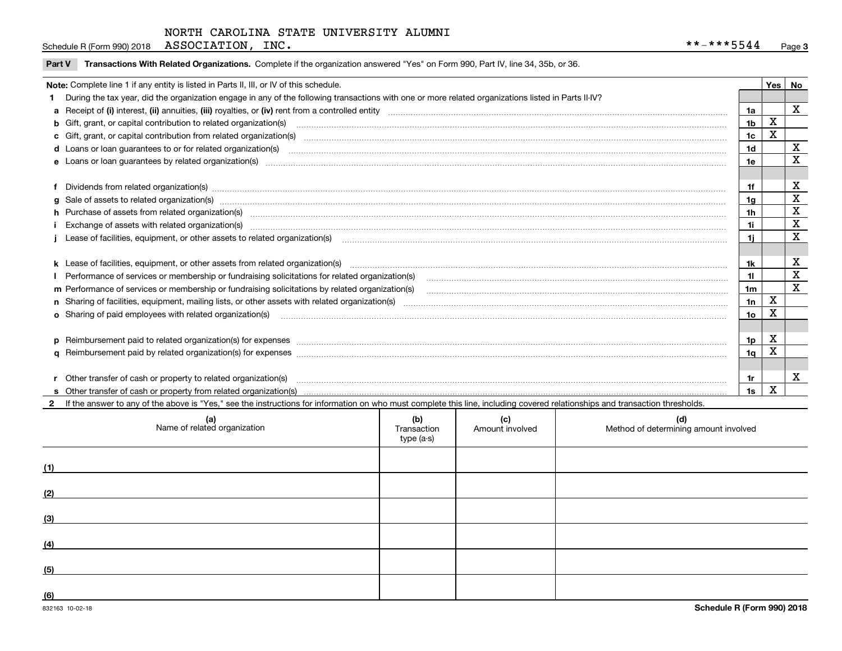Schedule R (Form 990) 2018  $\rm ASSOCIATION$  ,  $\rm\_INC$  ,  $\rm\_INC$  ,  $\rm\_INC$  ,  $\rm\_A$  ,  $\rm\_A$  ,  $\rm\_A$  ,  $\rm\_A$  ,  $\rm\_A$  ,  $\rm\_A$  ,  $\rm\_A$ 

|  | Part V Transactions With Related Organizations. Complete if the organization answered "Yes" on Form 990, Part IV, line 34, 35b, or 36. |  |  |
|--|----------------------------------------------------------------------------------------------------------------------------------------|--|--|
|--|----------------------------------------------------------------------------------------------------------------------------------------|--|--|

|                                                                                                                                                                                                                                |                | Yes   No |             |
|--------------------------------------------------------------------------------------------------------------------------------------------------------------------------------------------------------------------------------|----------------|----------|-------------|
| Note: Complete line 1 if any entity is listed in Parts II, III, or IV of this schedule.                                                                                                                                        |                |          |             |
| During the tax year, did the organization engage in any of the following transactions with one or more related organizations listed in Parts II-IV?                                                                            |                |          |             |
|                                                                                                                                                                                                                                | 1a             |          | $\mathbf X$ |
| <b>b</b> Gift, grant, or capital contribution to related organization(s)                                                                                                                                                       | 1 <sub>b</sub> | X        |             |
| c Gift, grant, or capital contribution from related organization(s) CONCORRECT CONSERVITY OF Gift, grant, or capital contribution from related organization(s)                                                                 | 1 <sub>c</sub> | X        |             |
| <b>d</b> Loans or loan quarantees to or for related organization(s)                                                                                                                                                            | 1d             |          | х           |
| <b>e</b> Loans or loan quarantees by related organization(s)                                                                                                                                                                   | 1e             |          | X           |
|                                                                                                                                                                                                                                |                |          |             |
| Dividends from related organization(s) machinesis and contract and contract and contract and contract and contract and contract and contract and contract and contract and contract and contract and contract and contract and | 1f             |          | х           |
| g Sale of assets to related organization(s) www.assettion.com/www.assettion.com/www.assettion.com/www.assettion.com/www.assettion.com/www.assettion.com/www.assettion.com/www.assettion.com/www.assettion.com/www.assettion.co | 1g             |          | X           |
| h Purchase of assets from related organization(s) manufactured content to content the content of the content of the content of the content of the content of the content of the content of the content of the content of the c | 1h             |          | X           |
|                                                                                                                                                                                                                                | 1i             |          | X           |
| Lease of facilities, equipment, or other assets to related organization(s) [11] manufaction(s) [11] manufaction(s) and the manufaction of the manufacture of facilities, equipment, or other assets to related organization(s) | 1i.            |          | x           |
|                                                                                                                                                                                                                                |                |          |             |
| k Lease of facilities, equipment, or other assets from related organization(s) manufaction content and content to the assets from related organization(s) manufaction content and content and content and content and content  | 1k             |          | x           |
| Performance of services or membership or fundraising solicitations for related organization(s)                                                                                                                                 | 11             |          | X           |
| m Performance of services or membership or fundraising solicitations by related organization(s)                                                                                                                                | 1m             |          | $\mathbf x$ |
|                                                                                                                                                                                                                                | 1n             | X        |             |
| o Sharing of paid employees with related organization(s) manufactured and content to the content of the content of the content of the content of the content of the content of the content of the content of the content of th | 1o             | Χ        |             |
|                                                                                                                                                                                                                                |                |          |             |
| p Reimbursement paid to related organization(s) for expenses [1111] and the content of the content of the content of the content of the content of the content of the content of the content of the content of the content of  | 1p             | х        |             |
|                                                                                                                                                                                                                                | 1q             | х        |             |
|                                                                                                                                                                                                                                |                |          |             |
| Other transfer of cash or property to related organization(s)                                                                                                                                                                  | 1r             |          | х           |
|                                                                                                                                                                                                                                | 1s             | X        |             |

**2**If the answer to any of the above is "Yes," see the instructions for information on who must complete this line, including covered relationships and transaction thresholds.

| (a)<br>Name of related organization | (b)<br>Transaction<br>type (a-s) | (c)<br>Amount involved | (d)<br>Method of determining amount involved |
|-------------------------------------|----------------------------------|------------------------|----------------------------------------------|
| (1)                                 |                                  |                        |                                              |
| (2)                                 |                                  |                        |                                              |
| (3)                                 |                                  |                        |                                              |
| (4)                                 |                                  |                        |                                              |
| (5)                                 |                                  |                        |                                              |
| $\underline{(6)}$                   |                                  |                        |                                              |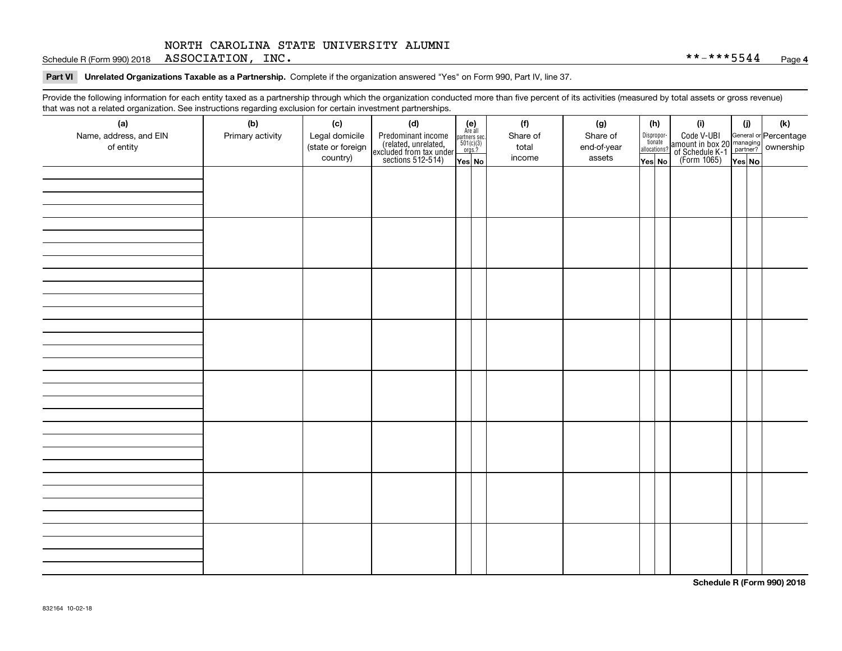Schedule R (Form 990) 2018  $\rm ASSOCIATION$  ,  $\rm\_INC$  ,  $\rm\_INC$  ,  $\rm\_INC$  ,  $\rm\_A$  ,  $\rm\_A$  ,  $\rm\_A$  ,  $\rm\_A$  ,  $\rm\_A$  ,  $\rm\_A$  ,  $\rm\_A$ 

**Part VI Unrelated Organizations Taxable as a Partnership. Complete if the organization answered "Yes" on Form 990, Part IV, line 37.** 

Provide the following information for each entity taxed as a partnership through which the organization conducted more than five percent of its activities (measured by total assets or gross revenue) that was not a related organization. See instructions regarding exclusion for certain investment partnerships.

| - · ə---<br>(a)<br>Name, address, and EIN | − ອ−<br>(b)<br>Primary activity | (c)<br>Legal domicile         | (d)                                                                                        | $\begin{array}{c} \textbf{(e)}\\ \text{Are all} \\ \text{partners sec.}\\ 501(c)(3)\\ \text{orgs.?} \end{array}$ | (f)<br>Share of | (g)<br>Share of       | (h)                    | Dispropor-<br>tionate | (i)                                                                                              | (i)    | (k) |
|-------------------------------------------|---------------------------------|-------------------------------|--------------------------------------------------------------------------------------------|------------------------------------------------------------------------------------------------------------------|-----------------|-----------------------|------------------------|-----------------------|--------------------------------------------------------------------------------------------------|--------|-----|
| of entity                                 |                                 | (state or foreign<br>country) | Predominant income<br>(related, unrelated,<br>excluded from tax under<br>sections 512-514) | Yes No                                                                                                           | total<br>income | end-of-year<br>assets | allocations?<br>Yes No |                       | Code V-UBI<br>amount in box 20 managing<br>of Schedule K-1<br>(Form 1065)<br>$\overline{Yes}$ No | Yes No |     |
|                                           |                                 |                               |                                                                                            |                                                                                                                  |                 |                       |                        |                       |                                                                                                  |        |     |
|                                           |                                 |                               |                                                                                            |                                                                                                                  |                 |                       |                        |                       |                                                                                                  |        |     |
|                                           |                                 |                               |                                                                                            |                                                                                                                  |                 |                       |                        |                       |                                                                                                  |        |     |
|                                           |                                 |                               |                                                                                            |                                                                                                                  |                 |                       |                        |                       |                                                                                                  |        |     |
|                                           |                                 |                               |                                                                                            |                                                                                                                  |                 |                       |                        |                       |                                                                                                  |        |     |
|                                           |                                 |                               |                                                                                            |                                                                                                                  |                 |                       |                        |                       |                                                                                                  |        |     |
|                                           |                                 |                               |                                                                                            |                                                                                                                  |                 |                       |                        |                       |                                                                                                  |        |     |
|                                           |                                 |                               |                                                                                            |                                                                                                                  |                 |                       |                        |                       |                                                                                                  |        |     |
|                                           |                                 |                               |                                                                                            |                                                                                                                  |                 |                       |                        |                       |                                                                                                  |        |     |
|                                           |                                 |                               |                                                                                            |                                                                                                                  |                 |                       |                        |                       |                                                                                                  |        |     |
|                                           |                                 |                               |                                                                                            |                                                                                                                  |                 |                       |                        |                       |                                                                                                  |        |     |
|                                           |                                 |                               |                                                                                            |                                                                                                                  |                 |                       |                        |                       |                                                                                                  |        |     |
|                                           |                                 |                               |                                                                                            |                                                                                                                  |                 |                       |                        |                       |                                                                                                  |        |     |
|                                           |                                 |                               |                                                                                            |                                                                                                                  |                 |                       |                        |                       |                                                                                                  |        |     |
|                                           |                                 |                               |                                                                                            |                                                                                                                  |                 |                       |                        |                       |                                                                                                  |        |     |
|                                           |                                 |                               |                                                                                            |                                                                                                                  |                 |                       |                        |                       |                                                                                                  |        |     |
|                                           |                                 |                               |                                                                                            |                                                                                                                  |                 |                       |                        |                       |                                                                                                  |        |     |

**Schedule R (Form 990) 2018**